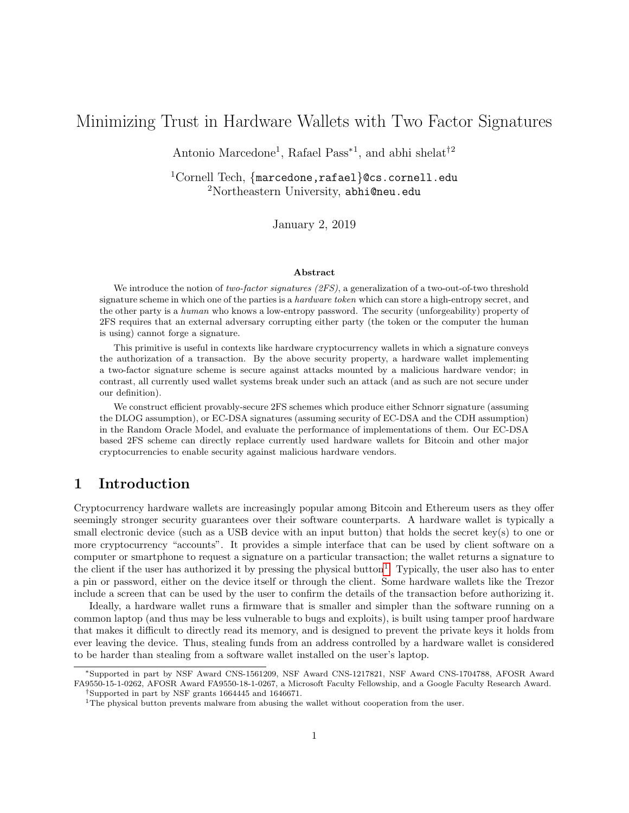# Minimizing Trust in Hardware Wallets with Two Factor Signatures

Antonio Marcedone<sup>1</sup>, Rafael Pass<sup>\*1</sup>, and abhi shelat<sup>†2</sup>

<sup>1</sup>Cornell Tech, {marcedone,rafael}@cs.cornell.edu <sup>2</sup>Northeastern University, abhi@neu.edu

January 2, 2019

#### Abstract

We introduce the notion of two-factor signatures (2FS), a generalization of a two-out-of-two threshold signature scheme in which one of the parties is a *hardware token* which can store a high-entropy secret, and the other party is a human who knows a low-entropy password. The security (unforgeability) property of 2FS requires that an external adversary corrupting either party (the token or the computer the human is using) cannot forge a signature.

This primitive is useful in contexts like hardware cryptocurrency wallets in which a signature conveys the authorization of a transaction. By the above security property, a hardware wallet implementing a two-factor signature scheme is secure against attacks mounted by a malicious hardware vendor; in contrast, all currently used wallet systems break under such an attack (and as such are not secure under our definition).

We construct efficient provably-secure 2FS schemes which produce either Schnorr signature (assuming the DLOG assumption), or EC-DSA signatures (assuming security of EC-DSA and the CDH assumption) in the Random Oracle Model, and evaluate the performance of implementations of them. Our EC-DSA based 2FS scheme can directly replace currently used hardware wallets for Bitcoin and other major cryptocurrencies to enable security against malicious hardware vendors.

# 1 Introduction

Cryptocurrency hardware wallets are increasingly popular among Bitcoin and Ethereum users as they offer seemingly stronger security guarantees over their software counterparts. A hardware wallet is typically a small electronic device (such as a USB device with an input button) that holds the secret key(s) to one or more cryptocurrency "accounts". It provides a simple interface that can be used by client software on a computer or smartphone to request a signature on a particular transaction; the wallet returns a signature to the client if the user has authorized it by pressing the physical button<sup>[1](#page-0-0)</sup>. Typically, the user also has to enter a pin or password, either on the device itself or through the client. Some hardware wallets like the Trezor include a screen that can be used by the user to confirm the details of the transaction before authorizing it.

Ideally, a hardware wallet runs a firmware that is smaller and simpler than the software running on a common laptop (and thus may be less vulnerable to bugs and exploits), is built using tamper proof hardware that makes it difficult to directly read its memory, and is designed to prevent the private keys it holds from ever leaving the device. Thus, stealing funds from an address controlled by a hardware wallet is considered to be harder than stealing from a software wallet installed on the user's laptop.

<sup>∗</sup>Supported in part by NSF Award CNS-1561209, NSF Award CNS-1217821, NSF Award CNS-1704788, AFOSR Award FA9550-15-1-0262, AFOSR Award FA9550-18-1-0267, a Microsoft Faculty Fellowship, and a Google Faculty Research Award. †Supported in part by NSF grants 1664445 and 1646671.

<span id="page-0-0"></span>

<sup>1</sup>The physical button prevents malware from abusing the wallet without cooperation from the user.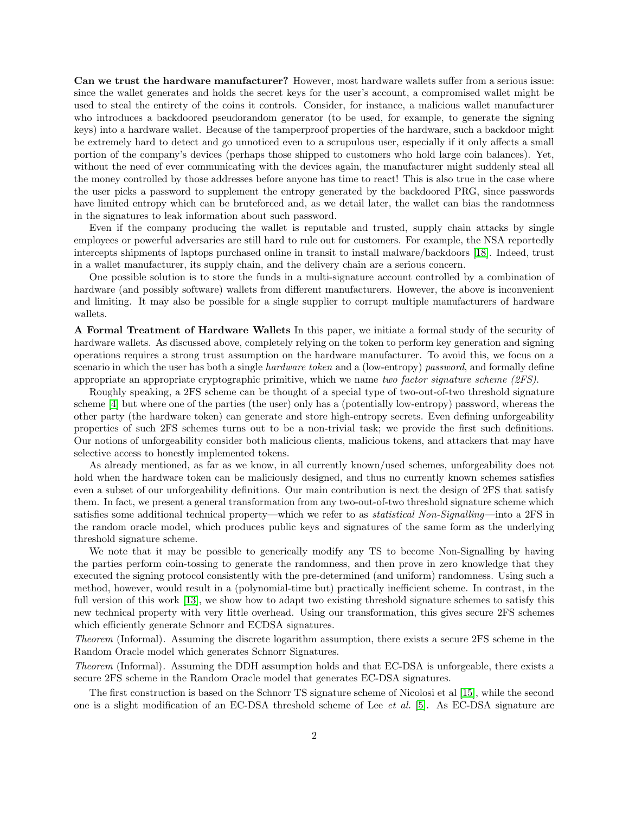Can we trust the hardware manufacturer? However, most hardware wallets suffer from a serious issue: since the wallet generates and holds the secret keys for the user's account, a compromised wallet might be used to steal the entirety of the coins it controls. Consider, for instance, a malicious wallet manufacturer who introduces a backdoored pseudorandom generator (to be used, for example, to generate the signing keys) into a hardware wallet. Because of the tamperproof properties of the hardware, such a backdoor might be extremely hard to detect and go unnoticed even to a scrupulous user, especially if it only affects a small portion of the company's devices (perhaps those shipped to customers who hold large coin balances). Yet, without the need of ever communicating with the devices again, the manufacturer might suddenly steal all the money controlled by those addresses before anyone has time to react! This is also true in the case where the user picks a password to supplement the entropy generated by the backdoored PRG, since passwords have limited entropy which can be bruteforced and, as we detail later, the wallet can bias the randomness in the signatures to leak information about such password.

Even if the company producing the wallet is reputable and trusted, supply chain attacks by single employees or powerful adversaries are still hard to rule out for customers. For example, the NSA reportedly intercepts shipments of laptops purchased online in transit to install malware/backdoors [\[18\]](#page-25-0). Indeed, trust in a wallet manufacturer, its supply chain, and the delivery chain are a serious concern.

One possible solution is to store the funds in a multi-signature account controlled by a combination of hardware (and possibly software) wallets from different manufacturers. However, the above is inconvenient and limiting. It may also be possible for a single supplier to corrupt multiple manufacturers of hardware wallets.

A Formal Treatment of Hardware Wallets In this paper, we initiate a formal study of the security of hardware wallets. As discussed above, completely relying on the token to perform key generation and signing operations requires a strong trust assumption on the hardware manufacturer. To avoid this, we focus on a scenario in which the user has both a single *hardware token* and a (low-entropy) password, and formally define appropriate an appropriate cryptographic primitive, which we name two factor signature scheme (2FS).

Roughly speaking, a 2FS scheme can be thought of a special type of two-out-of-two threshold signature scheme [\[4\]](#page-24-0) but where one of the parties (the user) only has a (potentially low-entropy) password, whereas the other party (the hardware token) can generate and store high-entropy secrets. Even defining unforgeability properties of such 2FS schemes turns out to be a non-trivial task; we provide the first such definitions. Our notions of unforgeability consider both malicious clients, malicious tokens, and attackers that may have selective access to honestly implemented tokens.

As already mentioned, as far as we know, in all currently known/used schemes, unforgeability does not hold when the hardware token can be maliciously designed, and thus no currently known schemes satisfies even a subset of our unforgeability definitions. Our main contribution is next the design of 2FS that satisfy them. In fact, we present a general transformation from any two-out-of-two threshold signature scheme which satisfies some additional technical property—which we refer to as *statistical Non-Signalling—*into a 2FS in the random oracle model, which produces public keys and signatures of the same form as the underlying threshold signature scheme.

We note that it may be possible to generically modify any TS to become Non-Signalling by having the parties perform coin-tossing to generate the randomness, and then prove in zero knowledge that they executed the signing protocol consistently with the pre-determined (and uniform) randomness. Using such a method, however, would result in a (polynomial-time but) practically inefficient scheme. In contrast, in the full version of this work [\[13\]](#page-25-1), we show how to adapt two existing threshold signature schemes to satisfy this new technical property with very little overhead. Using our transformation, this gives secure 2FS schemes which efficiently generate Schnorr and ECDSA signatures.

Theorem (Informal). Assuming the discrete logarithm assumption, there exists a secure 2FS scheme in the Random Oracle model which generates Schnorr Signatures.

Theorem (Informal). Assuming the DDH assumption holds and that EC-DSA is unforgeable, there exists a secure 2FS scheme in the Random Oracle model that generates EC-DSA signatures.

The first construction is based on the Schnorr TS signature scheme of Nicolosi et al [\[15\]](#page-25-2), while the second one is a slight modification of an EC-DSA threshold scheme of Lee et al. [\[5\]](#page-25-3). As EC-DSA signature are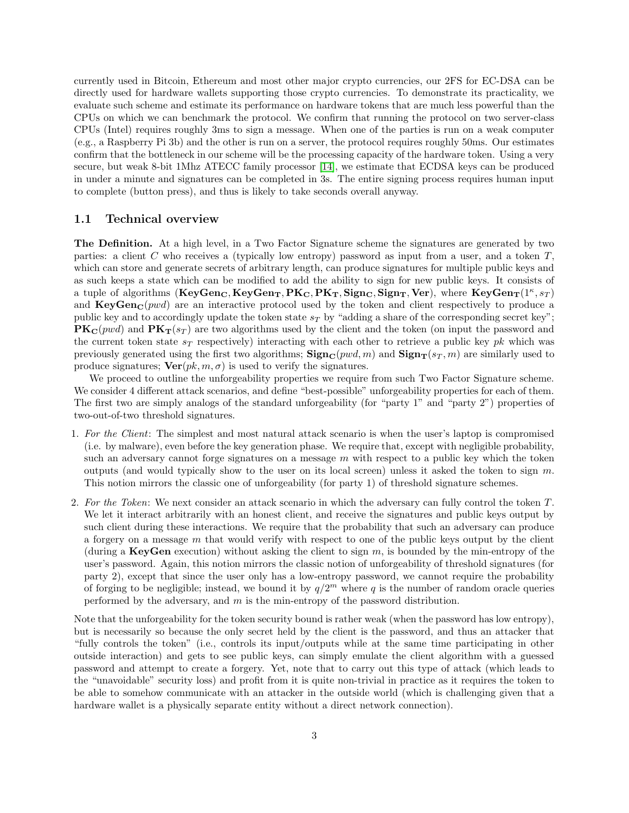currently used in Bitcoin, Ethereum and most other major crypto currencies, our 2FS for EC-DSA can be directly used for hardware wallets supporting those crypto currencies. To demonstrate its practicality, we evaluate such scheme and estimate its performance on hardware tokens that are much less powerful than the CPUs on which we can benchmark the protocol. We confirm that running the protocol on two server-class CPUs (Intel) requires roughly 3ms to sign a message. When one of the parties is run on a weak computer (e.g., a Raspberry Pi 3b) and the other is run on a server, the protocol requires roughly 50ms. Our estimates confirm that the bottleneck in our scheme will be the processing capacity of the hardware token. Using a very secure, but weak 8-bit 1Mhz ATECC family processor [\[14\]](#page-25-4), we estimate that ECDSA keys can be produced in under a minute and signatures can be completed in 3s. The entire signing process requires human input to complete (button press), and thus is likely to take seconds overall anyway.

#### 1.1 Technical overview

The Definition. At a high level, in a Two Factor Signature scheme the signatures are generated by two parties: a client C who receives a (typically low entropy) password as input from a user, and a token  $T$ . which can store and generate secrets of arbitrary length, can produce signatures for multiple public keys and as such keeps a state which can be modified to add the ability to sign for new public keys. It consists of a tuple of algorithms  $(\textbf{KeyGen}_{\mathbf{C}}, \textbf{KeyGen}_{\mathbf{T}}, \textbf{PK}_{\mathbf{C}}, \textbf{PK}_{\mathbf{T}}, \textbf{Sign}_{\mathbf{C}}, \textbf{Sign}_{\mathbf{T}}, \textbf{Ver}),$  where  $\textbf{KeyGen}_{\mathbf{T}}(1^{\kappa}, s_T)$ and  $KeyGen_C(pwd)$  are an interactive protocol used by the token and client respectively to produce a public key and to accordingly update the token state  $s_T$  by "adding a share of the corresponding secret key";  $PK<sub>C</sub>(pwd)$  and  $PK<sub>T</sub>(s_T)$  are two algorithms used by the client and the token (on input the password and the current token state  $s_T$  respectively) interacting with each other to retrieve a public key pk which was previously generated using the first two algorithms;  $\text{Sign}_{\mathbf{C}}(pwd, m)$  and  $\text{Sign}_{\mathbf{T}}(s_T, m)$  are similarly used to produce signatures;  $\text{Ver}(pk, m, \sigma)$  is used to verify the signatures.

We proceed to outline the unforgeability properties we require from such Two Factor Signature scheme. We consider 4 different attack scenarios, and define "best-possible" unforgeability properties for each of them. The first two are simply analogs of the standard unforgeability (for "party 1" and "party 2") properties of two-out-of-two threshold signatures.

- 1. For the Client: The simplest and most natural attack scenario is when the user's laptop is compromised (i.e. by malware), even before the key generation phase. We require that, except with negligible probability, such an adversary cannot forge signatures on a message  $m$  with respect to a public key which the token outputs (and would typically show to the user on its local screen) unless it asked the token to sign  $m$ . This notion mirrors the classic one of unforgeability (for party 1) of threshold signature schemes.
- 2. For the Token: We next consider an attack scenario in which the adversary can fully control the token T. We let it interact arbitrarily with an honest client, and receive the signatures and public keys output by such client during these interactions. We require that the probability that such an adversary can produce a forgery on a message m that would verify with respect to one of the public keys output by the client (during a KeyGen execution) without asking the client to sign  $m$ , is bounded by the min-entropy of the user's password. Again, this notion mirrors the classic notion of unforgeability of threshold signatures (for party 2), except that since the user only has a low-entropy password, we cannot require the probability of forging to be negligible; instead, we bound it by  $q/2^m$  where q is the number of random oracle queries performed by the adversary, and  $m$  is the min-entropy of the password distribution.

Note that the unforgeability for the token security bound is rather weak (when the password has low entropy), but is necessarily so because the only secret held by the client is the password, and thus an attacker that "fully controls the token" (i.e., controls its input/outputs while at the same time participating in other outside interaction) and gets to see public keys, can simply emulate the client algorithm with a guessed password and attempt to create a forgery. Yet, note that to carry out this type of attack (which leads to the "unavoidable" security loss) and profit from it is quite non-trivial in practice as it requires the token to be able to somehow communicate with an attacker in the outside world (which is challenging given that a hardware wallet is a physically separate entity without a direct network connection).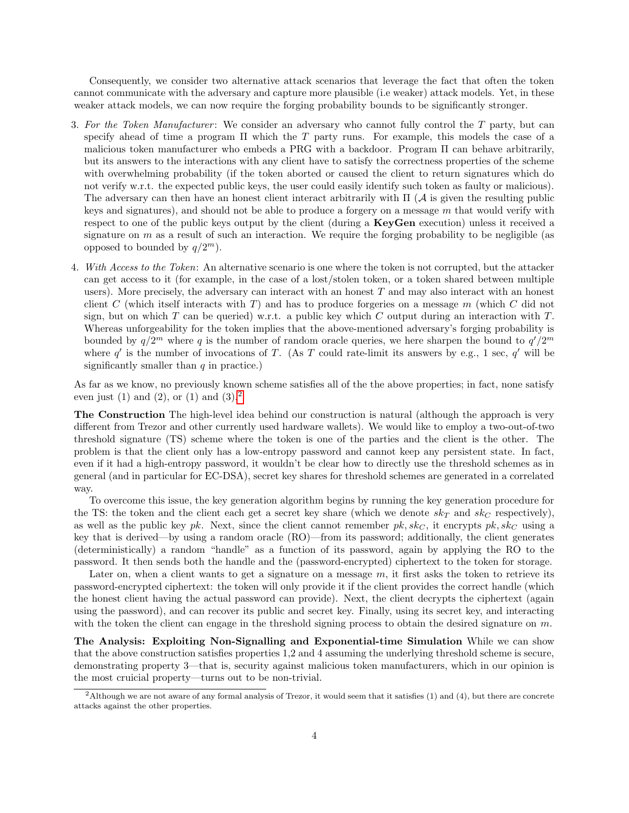Consequently, we consider two alternative attack scenarios that leverage the fact that often the token cannot communicate with the adversary and capture more plausible (i.e weaker) attack models. Yet, in these weaker attack models, we can now require the forging probability bounds to be significantly stronger.

- 3. For the Token Manufacturer: We consider an adversary who cannot fully control the  $T$  party, but can specify ahead of time a program  $\Pi$  which the T party runs. For example, this models the case of a malicious token manufacturer who embeds a PRG with a backdoor. Program Π can behave arbitrarily, but its answers to the interactions with any client have to satisfy the correctness properties of the scheme with overwhelming probability (if the token aborted or caused the client to return signatures which do not verify w.r.t. the expected public keys, the user could easily identify such token as faulty or malicious). The adversary can then have an honest client interact arbitrarily with  $\Pi$  ( $\mathcal A$  is given the resulting public keys and signatures), and should not be able to produce a forgery on a message  $m$  that would verify with respect to one of the public keys output by the client (during a **KeyGen** execution) unless it received a signature on  $m$  as a result of such an interaction. We require the forging probability to be negligible (as opposed to bounded by  $q/2^m$ ).
- 4. With Access to the Token: An alternative scenario is one where the token is not corrupted, but the attacker can get access to it (for example, in the case of a lost/stolen token, or a token shared between multiple users). More precisely, the adversary can interact with an honest  $T$  and may also interact with an honest client C (which itself interacts with T) and has to produce forgeries on a message  $m$  (which C did not sign, but on which T can be queried) w.r.t. a public key which C output during an interaction with T. Whereas unforgeability for the token implies that the above-mentioned adversary's forging probability is bounded by  $q/2^m$  where q is the number of random oracle queries, we here sharpen the bound to  $q'/2^m$ where  $q'$  is the number of invocations of T. (As T could rate-limit its answers by e.g., 1 sec,  $q'$  will be significantly smaller than  $q$  in practice.)

As far as we know, no previously known scheme satisfies all of the the above properties; in fact, none satisfy even just (1) and ([2](#page-3-0)), or (1) and (3).<sup>2</sup>

The Construction The high-level idea behind our construction is natural (although the approach is very different from Trezor and other currently used hardware wallets). We would like to employ a two-out-of-two threshold signature (TS) scheme where the token is one of the parties and the client is the other. The problem is that the client only has a low-entropy password and cannot keep any persistent state. In fact, even if it had a high-entropy password, it wouldn't be clear how to directly use the threshold schemes as in general (and in particular for EC-DSA), secret key shares for threshold schemes are generated in a correlated way.

To overcome this issue, the key generation algorithm begins by running the key generation procedure for the TS: the token and the client each get a secret key share (which we denote  $sk_T$  and  $sk_C$  respectively), as well as the public key pk. Next, since the client cannot remember  $pk, sk_C$ , it encrypts  $pk, sk_C$  using a key that is derived—by using a random oracle (RO)—from its password; additionally, the client generates (deterministically) a random "handle" as a function of its password, again by applying the RO to the password. It then sends both the handle and the (password-encrypted) ciphertext to the token for storage.

Later on, when a client wants to get a signature on a message  $m$ , it first asks the token to retrieve its password-encrypted ciphertext: the token will only provide it if the client provides the correct handle (which the honest client having the actual password can provide). Next, the client decrypts the ciphertext (again using the password), and can recover its public and secret key. Finally, using its secret key, and interacting with the token the client can engage in the threshold signing process to obtain the desired signature on  $m$ .

The Analysis: Exploiting Non-Signalling and Exponential-time Simulation While we can show that the above construction satisfies properties 1,2 and 4 assuming the underlying threshold scheme is secure, demonstrating property 3—that is, security against malicious token manufacturers, which in our opinion is the most cruicial property—turns out to be non-trivial.

<span id="page-3-0"></span><sup>2</sup>Although we are not aware of any formal analysis of Trezor, it would seem that it satisfies (1) and (4), but there are concrete attacks against the other properties.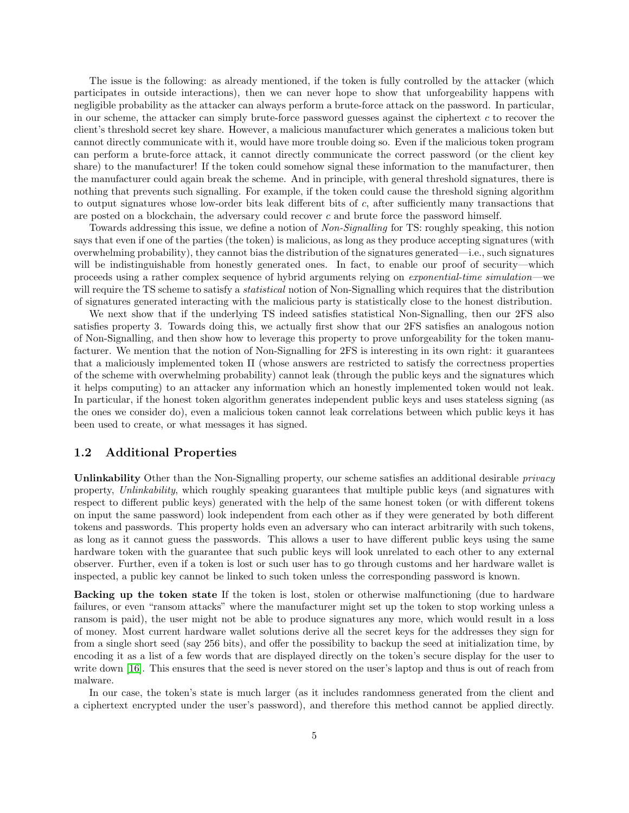The issue is the following: as already mentioned, if the token is fully controlled by the attacker (which participates in outside interactions), then we can never hope to show that unforgeability happens with negligible probability as the attacker can always perform a brute-force attack on the password. In particular, in our scheme, the attacker can simply brute-force password guesses against the ciphertext  $c$  to recover the client's threshold secret key share. However, a malicious manufacturer which generates a malicious token but cannot directly communicate with it, would have more trouble doing so. Even if the malicious token program can perform a brute-force attack, it cannot directly communicate the correct password (or the client key share) to the manufacturer! If the token could somehow signal these information to the manufacturer, then the manufacturer could again break the scheme. And in principle, with general threshold signatures, there is nothing that prevents such signalling. For example, if the token could cause the threshold signing algorithm to output signatures whose low-order bits leak different bits of  $c$ , after sufficiently many transactions that are posted on a blockchain, the adversary could recover  $c$  and brute force the password himself.

Towards addressing this issue, we define a notion of *Non-Signalling* for TS: roughly speaking, this notion says that even if one of the parties (the token) is malicious, as long as they produce accepting signatures (with overwhelming probability), they cannot bias the distribution of the signatures generated—i.e., such signatures will be indistinguishable from honestly generated ones. In fact, to enable our proof of security—which proceeds using a rather complex sequence of hybrid arguments relying on exponential-time simulation—we will require the TS scheme to satisfy a *statistical* notion of Non-Signalling which requires that the distribution of signatures generated interacting with the malicious party is statistically close to the honest distribution.

We next show that if the underlying TS indeed satisfies statistical Non-Signalling, then our 2FS also satisfies property 3. Towards doing this, we actually first show that our 2FS satisfies an analogous notion of Non-Signalling, and then show how to leverage this property to prove unforgeability for the token manufacturer. We mention that the notion of Non-Signalling for 2FS is interesting in its own right: it guarantees that a maliciously implemented token  $\Pi$  (whose answers are restricted to satisfy the correctness properties of the scheme with overwhelming probability) cannot leak (through the public keys and the signatures which it helps computing) to an attacker any information which an honestly implemented token would not leak. In particular, if the honest token algorithm generates independent public keys and uses stateless signing (as the ones we consider do), even a malicious token cannot leak correlations between which public keys it has been used to create, or what messages it has signed.

#### 1.2 Additional Properties

Unlinkability Other than the Non-Signalling property, our scheme satisfies an additional desirable *privacy* property, Unlinkability, which roughly speaking guarantees that multiple public keys (and signatures with respect to different public keys) generated with the help of the same honest token (or with different tokens on input the same password) look independent from each other as if they were generated by both different tokens and passwords. This property holds even an adversary who can interact arbitrarily with such tokens, as long as it cannot guess the passwords. This allows a user to have different public keys using the same hardware token with the guarantee that such public keys will look unrelated to each other to any external observer. Further, even if a token is lost or such user has to go through customs and her hardware wallet is inspected, a public key cannot be linked to such token unless the corresponding password is known.

Backing up the token state If the token is lost, stolen or otherwise malfunctioning (due to hardware failures, or even "ransom attacks" where the manufacturer might set up the token to stop working unless a ransom is paid), the user might not be able to produce signatures any more, which would result in a loss of money. Most current hardware wallet solutions derive all the secret keys for the addresses they sign for from a single short seed (say 256 bits), and offer the possibility to backup the seed at initialization time, by encoding it as a list of a few words that are displayed directly on the token's secure display for the user to write down [\[16\]](#page-25-5). This ensures that the seed is never stored on the user's laptop and thus is out of reach from malware.

In our case, the token's state is much larger (as it includes randomness generated from the client and a ciphertext encrypted under the user's password), and therefore this method cannot be applied directly.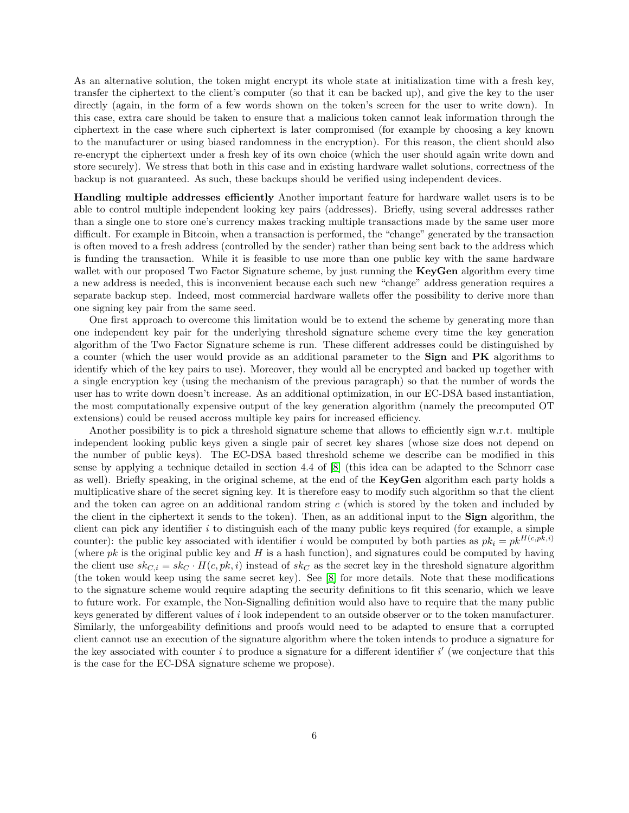As an alternative solution, the token might encrypt its whole state at initialization time with a fresh key, transfer the ciphertext to the client's computer (so that it can be backed up), and give the key to the user directly (again, in the form of a few words shown on the token's screen for the user to write down). In this case, extra care should be taken to ensure that a malicious token cannot leak information through the ciphertext in the case where such ciphertext is later compromised (for example by choosing a key known to the manufacturer or using biased randomness in the encryption). For this reason, the client should also re-encrypt the ciphertext under a fresh key of its own choice (which the user should again write down and store securely). We stress that both in this case and in existing hardware wallet solutions, correctness of the backup is not guaranteed. As such, these backups should be verified using independent devices.

Handling multiple addresses efficiently Another important feature for hardware wallet users is to be able to control multiple independent looking key pairs (addresses). Briefly, using several addresses rather than a single one to store one's currency makes tracking multiple transactions made by the same user more difficult. For example in Bitcoin, when a transaction is performed, the "change" generated by the transaction is often moved to a fresh address (controlled by the sender) rather than being sent back to the address which is funding the transaction. While it is feasible to use more than one public key with the same hardware wallet with our proposed Two Factor Signature scheme, by just running the **KeyGen** algorithm every time a new address is needed, this is inconvenient because each such new "change" address generation requires a separate backup step. Indeed, most commercial hardware wallets offer the possibility to derive more than one signing key pair from the same seed.

One first approach to overcome this limitation would be to extend the scheme by generating more than one independent key pair for the underlying threshold signature scheme every time the key generation algorithm of the Two Factor Signature scheme is run. These different addresses could be distinguished by a counter (which the user would provide as an additional parameter to the Sign and PK algorithms to identify which of the key pairs to use). Moreover, they would all be encrypted and backed up together with a single encryption key (using the mechanism of the previous paragraph) so that the number of words the user has to write down doesn't increase. As an additional optimization, in our EC-DSA based instantiation, the most computationally expensive output of the key generation algorithm (namely the precomputed OT extensions) could be reused accross multiple key pairs for increased efficiency.

Another possibility is to pick a threshold signature scheme that allows to efficiently sign w.r.t. multiple independent looking public keys given a single pair of secret key shares (whose size does not depend on the number of public keys). The EC-DSA based threshold scheme we describe can be modified in this sense by applying a technique detailed in section 4.4 of [\[8\]](#page-25-6) (this idea can be adapted to the Schnorr case as well). Briefly speaking, in the original scheme, at the end of the **KeyGen** algorithm each party holds a multiplicative share of the secret signing key. It is therefore easy to modify such algorithm so that the client and the token can agree on an additional random string  $c$  (which is stored by the token and included by the client in the ciphertext it sends to the token). Then, as an additional input to the Sign algorithm, the client can pick any identifier  $i$  to distinguish each of the many public keys required (for example, a simple counter): the public key associated with identifier i would be computed by both parties as  $pk_i = pk^{H(c,pk,i)}$ (where  $pk$  is the original public key and  $H$  is a hash function), and signatures could be computed by having the client use  $sk_{C,i} = sk_C \cdot H(c, pk, i)$  instead of  $sk_C$  as the secret key in the threshold signature algorithm (the token would keep using the same secret key). See [\[8\]](#page-25-6) for more details. Note that these modifications to the signature scheme would require adapting the security definitions to fit this scenario, which we leave to future work. For example, the Non-Signalling definition would also have to require that the many public keys generated by different values of i look independent to an outside observer or to the token manufacturer. Similarly, the unforgeability definitions and proofs would need to be adapted to ensure that a corrupted client cannot use an execution of the signature algorithm where the token intends to produce a signature for the key associated with counter  $i$  to produce a signature for a different identifier  $i'$  (we conjecture that this is the case for the EC-DSA signature scheme we propose).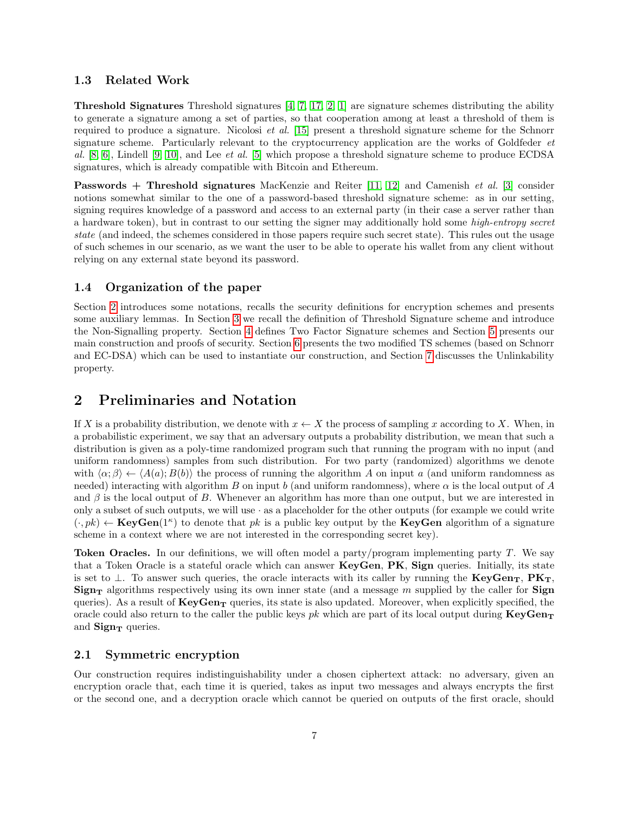### 1.3 Related Work

Threshold Signatures Threshold signatures [\[4,](#page-24-0) [7,](#page-25-7) [17,](#page-25-8) [2,](#page-24-1) [1\]](#page-24-2) are signature schemes distributing the ability to generate a signature among a set of parties, so that cooperation among at least a threshold of them is required to produce a signature. Nicolosi et al. [\[15\]](#page-25-2) present a threshold signature scheme for the Schnorr signature scheme. Particularly relevant to the cryptocurrency application are the works of Goldfeder *et* al.  $[8, 6]$  $[8, 6]$ , Lindell  $[9, 10]$  $[9, 10]$ , and Lee *et al.*  $[5]$  which propose a threshold signature scheme to produce ECDSA signatures, which is already compatible with Bitcoin and Ethereum.

Passwords + Threshold signatures MacKenzie and Reiter [\[11,](#page-25-12) [12\]](#page-25-13) and Camenish et al. [\[3\]](#page-24-3) consider notions somewhat similar to the one of a password-based threshold signature scheme: as in our setting, signing requires knowledge of a password and access to an external party (in their case a server rather than a hardware token), but in contrast to our setting the signer may additionally hold some high-entropy secret state (and indeed, the schemes considered in those papers require such secret state). This rules out the usage of such schemes in our scenario, as we want the user to be able to operate his wallet from any client without relying on any external state beyond its password.

### 1.4 Organization of the paper

Section [2](#page-6-0) introduces some notations, recalls the security definitions for encryption schemes and presents some auxiliary lemmas. In Section [3](#page-9-0) we recall the definition of Threshold Signature scheme and introduce the Non-Signalling property. Section [4](#page-10-0) defines Two Factor Signature schemes and Section [5](#page-16-0) presents our main construction and proofs of security. Section [6](#page-18-0) presents the two modified TS schemes (based on Schnorr and EC-DSA) which can be used to instantiate our construction, and Section [7](#page-23-0) discusses the Unlinkability property.

## <span id="page-6-0"></span>2 Preliminaries and Notation

If X is a probability distribution, we denote with  $x \leftarrow X$  the process of sampling x according to X. When, in a probabilistic experiment, we say that an adversary outputs a probability distribution, we mean that such a distribution is given as a poly-time randomized program such that running the program with no input (and uniform randomness) samples from such distribution. For two party (randomized) algorithms we denote with  $\langle \alpha; \beta \rangle \leftarrow \langle A(a); B(b) \rangle$  the process of running the algorithm A on input a (and uniform randomness as needed) interacting with algorithm B on input b (and uniform randomness), where  $\alpha$  is the local output of A and  $\beta$  is the local output of B. Whenever an algorithm has more than one output, but we are interested in only a subset of such outputs, we will use  $\cdot$  as a placeholder for the other outputs (for example we could write  $(\cdot, pk) \leftarrow \textbf{KeyGen}(1^{\kappa})$  to denote that pk is a public key output by the **KeyGen** algorithm of a signature scheme in a context where we are not interested in the corresponding secret key).

Token Oracles. In our definitions, we will often model a party/program implementing party T. We say that a Token Oracle is a stateful oracle which can answer KeyGen, PK, Sign queries. Initially, its state is set to ⊥. To answer such queries, the oracle interacts with its caller by running the KeyGen<sub>T</sub>,  $PK_T$ ,  $\operatorname{Sign}_{\mathbf{T}}$  algorithms respectively using its own inner state (and a message m supplied by the caller for **Sign** queries). As a result of  $KeyGen_T$  queries, its state is also updated. Moreover, when explicitly specified, the oracle could also return to the caller the public keys pk which are part of its local output during  $KeyGen_T$ and  $\operatorname{Sign}_{\mathrm{T}}$  queries.

### 2.1 Symmetric encryption

Our construction requires indistinguishability under a chosen ciphertext attack: no adversary, given an encryption oracle that, each time it is queried, takes as input two messages and always encrypts the first or the second one, and a decryption oracle which cannot be queried on outputs of the first oracle, should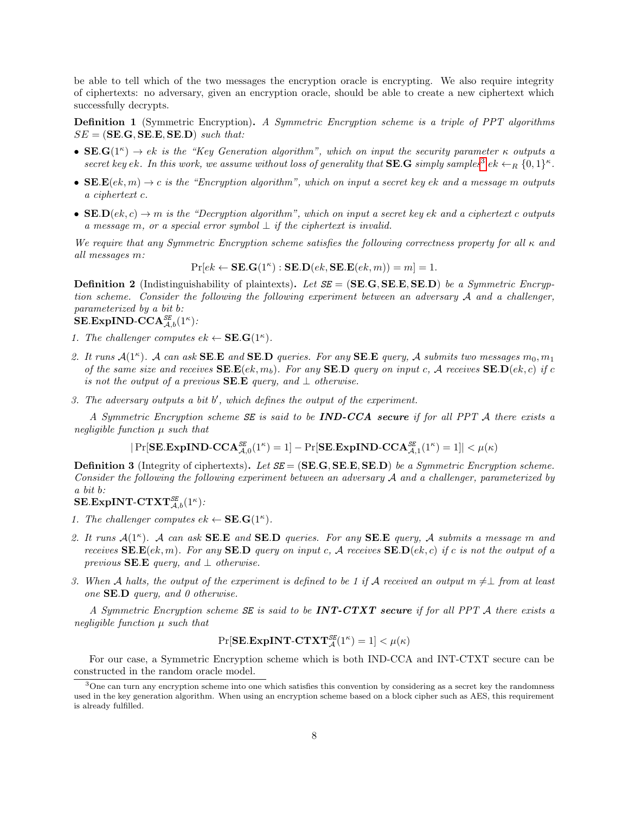be able to tell which of the two messages the encryption oracle is encrypting. We also require integrity of ciphertexts: no adversary, given an encryption oracle, should be able to create a new ciphertext which successfully decrypts.

**Definition 1** (Symmetric Encryption). A Symmetric Encryption scheme is a triple of PPT algorithms  $SE = (SE.G, SE.E, SE.D) \text{ such that:}$ 

- **SE.G**( $1^{\kappa}$ )  $\rightarrow$  ek is the "Key Generation algorithm", which on input the security parameter  $\kappa$  outputs a secret key ek. In this work, we assume without loss of generality that **SE.G** simply samples<sup>[3](#page-7-0)</sup> ek  $\leftarrow_R \{0,1\}^{\kappa}$ .
- SE.E(ek, m)  $\rightarrow$  c is the "Encryption algorithm", which on input a secret key ek and a message m outputs a ciphertext c.
- SE.D(ek, c)  $\rightarrow$  m is the "Decryption algorithm", which on input a secret key ek and a ciphertext c outputs a message m, or a special error symbol  $\perp$  if the ciphertext is invalid.

We require that any Symmetric Encryption scheme satisfies the following correctness property for all  $\kappa$  and all messages m:

 $Pr[ek \leftarrow \textbf{SE.G}(1^{\kappa}) : \textbf{SE.D}(ek, \textbf{SE.E}(ek, m)) = m] = 1.$ 

**Definition 2** (Indistinguishability of plaintexts). Let  $SE = (SE.G, SE.E, SE.D)$  be a Symmetric Encryption scheme. Consider the following the following experiment between an adversary A and a challenger, parameterized by a bit b:

 $\textbf{SE}.\textbf{ExpIND-CCA}^{\textit{SE}}_{\mathcal{A},b}(1^{\kappa})$  :

- 1. The challenger computes  $ek \leftarrow \mathbf{SE.G}(1^{\kappa}).$
- 2. It runs  $\mathcal{A}(1^{\kappa})$ . A can ask **SE.E** and **SE.D** queries. For any **SE.E** query, A submits two messages  $m_0, m_1$ of the same size and receives  $\mathbf{SE}.\mathbf{E}(ek, m_b)$ . For any  $\mathbf{SE}.\mathbf{D}$  query on input c, A receives  $\mathbf{SE}.\mathbf{D}(ek, c)$  if c is not the output of a previous SE.E query, and  $\perp$  otherwise.
- 3. The adversary outputs a bit  $b'$ , which defines the output of the experiment.

A Symmetric Encryption scheme SE is said to be **IND-CCA** secure if for all PPT A there exists a negligible function  $\mu$  such that

 $|\Pr[\mathbf{SE}.\mathbf{ExpIND}\text{-}\mathbf{CCA}_{\mathcal{A},0}^{\mathcal{SE}}(1^{\kappa})=1]-\Pr[\mathbf{SE}.\mathbf{ExpIND}\text{-}\mathbf{CCA}_{\mathcal{A},1}^{\mathcal{SE}}(1^{\kappa})=1]|<\mu(\kappa)$ 

**Definition 3** (Integrity of ciphertexts). Let  $SE = (SE.G, SE.E, SE.D)$  be a Symmetric Encryption scheme. Consider the following the following experiment between an adversary A and a challenger, parameterized by a bit b:

 $\textbf{SE}.\textbf{ExpINT-CTXT}_{\mathcal{A},b}^{\textit{SE}}(1^{\kappa})$  :

- 1. The challenger computes  $ek \leftarrow \mathbf{SE.G}(1^{\kappa}).$
- 2. It runs  $\mathcal{A}(1^{\kappa})$ . A can ask **SE.E** and **SE.D** queries. For any **SE.E** query, A submits a message m and receives  $\mathbf{SE}.\mathbf{E}(ek,m)$ . For any  $\mathbf{SE}.\mathbf{D}$  query on input c, A receives  $\mathbf{SE}.\mathbf{D}(ek, c)$  if c is not the output of a previous SE.E query, and  $\perp$  otherwise.
- 3. When A halts, the output of the experiment is defined to be 1 if A received an output  $m \neq \perp$  from at least one SE.D query, and 0 otherwise.

A Symmetric Encryption scheme SE is said to be **INT-CTXT** secure if for all PPT  $\mathcal A$  there exists a negligible function µ such that

$$
\Pr[\mathbf{SE}.\mathbf{ExpINT}\text{-}\mathbf{CTXT}_{\mathcal{A}}^{\mathcal{SE}}(1^{\kappa})=1]<\mu(\kappa)
$$

For our case, a Symmetric Encryption scheme which is both IND-CCA and INT-CTXT secure can be constructed in the random oracle model.

<span id="page-7-0"></span><sup>&</sup>lt;sup>3</sup>One can turn any encryption scheme into one which satisfies this convention by considering as a secret key the randomness used in the key generation algorithm. When using an encryption scheme based on a block cipher such as AES, this requirement is already fulfilled.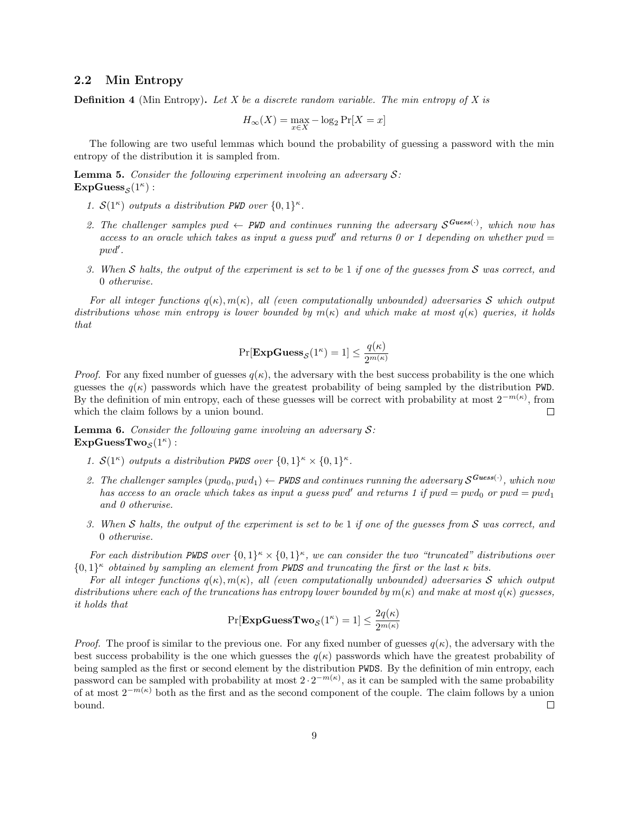#### 2.2 Min Entropy

**Definition 4** (Min Entropy). Let X be a discrete random variable. The min entropy of X is

$$
H_{\infty}(X) = \max_{x \in X} -\log_2 \Pr[X = x]
$$

The following are two useful lemmas which bound the probability of guessing a password with the min entropy of the distribution it is sampled from.

<span id="page-8-1"></span>**Lemma 5.** Consider the following experiment involving an adversary  $S$ :  $\mathbf{ExpG}$ uess $_{\mathcal{S}}(1^{\kappa})$ :

- 1.  $S(1^{\kappa})$  outputs a distribution PWD over  $\{0,1\}^{\kappa}$ .
- 2. The challenger samples pwd  $\leftarrow$  PWD and continues running the adversary  $\mathcal{S}^{Guess(\cdot)}$ , which now has access to an oracle which takes as input a guess pwd' and returns 0 or 1 depending on whether pwd =  $\text{pwd}'.$
- 3. When  $S$  halts, the output of the experiment is set to be 1 if one of the guesses from  $S$  was correct, and 0 otherwise.

For all integer functions  $q(\kappa), m(\kappa)$ , all (even computationally unbounded) adversaries S which output distributions whose min entropy is lower bounded by  $m(\kappa)$  and which make at most  $q(\kappa)$  queries, it holds that

$$
\Pr[\mathbf{ExpGuess}_{\mathcal{S}}(1^\kappa)=1]\leq \frac{q(\kappa)}{2^{m(\kappa)}}
$$

*Proof.* For any fixed number of guesses  $q(\kappa)$ , the adversary with the best success probability is the one which guesses the  $q(\kappa)$  passwords which have the greatest probability of being sampled by the distribution PWD. By the definition of min entropy, each of these guesses will be correct with probability at most  $2^{-m(\kappa)}$ , from which the claim follows by a union bound. П

<span id="page-8-0"></span>**Lemma 6.** Consider the following game involving an adversary  $S$ :  $\text{ExpG}$ uess $\text{Two}_{\mathcal{S}}(1^{\kappa})$ :

- 1.  $\mathcal{S}(1^{\kappa})$  outputs a distribution PWDS over  $\{0,1\}^{\kappa} \times \{0,1\}^{\kappa}$ .
- 2. The challenger samples  $(pwd_0, pwd_1) \leftarrow$  PWDS and continues running the adversary  $S^{Guess(\cdot)}$ , which now has access to an oracle which takes as input a quess pwd' and returns 1 if pwd = pwd<sub>0</sub> or pwd = pwd<sub>1</sub> and 0 otherwise.
- 3. When S halts, the output of the experiment is set to be 1 if one of the guesses from S was correct, and 0 otherwise.

For each distribution PWDS over  $\{0,1\}^{\kappa} \times \{0,1\}^{\kappa}$ , we can consider the two "truncated" distributions over  $\{0,1\}^{\kappa}$  obtained by sampling an element from PWDS and truncating the first or the last  $\kappa$  bits.

For all integer functions  $q(\kappa), m(\kappa)$ , all (even computationally unbounded) adversaries S which output distributions where each of the truncations has entropy lower bounded by  $m(\kappa)$  and make at most  $q(\kappa)$  guesses, it holds that

$$
\Pr[\mathbf{ExpGuessTwo}_{\mathcal{S}}(1^\kappa)=1]\leq \frac{2q(\kappa)}{2^{m(\kappa)}}
$$

*Proof.* The proof is similar to the previous one. For any fixed number of guesses  $q(\kappa)$ , the adversary with the best success probability is the one which guesses the  $q(\kappa)$  passwords which have the greatest probability of being sampled as the first or second element by the distribution PWDS. By the definition of min entropy, each password can be sampled with probability at most  $2 \cdot 2^{-m(\kappa)}$ , as it can be sampled with the same probability of at most  $2^{-m(k)}$  both as the first and as the second component of the couple. The claim follows by a union bound.  $\Box$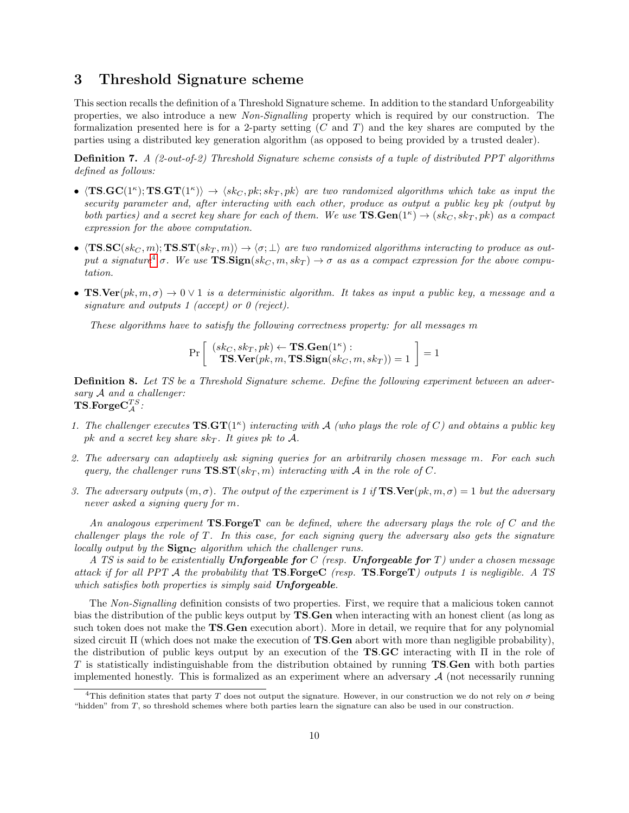# <span id="page-9-0"></span>3 Threshold Signature scheme

This section recalls the definition of a Threshold Signature scheme. In addition to the standard Unforgeability properties, we also introduce a new Non-Signalling property which is required by our construction. The formalization presented here is for a 2-party setting  $(C \text{ and } T)$  and the key shares are computed by the parties using a distributed key generation algorithm (as opposed to being provided by a trusted dealer).

**Definition 7.** A  $(2-out-of-2)$  Threshold Signature scheme consists of a tuple of distributed PPT algorithms defined as follows:

- $\langle TS.GC(1^{\kappa}); TS.GT(1^{\kappa})\rangle \rightarrow \langle sk_C, pk; sk_T, pk \rangle$  are two randomized algorithms which take as input the security parameter and, after interacting with each other, produce as output a public key pk (output by both parties) and a secret key share for each of them. We use  $TS.Gen(1^{\kappa}) \rightarrow (sk_C, sk_T, pk)$  as a compact expression for the above computation.
- $\langle \text{TS.SC}(sk_C, m); \text{TS.ST}(sk_T, m)\rangle \rightarrow \langle \sigma; \perp \rangle$  are two randomized algorithms interacting to produce as out-put a signature<sup>[4](#page-9-1)</sup>  $\sigma$ . We use  $TS.Sign(sk<sub>C</sub>, m, sk<sub>T</sub>) \rightarrow \sigma$  as as a compact expression for the above computation.
- TS. Ver $(pk, m, \sigma) \rightarrow 0 \vee 1$  is a deterministic algorithm. It takes as input a public key, a message and a signature and outputs 1 (accept) or 0 (reject).

These algorithms have to satisfy the following correctness property: for all messages m

$$
\Pr\left[\begin{array}{c} (sk_C, sk_T, pk) \leftarrow \textbf{TS}.\textbf{Gen}(1^{\kappa}) : \\ \textbf{TS}.\textbf{Ver}(pk, m, \textbf{TS}.\textbf{Sign}(sk_C, m, sk_T)) = 1 \end{array}\right] = 1
$$

<span id="page-9-2"></span>Definition 8. Let TS be a Threshold Signature scheme. Define the following experiment between an adversary  $A$  and a challenger:  $\mathrm{TS}.\mathrm{ForgeC}_\mathcal{A}^{TS}.$ 

- 1. The challenger executes  $TS.GT(1^{\kappa})$  interacting with A (who plays the role of C) and obtains a public key pk and a secret key share  $sk_T$ . It gives pk to A.
- 2. The adversary can adaptively ask signing queries for an arbitrarily chosen message m. For each such query, the challenger runs  $\text{TSST}(sk_T, m)$  interacting with A in the role of C.
- 3. The adversary outputs  $(m, \sigma)$ . The output of the experiment is 1 if **TS.Ver** $(pk, m, \sigma) = 1$  but the adversary never asked a signing query for m.

An analogous experiment **TS.ForgeT** can be defined, where the adversary plays the role of  $C$  and the challenger plays the role of  $T$ . In this case, for each signing query the adversary also gets the signature locally output by the  $Sign_C$  algorithm which the challenger runs.

A TS is said to be existentially Unforgeable for C (resp. Unforgeable for T) under a chosen message attack if for all PPT  $\mathcal A$  the probability that **TS.ForgeC** (resp. **TS.ForgeT**) outputs 1 is negligible. A TS which satisfies both properties is simply said **Unforgeable**.

The Non-Signalling definition consists of two properties. First, we require that a malicious token cannot bias the distribution of the public keys output by TS.Gen when interacting with an honest client (as long as such token does not make the **TS.Gen** execution abort). More in detail, we require that for any polynomial sized circuit  $\Pi$  (which does not make the execution of **TS.Gen** abort with more than negligible probability), the distribution of public keys output by an execution of the **TS.GC** interacting with  $\Pi$  in the role of T is statistically indistinguishable from the distribution obtained by running TS.Gen with both parties implemented honestly. This is formalized as an experiment where an adversary  $A$  (not necessarily running

<span id="page-9-1"></span><sup>&</sup>lt;sup>4</sup>This definition states that party T does not output the signature. However, in our construction we do not rely on  $\sigma$  being "hidden" from T, so threshold schemes where both parties learn the signature can also be used in our construction.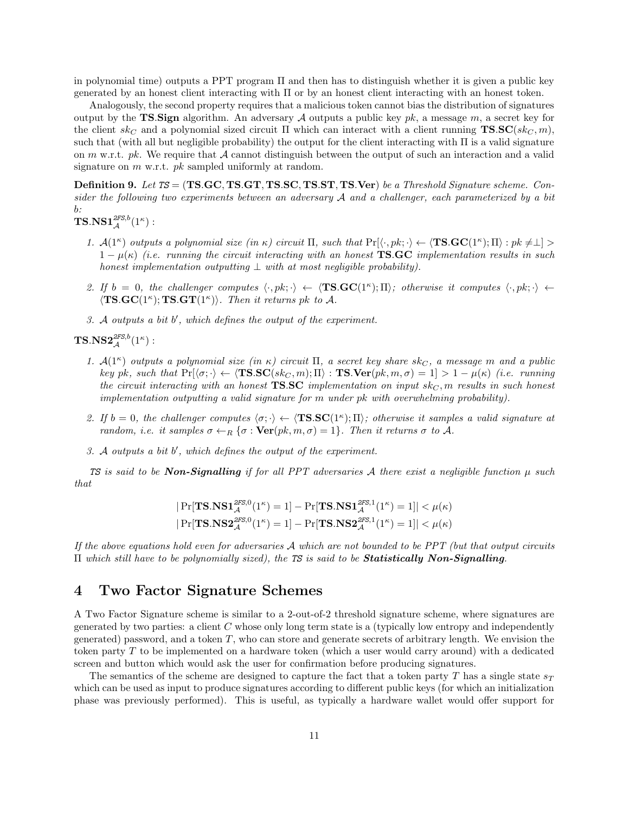in polynomial time) outputs a PPT program  $\Pi$  and then has to distinguish whether it is given a public key generated by an honest client interacting with Π or by an honest client interacting with an honest token.

Analogously, the second property requires that a malicious token cannot bias the distribution of signatures output by the TS.Sign algorithm. An adversary A outputs a public key  $pk$ , a message m, a secret key for the client sk<sub>C</sub> and a polynomial sized circuit Π which can interact with a client running  $\text{TS.SC}(sk_C, m)$ , such that (with all but negligible probability) the output for the client interacting with  $\Pi$  is a valid signature on m w.r.t.  $pk$ . We require that A cannot distinguish between the output of such an interaction and a valid signature on  $m$  w.r.t.  $pk$  sampled uniformly at random.

<span id="page-10-1"></span>Definition 9. Let  $TS = (TS.GC, TS.GT, TSSC, TSST, TSVer)$  be a Threshold Signature scheme. Consider the following two experiments between an adversary A and a challenger, each parameterized by a bit b:

 $\text{TS.NS1}^{\text{2FS},b}_{\mathcal{A}}(1^\kappa)$  :

- 1.  $\mathcal{A}(1^{\kappa})$  outputs a polynomial size (in  $\kappa$ ) circuit  $\Pi$ , such that  $\Pr[\langle \cdot, pk; \cdot \rangle \leftarrow \langle \mathbf{TS.GC}(1^{\kappa}); \Pi \rangle : pk \neq \bot] >$  $1 - \mu(\kappa)$  (i.e. running the circuit interacting with an honest **TS.GC** implementation results in such honest implementation outputting  $\perp$  with at most negligible probability).
- 2. If  $b = 0$ , the challenger computes  $\langle \cdot, pk; \cdot \rangle \leftarrow \langle \textbf{TS.GC}(1^{\kappa}); \Pi \rangle$ ; otherwise it computes  $\langle \cdot, pk; \cdot \rangle \leftarrow \langle \textbf{TS.GC}(1^{\kappa}); \Pi \rangle$  $\langle TS.GC(1^{\kappa}); TS.GT(1^{\kappa})\rangle$ . Then it returns pk to A.
- $3.$  A outputs a bit  $b'$ , which defines the output of the experiment.

 $\text{TS.NS2}^{\text{2FS},b}_{\mathcal{A}}(1^\kappa)$  :

- 1.  $A(1^{\kappa})$  outputs a polynomial size (in  $\kappa$ ) circuit  $\Pi$ , a secret key share skc, a message m and a public key pk, such that  $Pr[\langle \sigma; \cdot \rangle \leftarrow \langle \textbf{TS}.\textbf{SC}(sk_C, m); \Pi \rangle : \textbf{TS}.\textbf{Ver}(pk, m, \sigma) = 1] > 1 - \mu(\kappa)$  (i.e. running the circuit interacting with an honest **TS.SC** implementation on input  $sk_C$ , m results in such honest implementation outputting a valid signature for m under pk with overwhelming probability).
- 2. If  $b = 0$ , the challenger computes  $\langle \sigma; \cdot \rangle \leftarrow \langle \textbf{TS}.\textbf{SC}(1\kappa); \Pi \rangle$ ; otherwise it samples a valid signature at random, i.e. it samples  $\sigma \leftarrow_R \{\sigma : \textbf{Ver}(pk, m, \sigma) = 1\}$ . Then it returns  $\sigma$  to A.
- $3.$  A outputs a bit  $b'$ , which defines the output of the experiment.

TS is said to be Non-Signalling if for all PPT adversaries A there exist a negligible function  $\mu$  such that

$$
\begin{aligned} |\Pr[\mathbf{T S.} \mathbf{NS1}^{2FS,0}_{\mathcal{A}}(1^{\kappa})=1]-\Pr[\mathbf{T S.} \mathbf{NS1}^{2FS,1}_{\mathcal{A}}(1^{\kappa})=1]|<\mu(\kappa) \\ |\Pr[\mathbf{T S.} \mathbf{NS2}^{2FS,0}_{\mathcal{A}}(1^{\kappa})=1]-\Pr[\mathbf{T S.} \mathbf{NS2}^{2FS,1}_{\mathcal{A}}(1^{\kappa})=1]|<\mu(\kappa) \end{aligned}
$$

If the above equations hold even for adversaries  $A$  which are not bounded to be  $PPT$  (but that output circuits  $\Pi$  which still have to be polynomially sized), the TS is said to be **Statistically Non-Signalling**.

## <span id="page-10-0"></span>4 Two Factor Signature Schemes

A Two Factor Signature scheme is similar to a 2-out-of-2 threshold signature scheme, where signatures are generated by two parties: a client C whose only long term state is a (typically low entropy and independently generated) password, and a token  $T$ , who can store and generate secrets of arbitrary length. We envision the token party T to be implemented on a hardware token (which a user would carry around) with a dedicated screen and button which would ask the user for confirmation before producing signatures.

The semantics of the scheme are designed to capture the fact that a token party T has a single state  $s_T$ which can be used as input to produce signatures according to different public keys (for which an initialization phase was previously performed). This is useful, as typically a hardware wallet would offer support for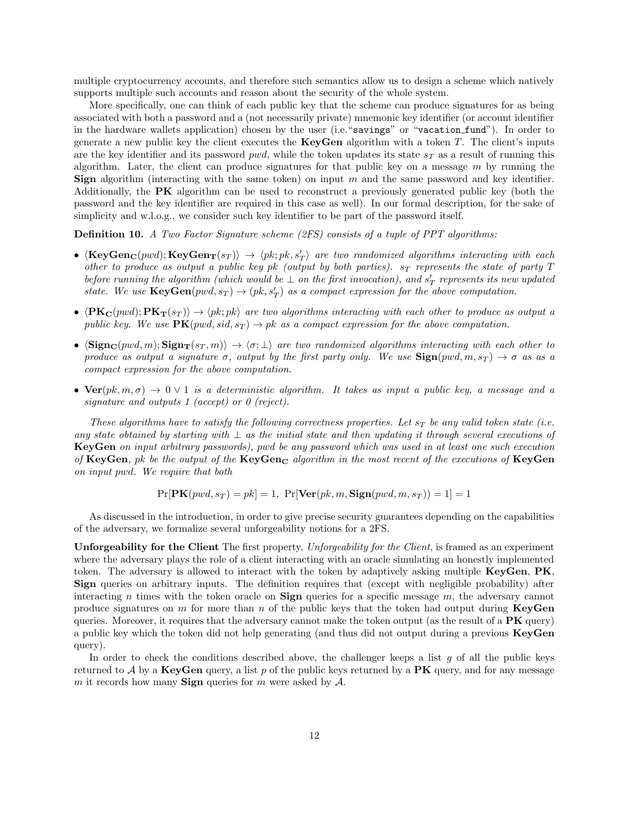multiple cryptocurrency accounts, and therefore such semantics allow us to design a scheme which natively supports multiple such accounts and reason about the security of the whole system.

More specifically, one can think of each public key that the scheme can produce signatures for as being associated with both a password and a (not necessarily private) mnemonic key identifier (or account identifier in the hardware wallets application) chosen by the user (i.e."savings" or "vacation fund"). In order to generate a new public key the client executes the  $KeyGen$  algorithm with a token  $T$ . The client's inputs are the key identifier and its password pwd, while the token updates its state  $s_T$  as a result of running this algorithm. Later, the client can produce signatures for that public key on a message  $m$  by running the **Sign** algorithm (interacting with the same token) on input  $m$  and the same password and key identifier. Additionally, the PK algorithm can be used to reconstruct a previously generated public key (both the password and the key identifier are required in this case as well). In our formal description, for the sake of simplicity and w.l.o.g., we consider such key identifier to be part of the password itself.

**Definition 10.** A Two Factor Signature scheme (2FS) consists of a tuple of PPT algorithms:

- $\langle \textbf{KeyGen}_{\mathbf{C}}(pwd); \textbf{KeyGen}_{\mathbf{T}}(s_T) \rangle \rightarrow \langle pk; pk, s_T' \rangle$  are two randomized algorithms interacting with each other to produce as output a public key pk (output by both parties).  $s_T$  represents the state of party T before running the algorithm (which would be  $\perp$  on the first invocation), and  $s_T'$  represents its new updated state. We use  $\text{KeyGen}(pwd, s_T) \rightarrow (pk, s_T')$  as a compact expression for the above computation.
- $\langle P\mathbf{K_C}(pwd); P\mathbf{K_T}(s_T) \rangle \rightarrow \langle pk; pk \rangle$  are two algorithms interacting with each other to produce as output a public key. We use  $PK(pwd, sid, s_T) \rightarrow pk$  as a compact expression for the above computation.
- $\langle$ Sign<sub>C</sub>(pwd, m); Sign<sub>T</sub>(s<sub>T</sub>, m))  $\rightarrow \langle \sigma ; \bot \rangle$  are two randomized algorithms interacting with each other to produce as output a signature  $\sigma$ , output by the first party only. We use  $\text{Sign}(pwd, m, s_T) \rightarrow \sigma$  as as a compact expression for the above computation.
- $\textbf{Ver}(pk, m, \sigma) \rightarrow 0 \vee 1$  is a deterministic algorithm. It takes as input a public key, a message and a signature and outputs 1 (accept) or 0 (reject).

These algorithms have to satisfy the following correctness properties. Let  $s_T$  be any valid token state (i.e. any state obtained by starting with  $\perp$  as the initial state and then updating it through several executions of KeyGen on input arbitrary passwords), pwd be any password which was used in at least one such execution of KeyGen, pk be the output of the KeyGen<sub>C</sub> algorithm in the most recent of the executions of KeyGen on input pwd. We require that both

$$
Pr[\mathbf{PK}(pwd, s_T) = pk] = 1, Pr[\mathbf{Ver}(pk, m, \mathbf{Sign}(pwd, m, s_T)) = 1] = 1
$$

As discussed in the introduction, in order to give precise security guarantees depending on the capabilities of the adversary, we formalize several unforgeability notions for a 2FS.

Unforgeability for the Client The first property, Unforgeability for the Client, is framed as an experiment where the adversary plays the role of a client interacting with an oracle simulating an honestly implemented token. The adversary is allowed to interact with the token by adaptively asking multiple KeyGen, PK, Sign queries on arbitrary inputs. The definition requires that (except with negligible probability) after interacting n times with the token oracle on **Sign** queries for a specific message  $m$ , the adversary cannot produce signatures on m for more than n of the public keys that the token had output during **KeyGen** queries. Moreover, it requires that the adversary cannot make the token output (as the result of a  $PK$  query) a public key which the token did not help generating (and thus did not output during a previous KeyGen query).

In order to check the conditions described above, the challenger keeps a list q of all the public keys returned to A by a KeyGen query, a list p of the public keys returned by a PK query, and for any message m it records how many **Sign** queries for m were asked by  $A$ .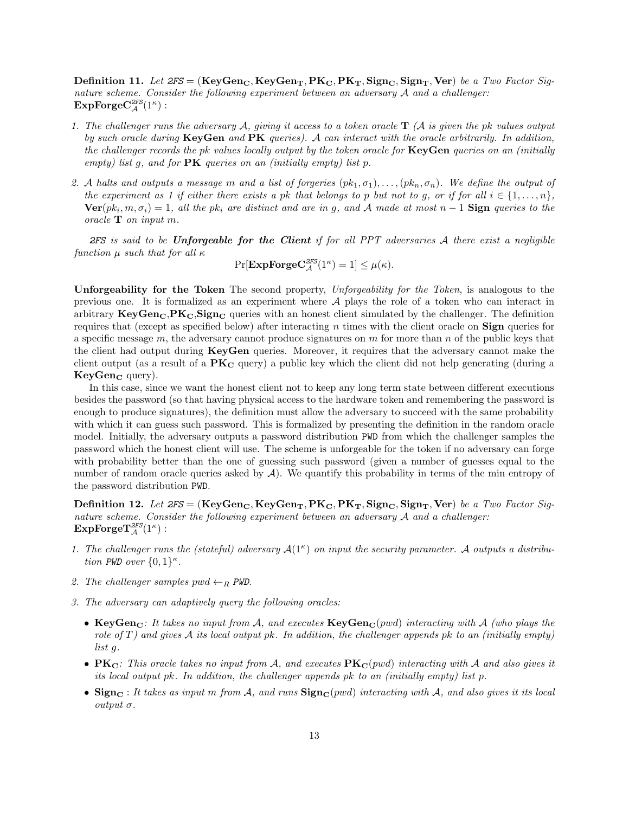**Definition 11.** Let  $2FS = (\text{KevGen}_{\mathbb{C}}, \text{KevGen}_{\mathbb{C}}, PK_{\mathbb{C}}, PK_{\mathbb{C}}, \text{Sign}_{\mathbb{C}}, \text{Sign}_{\mathbb{C}}, \text{Ver})$  be a Two Factor Signature scheme. Consider the following experiment between an adversary  $A$  and a challenger:  $\mathbf{ExpForgeC}_\mathcal{A}^\mathit{2FS}(1^\kappa)$  :

- 1. The challenger runs the adversary A, giving it access to a token oracle  $T(A)$  is given the pk values output by such oracle during  $KeyGen$  and  $PK$  queries). A can interact with the oracle arbitrarily. In addition, the challenger records the pk values locally output by the token oracle for  $KeyGen$  queries on an (initially empty) list g, and for  $\mathbf{P}K$  queries on an (initially empty) list p.
- 2. A halts and outputs a message m and a list of forgeries  $(pk_1, \sigma_1), \ldots, (pk_n, \sigma_n)$ . We define the output of the experiment as 1 if either there exists a pk that belongs to p but not to g, or if for all  $i \in \{1, \ldots, n\}$ ,  $\textbf{Ver}(pk_i, m, \sigma_i) = 1$ , all the pk<sub>i</sub> are distinct and are in g, and A made at most n – 1 **Sign** queries to the oracle T on input m.

 $2FS$  is said to be Unforgeable for the Client if for all PPT adversaries A there exist a negligible function  $\mu$  such that for all  $\kappa$ 

 $Pr[\textbf{ExpForce}_{\mathcal{A}}^{2FS}(1^{\kappa})=1] \leq \mu(\kappa).$ 

Unforgeability for the Token The second property, Unforgeability for the Token, is analogous to the previous one. It is formalized as an experiment where  $A$  plays the role of a token who can interact in arbitrary  $KeyGen_C, PK_C, Sign_C$  queries with an honest client simulated by the challenger. The definition requires that (except as specified below) after interacting  $n$  times with the client oracle on **Sign** queries for a specific message m, the adversary cannot produce signatures on  $m$  for more than  $n$  of the public keys that the client had output during KeyGen queries. Moreover, it requires that the adversary cannot make the client output (as a result of a  $PK_C$  query) a public key which the client did not help generating (during a  $KeyGen_C$  query).

In this case, since we want the honest client not to keep any long term state between different executions besides the password (so that having physical access to the hardware token and remembering the password is enough to produce signatures), the definition must allow the adversary to succeed with the same probability with which it can guess such password. This is formalized by presenting the definition in the random oracle model. Initially, the adversary outputs a password distribution PWD from which the challenger samples the password which the honest client will use. The scheme is unforgeable for the token if no adversary can forge with probability better than the one of guessing such password (given a number of guesses equal to the number of random oracle queries asked by  $A$ ). We quantify this probability in terms of the min entropy of the password distribution PWD.

**Definition 12.** Let  $2FS = (KeyGen_C, KeyGen_T, PK_C, PK_T, Sign_C, Sign_T, Ver)$  be a Two Factor Signature scheme. Consider the following experiment between an adversary A and a challenger:  $\text{ExpForgeT}_{\mathcal{A}}^{\textit{2FS}}(1^{\kappa})$  :

- 1. The challenger runs the (stateful) adversary  $A(1^{\kappa})$  on input the security parameter. A outputs a distribution PWD over  $\{0,1\}^{\kappa}$ .
- 2. The challenger samples  $pwd \leftarrow_R PWD$ .
- 3. The adversary can adaptively query the following oracles:
	- KeyGen<sub>C</sub>: It takes no input from A, and executes  $KeyGen_C(pwd)$  interacting with A (who plays the role of T) and gives A its local output pk. In addition, the challenger appends pk to an (initially empty) list g.
	- $PK<sub>C</sub>$ : This oracle takes no input from A, and executes  $PK<sub>C</sub>(pwd)$  interacting with A and also gives it its local output pk. In addition, the challenger appends pk to an (initially empty) list p.
	- Sign<sub>C</sub>: It takes as input m from A, and runs  $Sign_C(pwd)$  interacting with A, and also gives it its local  $output \sigma$ .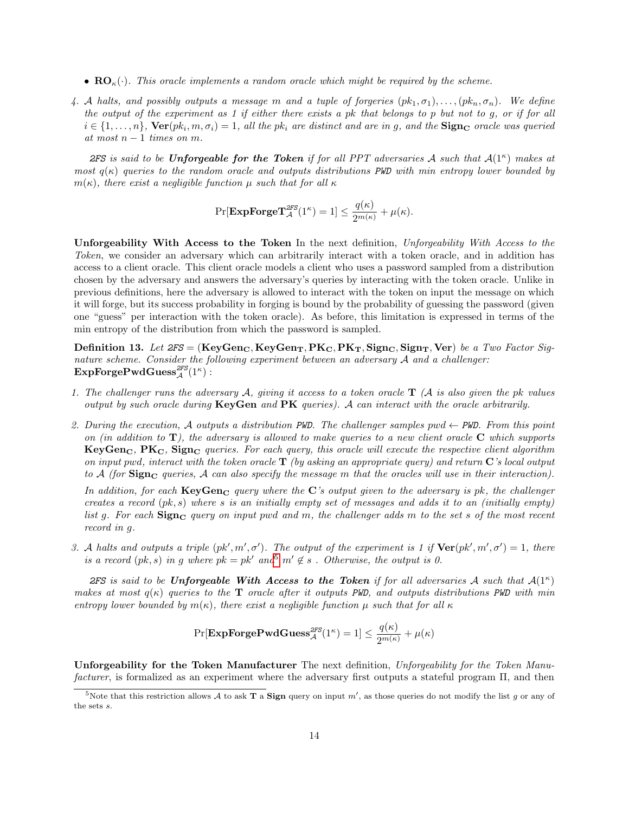- $\mathbf{RO}_{\kappa}(\cdot)$ . This oracle implements a random oracle which might be required by the scheme.
- 4. A halts, and possibly outputs a message m and a tuple of forgeries  $(pk_1, \sigma_1), \ldots, (pk_n, \sigma_n)$ . We define the output of the experiment as 1 if either there exists a pk that belongs to p but not to g, or if for all  $i \in \{1,\ldots,n\}$ ,  $\textbf{Ver}(pk_i, m, \sigma_i) = 1$ , all the pk<sub>i</sub> are distinct and are in g, and the  $\textbf{Sign}_{\mathbf{C}}$  oracle was queried at most  $n-1$  times on m.

**2FS** is said to be **Unforgeable for the Token** if for all PPT adversaries A such that  $A(1^{\kappa})$  makes at most  $q(\kappa)$  queries to the random oracle and outputs distributions PWD with min entropy lower bounded by  $m(\kappa)$ , there exist a negligible function  $\mu$  such that for all  $\kappa$ 

$$
\Pr[\mathbf{ExpForgeT}_{\mathcal{A}}^{\mathcal{ZFS}}(1^{\kappa})=1] \le \frac{q(\kappa)}{2^{m(\kappa)}} + \mu(\kappa).
$$

Unforgeability With Access to the Token In the next definition, Unforgeability With Access to the Token, we consider an adversary which can arbitrarily interact with a token oracle, and in addition has access to a client oracle. This client oracle models a client who uses a password sampled from a distribution chosen by the adversary and answers the adversary's queries by interacting with the token oracle. Unlike in previous definitions, here the adversary is allowed to interact with the token on input the message on which it will forge, but its success probability in forging is bound by the probability of guessing the password (given one "guess" per interaction with the token oracle). As before, this limitation is expressed in terms of the min entropy of the distribution from which the password is sampled.

**Definition 13.** Let  $2FS = (KeyGen_C, KeyGen_T, PK_C, PK_T, Sign_C, Sign_T, Ver)$  be a Two Factor Signature scheme. Consider the following experiment between an adversary  $A$  and a challenger:  $\text{ExpForgePwdGuess}_{\mathcal{A}}^{\text{ZFS}}(1^{\kappa}):$ 

- 1. The challenger runs the adversary A, giving it access to a token oracle  $T(A)$  is also given the pk values output by such oracle during  $KeyGen$  and  $PK$  queries). A can interact with the oracle arbitrarily.
- 2. During the execution, A outputs a distribution PWD. The challenger samples pwd  $\leftarrow$  PWD. From this point on (in addition to  $\mathbf{T}$ ), the adversary is allowed to make queries to a new client oracle  $\mathbf{C}$  which supports  $KeyGen_{C}$ ,  $PK_{C}$ ,  $Sign_{C}$  queries. For each query, this oracle will execute the respective client algorithm on input pwd, interact with the token oracle  $T$  (by asking an appropriate query) and return  $C$ 's local output to A (for  $\text{Sign}_{\text{C}}$  queries, A can also specify the message m that the oracles will use in their interaction).

In addition, for each  $\text{KeyGen}_{\text{C}}$  query where the C's output given to the adversary is pk, the challenger creates a record  $(pk, s)$  where s is an initially empty set of messages and adds it to an (initially empty) list q. For each  $\operatorname{Sign}_{\mathbf{C}}$  query on input pwd and m, the challenger adds m to the set s of the most recent record in g.

3. A halts and outputs a triple  $(pk', m', \sigma')$ . The output of the experiment is 1 if  $\text{Ver}(pk', m', \sigma') = 1$ , there is a record (pk, s) in q where  $pk = pk'$  and<sup>[5](#page-13-0)</sup> m'  $\notin s$ . Otherwise, the output is 0.

2FS is said to be Unforgeable With Access to the Token if for all adversaries A such that  $\mathcal{A}(1^{\kappa})$ makes at most  $q(\kappa)$  queries to the **T** oracle after it outputs PWD, and outputs distributions PWD with min entropy lower bounded by  $m(\kappa)$ , there exist a negligible function  $\mu$  such that for all  $\kappa$ 

$$
\Pr[\text{ExpForgePwdG} \text{uess}_{\mathcal{A}}^{\text{2FS}}(1^{\kappa}) = 1] \le \frac{q(\kappa)}{2^{m(\kappa)}} + \mu(\kappa)
$$

Unforgeability for the Token Manufacturer The next definition, Unforgeability for the Token Manufacturer, is formalized as an experiment where the adversary first outputs a stateful program Π, and then

<span id="page-13-0"></span><sup>&</sup>lt;sup>5</sup>Note that this restriction allows A to ask **T** a **Sign** query on input  $m'$ , as those queries do not modify the list g or any of the sets s.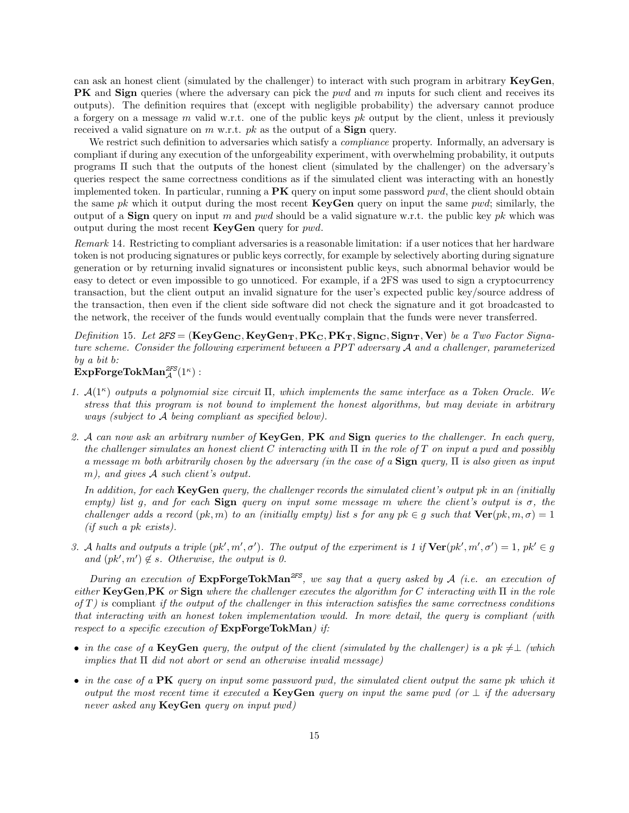can ask an honest client (simulated by the challenger) to interact with such program in arbitrary  $\text{KeyGen}$ , **PK** and **Sign** queries (where the adversary can pick the *pwd* and m inputs for such client and receives its outputs). The definition requires that (except with negligible probability) the adversary cannot produce a forgery on a message m valid w.r.t. one of the public keys  $pk$  output by the client, unless it previously received a valid signature on  $m$  w.r.t.  $pk$  as the output of a **Sign** query.

We restrict such definition to adversaries which satisfy a *compliance* property. Informally, an adversary is compliant if during any execution of the unforgeability experiment, with overwhelming probability, it outputs programs Π such that the outputs of the honest client (simulated by the challenger) on the adversary's queries respect the same correctness conditions as if the simulated client was interacting with an honestly implemented token. In particular, running a  $PK$  query on input some password  $pwd$ , the client should obtain the same pk which it output during the most recent  $KeyGen$  query on input the same pwd; similarly, the output of a **Sign** query on input m and pwd should be a valid signature w.r.t. the public key pk which was output during the most recent  $KeyGen$  query for pwd.

Remark 14. Restricting to compliant adversaries is a reasonable limitation: if a user notices that her hardware token is not producing signatures or public keys correctly, for example by selectively aborting during signature generation or by returning invalid signatures or inconsistent public keys, such abnormal behavior would be easy to detect or even impossible to go unnoticed. For example, if a 2FS was used to sign a cryptocurrency transaction, but the client output an invalid signature for the user's expected public key/source address of the transaction, then even if the client side software did not check the signature and it got broadcasted to the network, the receiver of the funds would eventually complain that the funds were never transferred.

<span id="page-14-0"></span>Definition 15. Let  $2FS = (\text{KeyGen}_{C}, \text{KeyGen}_{T}, PK_{C}, PK_{T}, \text{Sign}_{C}, \text{Sign}_{T}, \text{Ver})$  be a Two Factor Signature scheme. Consider the following experiment between a PPT adversary A and a challenger, parameterized by a bit b:

 $\operatorname{ExpForgeTokMan}^{2FS}_\mathcal{A}(1^\kappa)$  :

- 1.  $A(1^{\kappa})$  outputs a polynomial size circuit  $\Pi$ , which implements the same interface as a Token Oracle. We stress that this program is not bound to implement the honest algorithms, but may deviate in arbitrary ways (subject to A being compliant as specified below).
- 2. A can now ask an arbitrary number of  $KeyGen$ , PK and  $Sign$  queries to the challenger. In each query, the challenger simulates an honest client C interacting with  $\Pi$  in the role of T on input a pwd and possibly a message m both arbitrarily chosen by the adversary (in the case of a Sign query,  $\Pi$  is also given as input m), and gives A such client's output.

In addition, for each  $KeyGen$  query, the challenger records the simulated client's output pk in an (initially empty) list g, and for each **Sign** query on input some message m where the client's output is  $\sigma$ , the challenger adds a record  $(pk, m)$  to an (initially empty) list s for any  $pk \in g$  such that  $\text{Ver}(pk, m, \sigma) = 1$ (if such a pk exists).

3. A halts and outputs a triple  $(pk', m', \sigma')$ . The output of the experiment is 1 if  $\textbf{Ver}(pk', m', \sigma') = 1$ ,  $pk' \in g$ and  $(pk', m') \notin s$ . Otherwise, the output is 0.

During an execution of  $\text{ExpForgeTokMan}^{2FS}$ , we say that a query asked by A (i.e. an execution of either KeyGen, PK or Sign where the challenger executes the algorithm for C interacting with  $\Pi$  in the role of  $T$ ) is compliant if the output of the challenger in this interaction satisfies the same correctness conditions that interacting with an honest token implementation would. In more detail, the query is compliant (with respect to a specific execution of  $\text{ExpForgeTokMan}$  if:

- in the case of a KeyGen query, the output of the client (simulated by the challenger) is a pk  $\neq \perp$  (which implies that  $\Pi$  did not abort or send an otherwise invalid message)
- in the case of a  $PK$  query on input some password pwd, the simulated client output the same pk which it output the most recent time it executed a KeyGen query on input the same pwd (or  $\perp$  if the adversary never asked any **KeyGen** query on input pwd)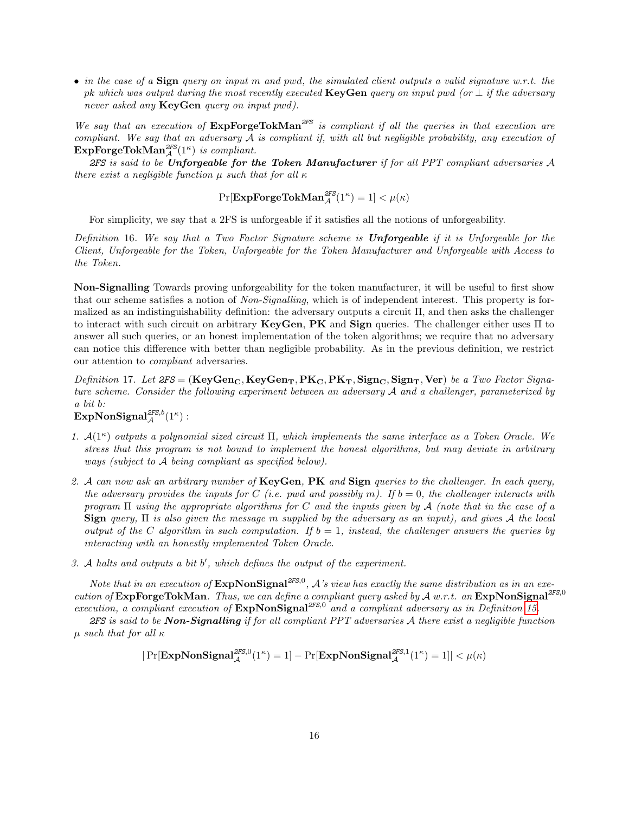• in the case of a  ${\bf Sign}$  query on input m and pwd, the simulated client outputs a valid signature w.r.t. the pk which was output during the most recently executed  $\bf{KeyGen}$  query on input pwd (or  $\perp$  if the adversary never asked any **KeyGen** query on input pwd).

We say that an execution of  $\text{ExpForgeTokMan}^{2FS}$  is compliant if all the queries in that execution are compliant. We say that an adversary  $A$  is compliant if, with all but negligible probability, any execution of  $\text{ExpForgeTokMan}_{\mathcal{A}}^{\text{2FS}}(1^{\kappa})$  is compliant.

 $2FS$  is said to be Unforgeable for the Token Manufacturer if for all PPT compliant adversaries  $A$ there exist a negligible function  $\mu$  such that for all  $\kappa$ 

$$
\Pr[\textbf{ExpForgeTokMan}^\textit{2FS}_{\mathcal{A}}(1^\kappa)=1]<\mu(\kappa)
$$

For simplicity, we say that a 2FS is unforgeable if it satisfies all the notions of unforgeability.

Definition 16. We say that a Two Factor Signature scheme is **Unforgeable** if it is Unforgeable for the Client, Unforgeable for the Token, Unforgeable for the Token Manufacturer and Unforgeable with Access to the Token.

Non-Signalling Towards proving unforgeability for the token manufacturer, it will be useful to first show that our scheme satisfies a notion of Non-Signalling, which is of independent interest. This property is formalized as an indistinguishability definition: the adversary outputs a circuit Π, and then asks the challenger to interact with such circuit on arbitrary KeyGen, PK and Sign queries. The challenger either uses  $\Pi$  to answer all such queries, or an honest implementation of the token algorithms; we require that no adversary can notice this difference with better than negligible probability. As in the previous definition, we restrict our attention to compliant adversaries.

Definition 17. Let  $2FS = (\text{KeyGen}_{C}, \text{KeyGen}_{T}, PK_{C}, PK_{T}, \text{Sign}_{C}, \text{Sign}_{T}, \text{Ver})$  be a Two Factor Signature scheme. Consider the following experiment between an adversary A and a challenger, parameterized by a bit b:

 $\mathrm{ExpNonSignal}_{\mathcal{A}}^{\mathit{2FS},b}(1^{\kappa})$  :

- 1.  $A(1^{\kappa})$  outputs a polynomial sized circuit  $\Pi$ , which implements the same interface as a Token Oracle. We stress that this program is not bound to implement the honest algorithms, but may deviate in arbitrary ways (subject to A being compliant as specified below).
- 2. A can now ask an arbitrary number of  $KeyGen$ , PK and  $Sign$  queries to the challenger. In each query, the adversary provides the inputs for C (i.e. pwd and possibly m). If  $b = 0$ , the challenger interacts with program  $\Pi$  using the appropriate algorithms for C and the inputs given by A (note that in the case of a Sign query, Π is also given the message m supplied by the adversary as an input), and gives A the local output of the C algorithm in such computation. If  $b = 1$ , instead, the challenger answers the queries by interacting with an honestly implemented Token Oracle.
- 3. A halts and outputs a bit  $b'$ , which defines the output of the experiment.

Note that in an execution of  $\text{ExpNonSignal}^{2FS,0}$ , A's view has exactly the same distribution as in an execution of ExpForgeTokMan. Thus, we can define a compliant query asked by  $\mathcal A$  w.r.t. an ExpNonSignal<sup>2FS,0</sup> execution, a compliant execution of  $\text{ExpNonSignal}^{2FS,0}$  and a compliant adversary as in Definition [15.](#page-14-0)

 $2FS$  is said to be Non-Signalling if for all compliant PPT adversaries A there exist a negligible function  $\mu$  such that for all  $\kappa$ 

$$
|\Pr[\text{ExpNonSignal}_{\mathcal{A}}^{\text{ZF},0}(1^{\kappa})=1]-\Pr[\text{ExpNonSignal}_{\mathcal{A}}^{\text{ZF},1}(1^{\kappa})=1]|<\mu(\kappa)
$$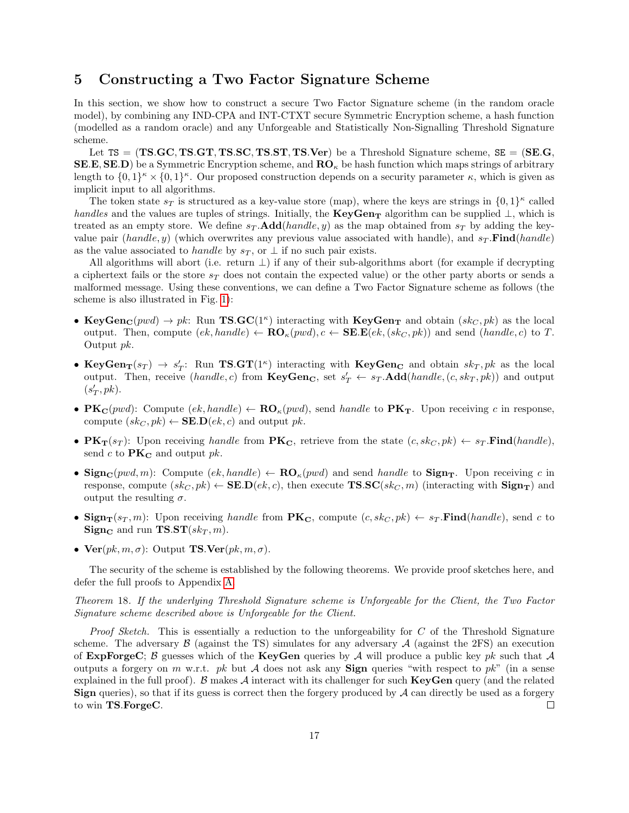## <span id="page-16-0"></span>5 Constructing a Two Factor Signature Scheme

In this section, we show how to construct a secure Two Factor Signature scheme (in the random oracle model), by combining any IND-CPA and INT-CTXT secure Symmetric Encryption scheme, a hash function (modelled as a random oracle) and any Unforgeable and Statistically Non-Signalling Threshold Signature scheme.

Let  $TS = (TS.GC, TS.GT, TS.SC, TS.ST, TS.Ver)$  be a Threshold Signature scheme,  $SE = (SE.G,$ **SE.E, SE.D**) be a Symmetric Encryption scheme, and  $\mathbf{RO}_{\kappa}$  be hash function which maps strings of arbitrary length to  $\{0,1\}^{\kappa} \times \{0,1\}^{\kappa}$ . Our proposed construction depends on a security parameter  $\kappa$ , which is given as implicit input to all algorithms.

The token state  $s_T$  is structured as a key-value store (map), where the keys are strings in  $\{0,1\}^{\kappa}$  called handles and the values are tuples of strings. Initially, the KeyGen<sub>T</sub> algorithm can be supplied  $\perp$ , which is treated as an empty store. We define  $s_T \cdot \text{Add}(\text{handle}, y)$  as the map obtained from  $s_T$  by adding the keyvalue pair (handle, y) (which overwrites any previous value associated with handle), and  $s_T$  Find(handle) as the value associated to *handle* by  $s_T$ , or  $\perp$  if no such pair exists.

All algorithms will abort (i.e. return  $\perp$ ) if any of their sub-algorithms abort (for example if decrypting a ciphertext fails or the store  $s_T$  does not contain the expected value) or the other party aborts or sends a malformed message. Using these conventions, we can define a Two Factor Signature scheme as follows (the scheme is also illustrated in Fig. [1\)](#page-17-0):

- KeyGen<sub>C</sub>(pwd)  $\rightarrow$  pk: Run TS.GC(1<sup>k</sup>) interacting with KeyGen<sub>T</sub> and obtain (sk<sub>C</sub>, pk) as the local output. Then, compute  $(ek, handle) \leftarrow \mathbf{RO}_{\kappa}(pwd), c \leftarrow \mathbf{SE} \cdot \mathbf{E}(ek, (sk_C, pk))$  and send  $(handle, c)$  to T. Output pk.
- KeyGen<sub>T</sub>(s<sub>T</sub>)  $\rightarrow$  s'<sub>T</sub>: Run TS.GT(1<sup>k</sup>) interacting with KeyGen<sub>C</sub> and obtain sk<sub>T</sub>, pk as the local output. Then, receive  $(handle, c)$  from  $KeyGen_C$ , set  $s'_T \leftarrow s_T \cdot Add(handle, (c, sk_T, pk))$  and output  $(s'_T, pk)$ .
- $PK_C(pwd)$ : Compute  $(ek, handle) \leftarrow \mathbf{RO}_{\kappa}(pwd)$ , send handle to  $\mathbf{PK_T}$ . Upon receiving c in response, compute  $(sk_C, pk) \leftarrow \mathbf{SE}.\mathbf{D}(ek, c)$  and output pk.
- $\mathbf{P}K_{\mathbf{T}}(s_T)$ : Upon receiving handle from  $\mathbf{P}K_{\mathbf{C}}$ , retrieve from the state  $(c, sk_C, pk) \leftarrow s_T \cdot \mathbf{Find}(handle)$ , send c to  $\mathbf{PK_C}$  and output pk.
- Sign<sub>C</sub>(pwd, m): Compute (ek, handle)  $\leftarrow \mathbf{RO}_{\kappa}(pwd)$  and send handle to Sign<sub>T</sub>. Upon receiving c in response, compute  $(sk_C, pk) \leftarrow \textbf{SE.D}(ek, c)$ , then execute  $\textbf{TS.SC}(sk_C, m)$  (interacting with  $\textbf{Sign}_{\textbf{T}}$ ) and output the resulting  $\sigma$ .
- Sign<sub>T</sub> $(s_T, m)$ : Upon receiving handle from  $PK_C$ , compute  $(c, sk_C, pk) \leftarrow s_T$ . Find(handle), send c to  $\mathbf{Sign}_{\mathbf{C}}$  and run  $\mathbf{TS}.\mathbf{ST}(sk_T, m)$ .
- $\mathbf{Ver}(pk, m, \sigma)$ : Output **TS.**  $\mathbf{Ver}(pk, m, \sigma)$ .

The security of the scheme is established by the following theorems. We provide proof sketches here, and defer the full proofs to Appendix [A.](#page-25-14)

<span id="page-16-1"></span>Theorem 18. If the underlying Threshold Signature scheme is Unforgeable for the Client, the Two Factor Signature scheme described above is Unforgeable for the Client.

*Proof Sketch.* This is essentially a reduction to the unforgeability for  $C$  of the Threshold Signature scheme. The adversary  $\beta$  (against the TS) simulates for any adversary  $\beta$  (against the 2FS) an execution of **ExpForgeC**; B guesses which of the **KeyGen** queries by A will produce a public key pk such that A outputs a forgery on m w.r.t. pk but A does not ask any **Sign** queries "with respect to pk" (in a sense explained in the full proof). B makes A interact with its challenger for such  $\text{KeyGen}$  query (and the related **Sign** queries), so that if its guess is correct then the forgery produced by  $A$  can directly be used as a forgery to win TS.ForgeC.  $\Box$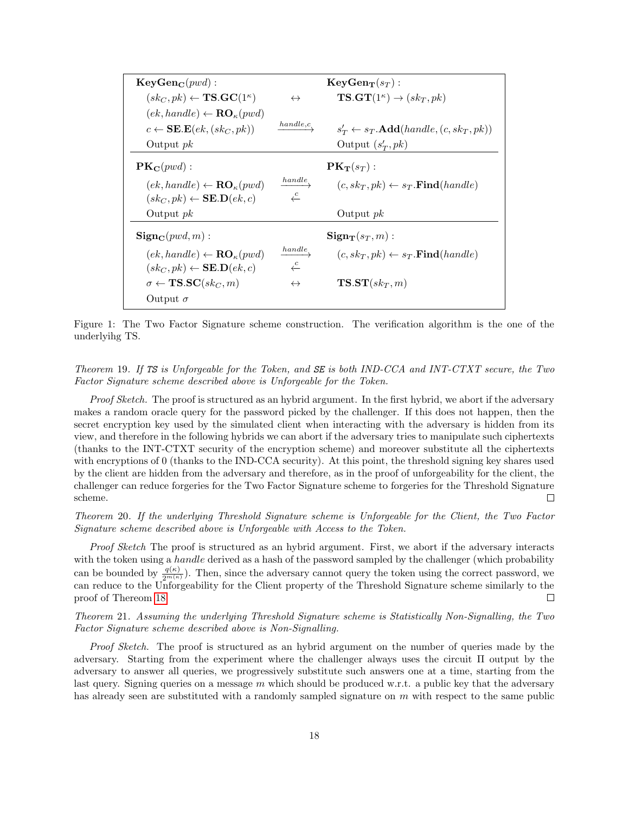| $KeyGen_C(pwd)$ :                                     |                              | $KeyGen_T(s_T)$ :                                                        |
|-------------------------------------------------------|------------------------------|--------------------------------------------------------------------------|
| $(sk_C, pk) \leftarrow \textbf{TS.GC}(1^{\kappa})$    | $\leftrightarrow$            | $\text{TS.GT}(1^{\kappa}) \rightarrow (sk_T, pk)$                        |
| $(ek, handle) \leftarrow \mathbf{RO}_{\kappa}(pwd)$   |                              |                                                                          |
| $c \leftarrow \text{SE.E}(ek, (sk_C, pk))$            | $\overrightarrow{handle, c}$ | $s'_T \leftarrow s_T \cdot \mathbf{Add}(\mathit{handle}, (c, sk_T, pk))$ |
| Output $pk$                                           |                              | Output $(s'_T, pk)$                                                      |
| $PK_{\mathbf{C}}(pwd)$ :                              |                              | $PK_T(s_T):$                                                             |
| $(ek, handle) \leftarrow \mathbf{RO}_{\kappa}(pwd)$   | $\xrightarrow{handle}$       | $(c, sk_T, pk) \leftarrow s_T$ <b>.Find</b> (handle)                     |
| $(sk_C, pk) \leftarrow \mathbf{SE}.\mathbf{D}(ek, c)$ | $\leftarrow$                 |                                                                          |
| Output $pk$                                           |                              | Output $pk$                                                              |
| $\operatorname{Sign}_{\mathbf{C}}(pwd,m):$            |                              | $\mathbf{Sign}_{\mathbf{T}}(s_T,m):$                                     |
| $(ek, handle) \leftarrow \mathbf{RO}_{\kappa}(pwd)$   | $\xrightarrow{handle}$       | $(c, sk_T, pk) \leftarrow s_T$ .Find(handle)                             |
| $(sk_C, pk) \leftarrow \mathbf{SE}.\mathbf{D}(ek, c)$ | $\leftarrow$                 |                                                                          |
| $\sigma \leftarrow \textbf{TS}.\textbf{SC}(sk_C, m)$  | $\leftrightarrow$            | $\text{TS}.\text{ST}(sk_T,m)$                                            |
| Output $\sigma$                                       |                              |                                                                          |

<span id="page-17-0"></span>Figure 1: The Two Factor Signature scheme construction. The verification algorithm is the one of the underlyihg TS.

<span id="page-17-1"></span>Theorem 19. If TS is Unforgeable for the Token, and SE is both IND-CCA and INT-CTXT secure, the Two Factor Signature scheme described above is Unforgeable for the Token.

Proof Sketch. The proof is structured as an hybrid argument. In the first hybrid, we abort if the adversary makes a random oracle query for the password picked by the challenger. If this does not happen, then the secret encryption key used by the simulated client when interacting with the adversary is hidden from its view, and therefore in the following hybrids we can abort if the adversary tries to manipulate such ciphertexts (thanks to the INT-CTXT security of the encryption scheme) and moreover substitute all the ciphertexts with encryptions of 0 (thanks to the IND-CCA security). At this point, the threshold signing key shares used by the client are hidden from the adversary and therefore, as in the proof of unforgeability for the client, the challenger can reduce forgeries for the Two Factor Signature scheme to forgeries for the Threshold Signature scheme.  $\Box$ 

<span id="page-17-2"></span>Theorem 20. If the underlying Threshold Signature scheme is Unforgeable for the Client, the Two Factor Signature scheme described above is Unforgeable with Access to the Token.

Proof Sketch The proof is structured as an hybrid argument. First, we abort if the adversary interacts with the token using a *handle* derived as a hash of the password sampled by the challenger (which probability can be bounded by  $\frac{q(\kappa)}{2^{m(\kappa)}}$ . Then, since the adversary cannot query the token using the correct password, we can reduce to the Unforgeability for the Client property of the Threshold Signature scheme similarly to the proof of Thereom [18.](#page-16-1)  $\Box$ 

<span id="page-17-3"></span>Theorem 21. Assuming the underlying Threshold Signature scheme is Statistically Non-Signalling, the Two Factor Signature scheme described above is Non-Signalling.

Proof Sketch. The proof is structured as an hybrid argument on the number of queries made by the adversary. Starting from the experiment where the challenger always uses the circuit Π output by the adversary to answer all queries, we progressively substitute such answers one at a time, starting from the last query. Signing queries on a message m which should be produced w.r.t. a public key that the adversary has already seen are substituted with a randomly sampled signature on m with respect to the same public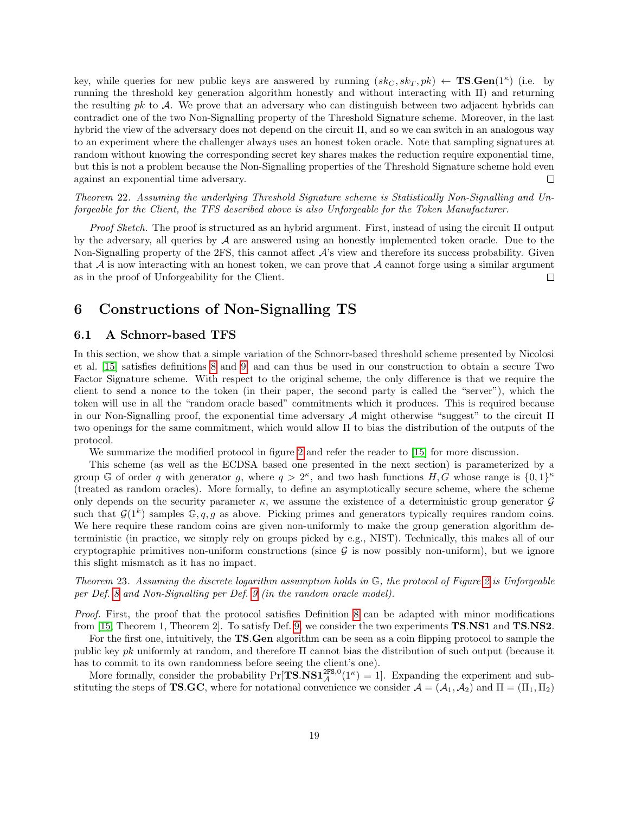key, while queries for new public keys are answered by running  $(sk_C, sk_T, pk) \leftarrow TS.Gen(1^{\kappa})$  (i.e. by running the threshold key generation algorithm honestly and without interacting with Π) and returning the resulting pk to  $A$ . We prove that an adversary who can distinguish between two adjacent hybrids can contradict one of the two Non-Signalling property of the Threshold Signature scheme. Moreover, in the last hybrid the view of the adversary does not depend on the circuit Π, and so we can switch in an analogous way to an experiment where the challenger always uses an honest token oracle. Note that sampling signatures at random without knowing the corresponding secret key shares makes the reduction require exponential time, but this is not a problem because the Non-Signalling properties of the Threshold Signature scheme hold even against an exponential time adversary.  $\Box$ 

<span id="page-18-2"></span>Theorem 22. Assuming the underlying Threshold Signature scheme is Statistically Non-Signalling and Unforgeable for the Client, the TFS described above is also Unforgeable for the Token Manufacturer.

Proof Sketch. The proof is structured as an hybrid argument. First, instead of using the circuit  $\Pi$  output by the adversary, all queries by  $A$  are answered using an honestly implemented token oracle. Due to the Non-Signalling property of the 2FS, this cannot affect  $A$ 's view and therefore its success probability. Given that  $A$  is now interacting with an honest token, we can prove that  $A$  cannot forge using a similar argument as in the proof of Unforgeability for the Client.  $\Box$ 

# <span id="page-18-0"></span>6 Constructions of Non-Signalling TS

#### 6.1 A Schnorr-based TFS

In this section, we show that a simple variation of the Schnorr-based threshold scheme presented by Nicolosi et al. [\[15\]](#page-25-2) satisfies definitions [8](#page-9-2) and [9,](#page-10-1) and can thus be used in our construction to obtain a secure Two Factor Signature scheme. With respect to the original scheme, the only difference is that we require the client to send a nonce to the token (in their paper, the second party is called the "server"), which the token will use in all the "random oracle based" commitments which it produces. This is required because in our Non-Signalling proof, the exponential time adversary  $\mathcal A$  might otherwise "suggest" to the circuit  $\Pi$ two openings for the same commitment, which would allow Π to bias the distribution of the outputs of the protocol.

We summarize the modified protocol in figure [2](#page-19-0) and refer the reader to [\[15\]](#page-25-2) for more discussion.

This scheme (as well as the ECDSA based one presented in the next section) is parameterized by a group G of order q with generator g, where  $q > 2^{\kappa}$ , and two hash functions  $H, G$  whose range is  $\{0, 1\}^{\kappa}$ (treated as random oracles). More formally, to define an asymptotically secure scheme, where the scheme only depends on the security parameter  $\kappa$ , we assume the existence of a deterministic group generator  $\mathcal G$ such that  $\mathcal{G}(1^k)$  samples  $\mathbb{G}, q, g$  as above. Picking primes and generators typically requires random coins. We here require these random coins are given non-uniformly to make the group generation algorithm deterministic (in practice, we simply rely on groups picked by e.g., NIST). Technically, this makes all of our cryptographic primitives non-uniform constructions (since  $G$  is now possibly non-uniform), but we ignore this slight mismatch as it has no impact.

<span id="page-18-1"></span>Theorem 23. Assuming the discrete logarithm assumption holds in G, the protocol of Figure [2](#page-19-0) is Unforgeable per Def. [8](#page-9-2) and Non-Signalling per Def. [9](#page-10-1) (in the random oracle model).

Proof. First, the proof that the protocol satisfies Definition [8](#page-9-2) can be adapted with minor modifications from [\[15,](#page-25-2) Theorem 1, Theorem 2]. To satisfy Def. [9,](#page-10-1) we consider the two experiments TS.NS1 and TS.NS2.

For the first one, intuitively, the **TS.Gen** algorithm can be seen as a coin flipping protocol to sample the public key pk uniformly at random, and therefore  $\Pi$  cannot bias the distribution of such output (because it has to commit to its own randomness before seeing the client's one).

More formally, consider the probability  $Pr[\text{TS.NS1}^{2FS,0}(1^{\kappa})=1]$ . Expanding the experiment and substituting the steps of **TS.GC**, where for notational convenience we consider  $A = (A_1, A_2)$  and  $\Pi = (\Pi_1, \Pi_2)$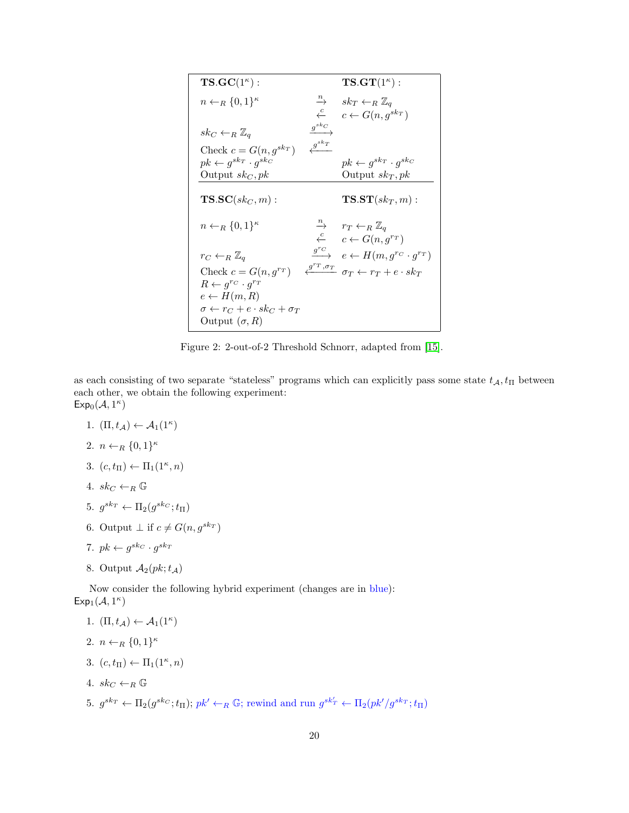| $\mathbf{T}\mathbf{S}\mathbf{G}\mathbf{C}(1^\kappa)$ :                    |                             | $\mathbf{T}\mathbf{S}\mathbf{G}\mathbf{T}(1^{\kappa})$ :                 |
|---------------------------------------------------------------------------|-----------------------------|--------------------------------------------------------------------------|
| $n \leftarrow_R \{0,1\}^{\kappa}$                                         | $\stackrel{n}{\rightarrow}$ | $sk_T \leftarrow_R \mathbb{Z}_q$                                         |
|                                                                           | $\stackrel{c}{\leftarrow}$  | $c \leftarrow G(n, g^{sk_T})$                                            |
| $sk_C \leftarrow_R \mathbb{Z}_q$                                          | $g^{skC}$                   |                                                                          |
| Check $c = G(n, g^{sk_T})$                                                | $\boldsymbol{g}^{sk}T$      |                                                                          |
| $pk \leftarrow q^{sk_T} \cdot q^{sk_C}$                                   |                             | $pk \leftarrow g^{sk_T} \cdot g^{sk_C}$                                  |
| Output $sk_C, pk$                                                         |                             | Output $sk_T, pk$                                                        |
| $\mathbf{TS}.\mathbf{SC}(sk_C,m):$                                        |                             | $\mathbf{T}\mathbf{S}.\mathbf{ST}(sk_T,m):$                              |
| $n \leftarrow_R \{0,1\}^\kappa$                                           | $\stackrel{n}{\rightarrow}$ | $r_T \leftarrow_R \mathbb{Z}_q$                                          |
|                                                                           | $\leftarrow$                |                                                                          |
| $r_C \leftarrow_R \mathbb{Z}_q$                                           | $\xrightarrow{g^{r_C}}$     | $c \leftarrow G(n, g^{r_T})$<br>$e \leftarrow H(m, g^{rc} \cdot g^{rr})$ |
| Check $c = G(n, g^{r_T})$                                                 | $g^{r_T}, \sigma_T$         | $\sigma_T \leftarrow r_T + e \cdot sk_T$                                 |
| $R \leftarrow q^{rc} \cdot q^{rr}$                                        |                             |                                                                          |
| $e \leftarrow H(m, R)$                                                    |                             |                                                                          |
| $\sigma \leftarrow r_C + e \cdot sk_C + \sigma_T$<br>Output $(\sigma, R)$ |                             |                                                                          |

<span id="page-19-0"></span>Figure 2: 2-out-of-2 Threshold Schnorr, adapted from [\[15\]](#page-25-2).

as each consisting of two separate "stateless" programs which can explicitly pass some state  $t_{\mathcal{A}}, t_{\Pi}$  between each other, we obtain the following experiment:  $Exp_0(A, 1^{\kappa})$ 

- 1.  $(\Pi, t_{\mathcal{A}}) \leftarrow \mathcal{A}_1(1^{\kappa})$
- 2.  $n \leftarrow_R \{0,1\}^{\kappa}$
- 3.  $(c, t_{\Pi}) \leftarrow \Pi_1(1^{\kappa}, n)$
- 4.  $sk_C \leftarrow_R \mathbb{G}$
- 5.  $g^{sk_T} \leftarrow \Pi_2(g^{sk_C}; t_{\Pi})$
- 6. Output  $\perp$  if  $c \neq G(n, g^{sk_T})$
- 7.  $pk \leftarrow g^{sk_C} \cdot g^{sk_T}$
- 8. Output  $A_2(pk; t_A)$

Now consider the following hybrid experiment (changes are in blue):  $\mathsf{Exp}_1(\mathcal{A}, 1^\kappa)$ 

1. 
$$
(\Pi, t_{\mathcal{A}}) \leftarrow \mathcal{A}_1(1^{\kappa})
$$
  
\n2.  $n \leftarrow_R \{0, 1\}^{\kappa}$   
\n3.  $(c, t_{\Pi}) \leftarrow \Pi_1(1^{\kappa}, n)$   
\n4.  $sk_C \leftarrow_R \mathbb{G}$   
\n5.  $g^{sk_T} \leftarrow \Pi_2(g^{sk_C}; t_{\Pi}); pk' \leftarrow_R \mathbb{G};$  rewind and run  $g^{sk'_T} \leftarrow \Pi_2(pk'/g^{sk_T}; t_{\Pi})$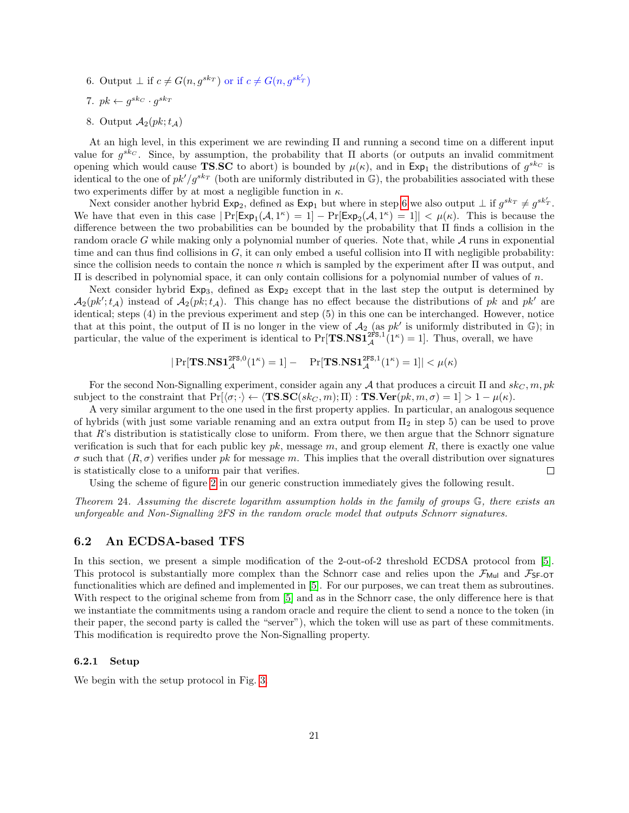- <span id="page-20-0"></span>6. Output  $\perp$  if  $c \neq G(n, g^{sk_T})$  or if  $c \neq G(n, g^{sk_T})$
- 7.  $pk \leftarrow g^{sk_C} \cdot g^{sk_T}$
- 8. Output  $A_2(pk; t_A)$

At an high level, in this experiment we are rewinding Π and running a second time on a different input value for  $g^{sk_C}$ . Since, by assumption, the probability that  $\Pi$  aborts (or outputs an invalid commitment opening which would cause **TS.SC** to abort) is bounded by  $\mu(\kappa)$ , and in  $Exp_1$  the distributions of  $g^{sk_C}$  is identical to the one of  $pk'/g^{sk_T}$  (both are uniformly distributed in  $\mathbb{G}$ ), the probabilities associated with these two experiments differ by at most a negligible function in  $\kappa$ .

Next consider another hybrid  $Exp_2$ , defined as  $Exp_1$  but where in step [6](#page-20-0) we also output  $\perp$  if  $g^{sk_T} \neq g^{sk'_T}$ . We have that even in this case  $|\Pr[\text{Exp}_1(\mathcal{A}, 1^{\kappa}) = 1] - \Pr[\text{Exp}_2(\mathcal{A}, 1^{\kappa}) = 1]| < \mu(\kappa)$ . This is because the difference between the two probabilities can be bounded by the probability that Π finds a collision in the random oracle G while making only a polynomial number of queries. Note that, while  $\mathcal A$  runs in exponential time and can thus find collisions in  $G$ , it can only embed a useful collision into  $\Pi$  with negligible probability: since the collision needs to contain the nonce n which is sampled by the experiment after  $\Pi$  was output, and Π is described in polynomial space, it can only contain collisions for a polynomial number of values of n.

Next consider hybrid  $Exp_3$ , defined as  $Exp_2$  except that in the last step the output is determined by  $\mathcal{A}_2(pk';t_A)$  instead of  $\mathcal{A}_2(pk;t_A)$ . This change has no effect because the distributions of pk and pk' are identical; steps (4) in the previous experiment and step (5) in this one can be interchanged. However, notice that at this point, the output of  $\Pi$  is no longer in the view of  $\mathcal{A}_2$  (as pk' is uniformly distributed in  $\mathbb{G}$ ); in particular, the value of the experiment is identical to  $\Pr[\text{TS.NS1}^{2FS,1}(1^{\kappa})=1]$ . Thus, overall, we have

$$
|\Pr[\mathbf{T S.}\mathbf{NS1}^{\mathrm{2FS},0}_\mathcal{A}(1^\kappa)=1]-\Pr[\mathbf{T S.}\mathbf{NS1}^{\mathrm{2FS},1}_\mathcal{A}(1^\kappa)=1]|<\mu(\kappa)
$$

For the second Non-Signalling experiment, consider again any A that produces a circuit  $\Pi$  and  $sk_C, m, pk$ subject to the constraint that  $Pr[\langle \sigma; \cdot \rangle \leftarrow \langle \textbf{TS}.\textbf{SC}(sk_C, m); \Pi \rangle : \textbf{TS}.\textbf{Ver}(pk, m, \sigma) = 1] > 1 - \mu(\kappa)$ .

A very similar argument to the one used in the first property applies. In particular, an analogous sequence of hybrids (with just some variable renaming and an extra output from  $\Pi_2$  in step 5) can be used to prove that  $R$ 's distribution is statistically close to uniform. From there, we then argue that the Schnorr signature verification is such that for each public key  $pk$ , message  $m$ , and group element  $R$ , there is exactly one value  $\sigma$  such that  $(R, \sigma)$  verifies under pk for message m. This implies that the overall distribution over signatures is statistically close to a uniform pair that verifies.  $\Box$ 

Using the scheme of figure [2](#page-19-0) in our generic construction immediately gives the following result.

Theorem 24. Assuming the discrete logarithm assumption holds in the family of groups G, there exists an unforgeable and Non-Signalling 2FS in the random oracle model that outputs Schnorr signatures.

#### 6.2 An ECDSA-based TFS

In this section, we present a simple modification of the 2-out-of-2 threshold ECDSA protocol from [\[5\]](#page-25-3). This protocol is substantially more complex than the Schnorr case and relies upon the  $\mathcal{F}_{\text{Mul}}$  and  $\mathcal{F}_{\text{S}}$ - $\sigma$ functionalities which are defined and implemented in [\[5\]](#page-25-3). For our purposes, we can treat them as subroutines. With respect to the original scheme from from [\[5\]](#page-25-3) and as in the Schnorr case, the only difference here is that we instantiate the commitments using a random oracle and require the client to send a nonce to the token (in their paper, the second party is called the "server"), which the token will use as part of these commitments. This modification is requiredto prove the Non-Signalling property.

#### 6.2.1 Setup

We begin with the setup protocol in Fig. [3.](#page-21-0)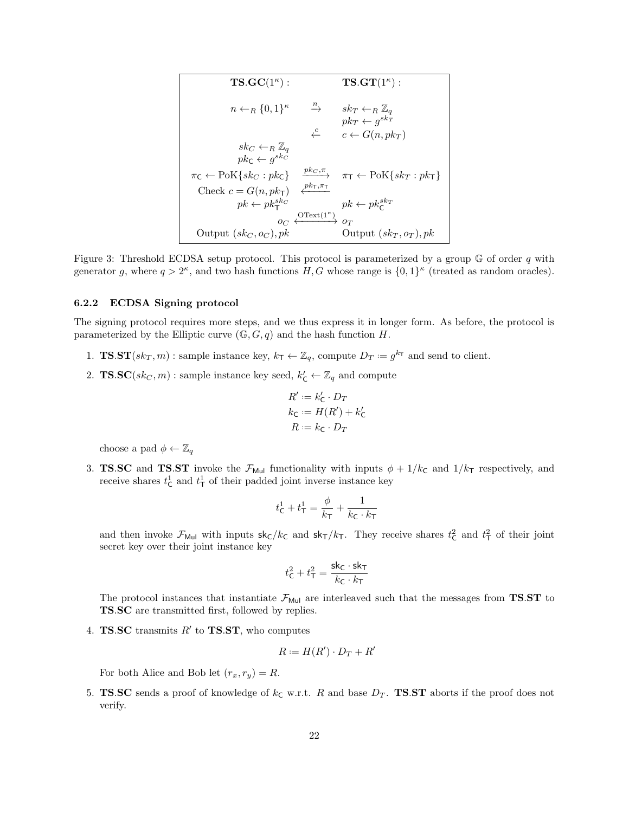$$
\begin{array}{cccc}\n\textbf{TS.GC}(1^{\kappa}) : & & & & & \textbf{TS.GT}(1^{\kappa}) : \\
 & n \leftarrow_R \{0,1\}^{\kappa} & \xrightarrow{\alpha} & sk_T \leftarrow_R \mathbb{Z}_q \\
 & p k_T \leftarrow g^{sk_T} \\
 & \xleftarrow{\beta} & c \leftarrow G(n, pk_T) \\
sk_C \leftarrow_R \mathbb{Z}_q & p k_C \leftarrow g^{sk_C} \\
 & p k_C \leftarrow g^{sk_C} \\
 & \pi_C \leftarrow \text{PoK}\{sk_C : pk_C\} & \xrightarrow{pk_C, \pi} & \pi_T \leftarrow \text{PoK}\{sk_T : pk_T\} \\
 & \text{Check } c = G(n, pk_T) & \xleftarrow{pk_T, \pi_T} & pk \leftarrow pk_C^{sk_T} \\
 & p k \leftarrow pk_C^{sk_C} & \pi & \text{P} k \leftarrow pk_C^{sk_T} \\
 & o_C & \xleftarrow{\text{Ortext(1*)}} o_T \\
 & \text{Output } (sk_C, o_C), pk & \text{Output } (sk_T, o_T), pk\n\end{array}
$$

<span id="page-21-0"></span>Figure 3: Threshold ECDSA setup protocol. This protocol is parameterized by a group  $\mathbb G$  of order q with generator g, where  $q > 2^{\kappa}$ , and two hash functions  $H, G$  whose range is  $\{0, 1\}^{\kappa}$  (treated as random oracles).

#### 6.2.2 ECDSA Signing protocol

The signing protocol requires more steps, and we thus express it in longer form. As before, the protocol is parameterized by the Elliptic curve  $(\mathbb{G}, G, q)$  and the hash function H.

- 1. **TS.ST** $(sk_T, m)$ : sample instance key,  $k_T \leftarrow \mathbb{Z}_q$ , compute  $D_T := g^{k_T}$  and send to client.
- <span id="page-21-1"></span>2. **TS.SC** $(sk_C, m)$ : sample instance key seed,  $k'_{\mathsf{C}} \leftarrow \mathbb{Z}_q$  and compute

$$
R' := k'_{\mathsf{C}} \cdot D_T
$$

$$
k_{\mathsf{C}} := H(R') + k'_{\mathsf{C}}
$$

$$
R := k_{\mathsf{C}} \cdot D_T
$$

choose a pad  $\phi \leftarrow \mathbb{Z}_q$ 

3. TS.SC and TS.ST invoke the  $\mathcal{F}_{\text{Mul}}$  functionality with inputs  $\phi + 1/k_c$  and  $1/k_T$  respectively, and receive shares  $t_{\mathsf{C}}^1$  and  $t_{\mathsf{T}}^1$  of their padded joint inverse instance key

$$
t_{\mathsf{C}}^1 + t_{\mathsf{T}}^1 = \frac{\phi}{k_{\mathsf{T}}} + \frac{1}{k_{\mathsf{C}} \cdot k_{\mathsf{T}}}
$$

and then invoke  $\mathcal{F}_{\text{Mul}}$  with inputs  $sk_C/k_C$  and  $sk_T/k_T$ . They receive shares  $t_C^2$  and  $t_T^2$  of their joint secret key over their joint instance key

$$
t_{\mathsf{C}}^2 + t_{\mathsf{T}}^2 = \frac{\mathsf{sk}_{\mathsf{C}} \cdot \mathsf{sk}_{\mathsf{T}}}{k_{\mathsf{C}} \cdot k_{\mathsf{T}}}
$$

The protocol instances that instantiate  $\mathcal{F}_{\text{Mul}}$  are interleaved such that the messages from **TS.ST** to TS.SC are transmitted first, followed by replies.

4. TS.SC transmits  $R'$  to TS.ST, who computes

$$
R := H(R') \cdot D_T + R'
$$

For both Alice and Bob let  $(r_x, r_y) = R$ .

5. TS.SC sends a proof of knowledge of  $k<sub>C</sub>$  w.r.t. R and base  $D<sub>T</sub>$ . TS.ST aborts if the proof does not verify.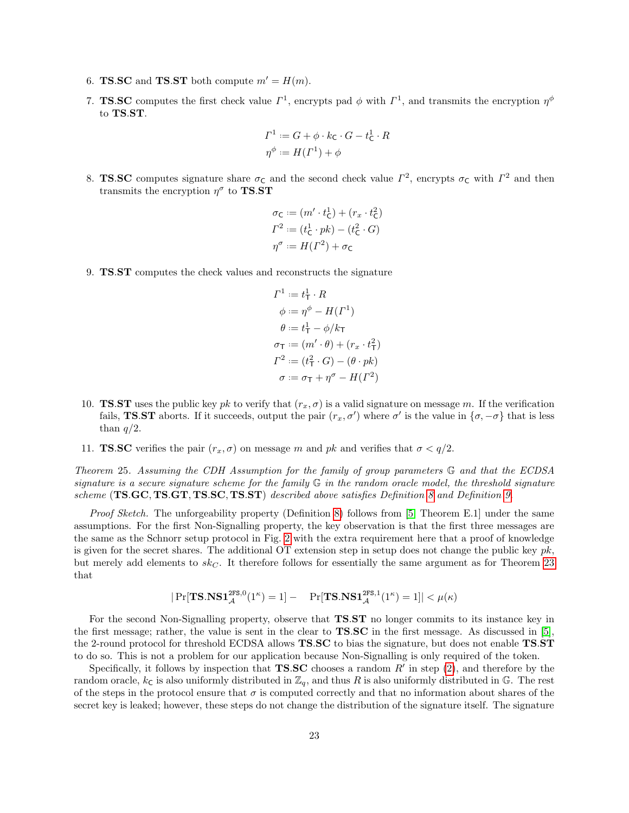- 6. TS.SC and TS.ST both compute  $m' = H(m)$ .
- 7. TS.SC computes the first check value  $\Gamma^1$ , encrypts pad  $\phi$  with  $\Gamma^1$ , and transmits the encryption  $\eta^{\phi}$ to TS.ST.

$$
\Gamma^1 := G + \phi \cdot k_{\mathsf{C}} \cdot G - t_{\mathsf{C}}^1 \cdot R
$$

$$
\eta^{\phi} := H(\Gamma^1) + \phi
$$

8. TS.SC computes signature share  $\sigma_{\mathsf{C}}$  and the second check value  $\Gamma^2$ , encrypts  $\sigma_{\mathsf{C}}$  with  $\Gamma^2$  and then transmits the encryption  $\eta^{\sigma}$  to **TS.ST** 

$$
\sigma_{\mathsf{C}} := (m' \cdot t_{\mathsf{C}}^1) + (r_x \cdot t_{\mathsf{C}}^2)
$$

$$
\Gamma^2 := (t_{\mathsf{C}}^1 \cdot pk) - (t_{\mathsf{C}}^2 \cdot G)
$$

$$
\eta^{\sigma} := H(\Gamma^2) + \sigma_{\mathsf{C}}
$$

9. TS.ST computes the check values and reconstructs the signature

$$
\Gamma^1 := t^1_\mathsf{T} \cdot R
$$
  
\n
$$
\phi := \eta^\phi - H(\Gamma^1)
$$
  
\n
$$
\theta := t^1_\mathsf{T} - \phi/k_\mathsf{T}
$$
  
\n
$$
\sigma_\mathsf{T} := (m' \cdot \theta) + (r_x \cdot t^2_\mathsf{T})
$$
  
\n
$$
\Gamma^2 := (t^2_\mathsf{T} \cdot G) - (\theta \cdot pk)
$$
  
\n
$$
\sigma := \sigma_\mathsf{T} + \eta^\sigma - H(\Gamma^2)
$$

- 10. TS.ST uses the public key pk to verify that  $(r_x, \sigma)$  is a valid signature on message m. If the verification fails, TS.ST aborts. If it succeeds, output the pair  $(r_x, \sigma')$  where  $\sigma'$  is the value in  $\{\sigma, -\sigma\}$  that is less than  $q/2$ .
- 11. **TS.SC** verifies the pair  $(r_x, \sigma)$  on message m and pk and verifies that  $\sigma < q/2$ .

Theorem 25. Assuming the CDH Assumption for the family of group parameters G and that the ECDSA signature is a secure signature scheme for the family  $\mathbb G$  in the random oracle model, the threshold signature scheme (TS.GC, TS.GT, TS.SC, TS.ST) described above satisfies Definition [8](#page-9-2) and Definition [9.](#page-10-1)

Proof Sketch. The unforgeability property (Definition [8\)](#page-9-2) follows from [\[5,](#page-25-3) Theorem E.1] under the same assumptions. For the first Non-Signalling property, the key observation is that the first three messages are the same as the Schnorr setup protocol in Fig. [2](#page-19-0) with the extra requirement here that a proof of knowledge is given for the secret shares. The additional OT extension step in setup does not change the public key  $pk$ . but merely add elements to  $sk_C$ . It therefore follows for essentially the same argument as for Theorem [23](#page-18-1) that

$$
|\Pr[\mathbf{T S.} \mathbf{NS1}^{\mathrm{2FS},0}_\mathcal{A}(1^\kappa)=1]-\Pr[\mathbf{T S.} \mathbf{NS1}^{\mathrm{2FS},1}_\mathcal{A}(1^\kappa)=1]|<\mu(\kappa)
$$

For the second Non-Signalling property, observe that TS.ST no longer commits to its instance key in the first message; rather, the value is sent in the clear to TS.SC in the first message. As discussed in [\[5\]](#page-25-3), the 2-round protocol for threshold ECDSA allows TS.SC to bias the signature, but does not enable TS.ST to do so. This is not a problem for our application because Non-Signalling is only required of the token.

Specifically, it follows by inspection that **TS.SC** chooses a random  $R'$  in step [\(2\)](#page-21-1), and therefore by the random oracle,  $k_c$  is also uniformly distributed in  $\mathbb{Z}_q$ , and thus R is also uniformly distributed in  $\mathbb{G}$ . The rest of the steps in the protocol ensure that  $\sigma$  is computed correctly and that no information about shares of the secret key is leaked; however, these steps do not change the distribution of the signature itself. The signature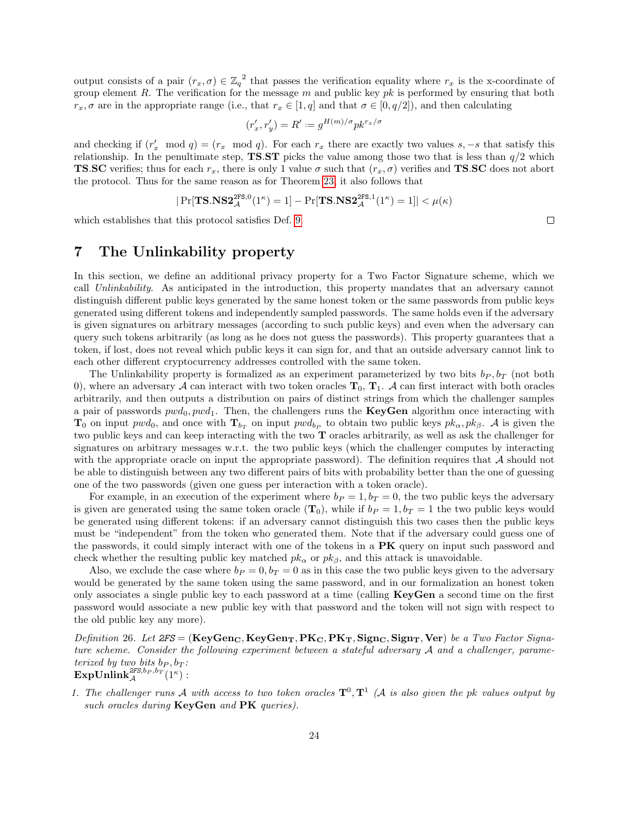output consists of a pair  $(r_x, \sigma) \in \mathbb{Z}_q^2$  that passes the verification equality where  $r_x$  is the x-coordinate of group element R. The verification for the message m and public key  $pk$  is performed by ensuring that both  $r_x, \sigma$  are in the appropriate range (i.e., that  $r_x \in [1, q]$  and that  $\sigma \in [0, q/2]$ ), and then calculating

$$
(r'_x, r'_y) = R' := g^{H(m)/\sigma} p k^{r_x/\sigma}
$$

and checking if  $(r'_x \mod q) = (r_x \mod q)$ . For each  $r_x$  there are exactly two values s, –s that satisfy this relationship. In the penultimate step, **TS.ST** picks the value among those two that is less than  $q/2$  which **TS.SC** verifies; thus for each  $r_x$ , there is only 1 value  $\sigma$  such that  $(r_x, \sigma)$  verifies and **TS.SC** does not abort the protocol. Thus for the same reason as for Theorem [23,](#page-18-1) it also follows that

$$
|\Pr[\mathbf{TS.NS2}^{\mathrm{2FS},0}_\mathcal{A}(1^\kappa)=1]-\Pr[\mathbf{TS.NS2}^{\mathrm{2FS},1}_\mathcal{A}(1^\kappa)=1]|<\mu(\kappa)
$$

which establishes that this protocol satisfies Def. [9.](#page-10-1)

## <span id="page-23-0"></span>7 The Unlinkability property

In this section, we define an additional privacy property for a Two Factor Signature scheme, which we call Unlinkability. As anticipated in the introduction, this property mandates that an adversary cannot distinguish different public keys generated by the same honest token or the same passwords from public keys generated using different tokens and independently sampled passwords. The same holds even if the adversary is given signatures on arbitrary messages (according to such public keys) and even when the adversary can query such tokens arbitrarily (as long as he does not guess the passwords). This property guarantees that a token, if lost, does not reveal which public keys it can sign for, and that an outside adversary cannot link to each other different cryptocurrency addresses controlled with the same token.

The Unlinkability property is formalized as an experiment parameterized by two bits  $b_P$ ,  $b_T$  (not both 0), where an adversary A can interact with two token oracles  $T_0$ ,  $T_1$ . A can first interact with both oracles arbitrarily, and then outputs a distribution on pairs of distinct strings from which the challenger samples a pair of passwords  $pwd_0, pwd_1$ . Then, the challengers runs the **KeyGen** algorithm once interacting with  $T_0$  on input  $pwd_0$ , and once with  $T_{b_T}$  on input  $pwd_{b_P}$  to obtain two public keys  $pk_{\alpha}, pk_{\beta}$ . A is given the two public keys and can keep interacting with the two T oracles arbitrarily, as well as ask the challenger for signatures on arbitrary messages w.r.t. the two public keys (which the challenger computes by interacting with the appropriate oracle on input the appropriate password). The definition requires that  $\mathcal A$  should not be able to distinguish between any two different pairs of bits with probability better than the one of guessing one of the two passwords (given one guess per interaction with a token oracle).

For example, in an execution of the experiment where  $b_P = 1, b_T = 0$ , the two public keys the adversary is given are generated using the same token oracle  $(T_0)$ , while if  $b_P = 1$ ,  $b_T = 1$  the two public keys would be generated using different tokens: if an adversary cannot distinguish this two cases then the public keys must be "independent" from the token who generated them. Note that if the adversary could guess one of the passwords, it could simply interact with one of the tokens in a PK query on input such password and check whether the resulting public key matched  $pk_{\alpha}$  or  $pk_{\beta}$ , and this attack is unavoidable.

Also, we exclude the case where  $b_P = 0$ ,  $b_T = 0$  as in this case the two public keys given to the adversary would be generated by the same token using the same password, and in our formalization an honest token only associates a single public key to each password at a time (calling KeyGen a second time on the first password would associate a new public key with that password and the token will not sign with respect to the old public key any more).

<span id="page-23-1"></span>Definition 26. Let  $2FS = (\text{KeyGen}_{\text{C}}, \text{KeyGen}_{\text{T}}, \text{PK}_{\text{C}}, \text{PK}_{\text{T}}, \text{Sign}_{\text{C}}, \text{Sign}_{\text{T}}, \text{Ver})$  be a Two Factor Signature scheme. Consider the following experiment between a stateful adversary A and a challenger, parameterized by two bits  $b_P, b_T$ :

 $\mathrm{ExpUnlink}_{\mathcal{A}}^{2\mathrm{FS}, b_P, b_T}(1^\kappa)$  :

 $\Box$ 

<sup>1.</sup> The challenger runs A with access to two token oracles  $T^0, T^1$  (A is also given the pk values output by such oracles during KeyGen and PK queries).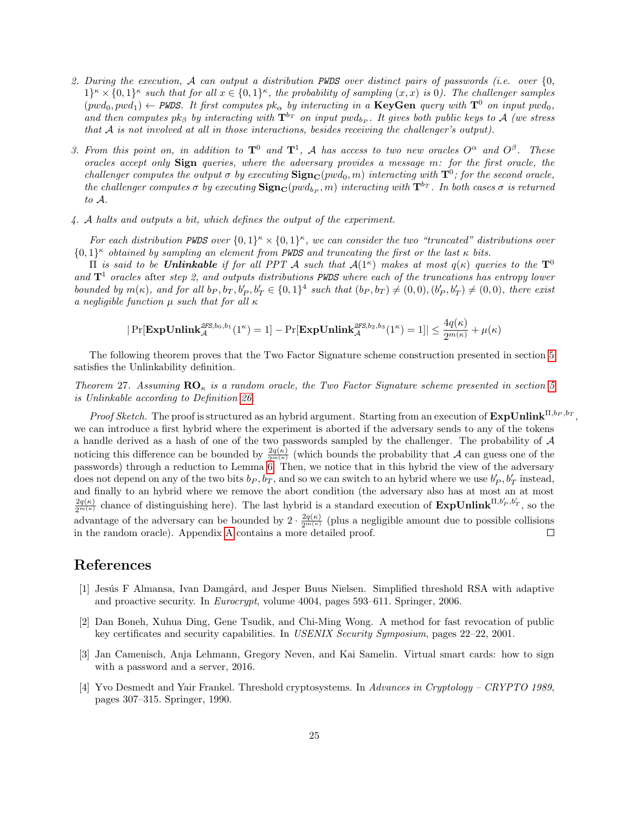- 2. During the execution, A can output a distribution PWDS over distinct pairs of passwords (i.e. over {0,  $1\}<sup>K</sup> \times \{0,1\}<sup>K</sup>$  such that for all  $x \in \{0,1\}<sup>K</sup>$ , the probability of sampling  $(x, x)$  is 0). The challenger samples  $(pwd_0, pwd_1) \leftarrow$  PWDS. It first computes  $pk_\alpha$  by interacting in a **KeyGen** query with  $T^0$  on input pwd<sub>0</sub>, and then computes  $pk_{\beta}$  by interacting with  $\mathbf{T}^{b_T}$  on input pwd<sub>b<sub>P</sub></sub>. It gives both public keys to A (we stress that  $A$  is not involved at all in those interactions, besides receiving the challenger's output).
- 3. From this point on, in addition to  $T^0$  and  $T^1$ , A has access to two new oracles  $O^{\alpha}$  and  $O^{\beta}$ . These oracles accept only Sign queries, where the adversary provides a message m: for the first oracle, the challenger computes the output  $\sigma$  by executing  $\text{Sign}_{\mathbf{C}}(pwd_0, m)$  interacting with  $\mathbf{T}^0$ ; for the second oracle, the challenger computes  $\sigma$  by executing  $\textbf{Sign}_{\mathbf{C}}(pwd_{b_P}, m)$  interacting with  $\mathbf{T}^{b_T}$ . In both cases  $\sigma$  is returned to A.
- 4. A halts and outputs a bit, which defines the output of the experiment.

For each distribution PWDS over  $\{0,1\}^{\kappa} \times \{0,1\}^{\kappa}$ , we can consider the two "truncated" distributions over  ${0,1}^{\kappa}$  obtained by sampling an element from PWDS and truncating the first or the last  $\kappa$  bits.

 $\Pi$  is said to be Unlinkable if for all PPT A such that  $\mathcal{A}(1^{\kappa})$  makes at most  $q(\kappa)$  queries to the  $\mathbf{T}^{0}$ and  $T^1$  oracles after step 2, and outputs distributions PWDS where each of the truncations has entropy lower bounded by  $m(\kappa)$ , and for all  $b_P, b_T, b'_P, b'_T \in \{0,1\}^4$  such that  $(b_P, b_T) \neq (0,0), (b'_P, b'_T) \neq (0,0)$ , there exist a negligible function  $\mu$  such that for all  $\kappa$ 

$$
|\Pr[\mathbf{ExpUnlink}_{\mathcal{A}}^{\mathit{2FS},b_0,b_1}(1^{\kappa})=1]-\Pr[\mathbf{ExpUnlink}_{\mathcal{A}}^{\mathit{2FS},b_2,b_3}(1^{\kappa})=1]|\leq \frac{4q(\kappa)}{2^{m(\kappa)}}+\mu(\kappa)
$$

The following theorem proves that the Two Factor Signature scheme construction presented in section [5](#page-16-0) satisfies the Unlinkability definition.

<span id="page-24-4"></span>Theorem 27. Assuming  $\mathbf{RO}_{\kappa}$  is a random oracle, the Two Factor Signature scheme presented in section [5](#page-16-0) is Unlinkable according to Definition [26.](#page-23-1)

Proof Sketch. The proof is structured as an hybrid argument. Starting from an execution of  ${\bf ExpUnlink}^{\Pi,b_P,b_T}$ , we can introduce a first hybrid where the experiment is aborted if the adversary sends to any of the tokens a handle derived as a hash of one of the two passwords sampled by the challenger. The probability of A noticing this difference can be bounded by  $\frac{2q(\kappa)}{2^{m(\kappa)}}$  (which bounds the probability that A can guess one of the passwords) through a reduction to Lemma [6.](#page-8-0) Then, we notice that in this hybrid the view of the adversary does not depend on any of the two bits  $b_P$ ,  $b_T$ , and so we can switch to an hybrid where we use  $b'_P$ ,  $b'_T$  instead, and finally to an hybrid where we remove the abort condition (the adversary also has at most an at most  $\frac{2q(\kappa)}{2^{m(\kappa)}}$  chance of distinguishing here). The last hybrid is a standard execution of  $\textbf{ExpUnlink}^{\Pi,b'_P,b'_T}$ , so the advantage of the adversary can be bounded by  $2 \cdot \frac{2q(k)}{2^{m(k)}}$  (plus a negligible amount due to possible collisions in the random oracle). Appendix [A](#page-25-14) contains a more detailed proof.

## References

- <span id="page-24-2"></span>[1] Jesús F Almansa, Ivan Damgård, and Jesper Buus Nielsen. Simplified threshold RSA with adaptive and proactive security. In Eurocrypt, volume 4004, pages 593–611. Springer, 2006.
- <span id="page-24-1"></span>[2] Dan Boneh, Xuhua Ding, Gene Tsudik, and Chi-Ming Wong. A method for fast revocation of public key certificates and security capabilities. In USENIX Security Symposium, pages 22–22, 2001.
- <span id="page-24-3"></span>[3] Jan Camenisch, Anja Lehmann, Gregory Neven, and Kai Samelin. Virtual smart cards: how to sign with a password and a server, 2016.
- <span id="page-24-0"></span>[4] Yvo Desmedt and Yair Frankel. Threshold cryptosystems. In Advances in Cryptology – CRYPTO 1989, pages 307–315. Springer, 1990.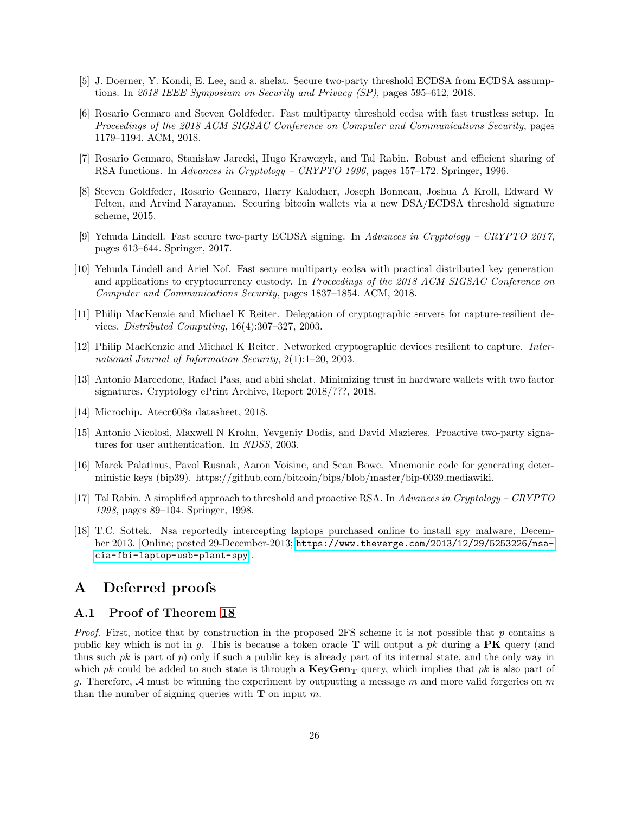- <span id="page-25-3"></span>[5] J. Doerner, Y. Kondi, E. Lee, and a. shelat. Secure two-party threshold ECDSA from ECDSA assumptions. In 2018 IEEE Symposium on Security and Privacy (SP), pages 595–612, 2018.
- <span id="page-25-9"></span>[6] Rosario Gennaro and Steven Goldfeder. Fast multiparty threshold ecdsa with fast trustless setup. In Proceedings of the 2018 ACM SIGSAC Conference on Computer and Communications Security, pages 1179–1194. ACM, 2018.
- <span id="page-25-7"></span>[7] Rosario Gennaro, Stanisław Jarecki, Hugo Krawczyk, and Tal Rabin. Robust and efficient sharing of RSA functions. In Advances in Cryptology – CRYPTO 1996, pages 157–172. Springer, 1996.
- <span id="page-25-6"></span>[8] Steven Goldfeder, Rosario Gennaro, Harry Kalodner, Joseph Bonneau, Joshua A Kroll, Edward W Felten, and Arvind Narayanan. Securing bitcoin wallets via a new DSA/ECDSA threshold signature scheme, 2015.
- <span id="page-25-10"></span>[9] Yehuda Lindell. Fast secure two-party ECDSA signing. In Advances in Cryptology – CRYPTO 2017, pages 613–644. Springer, 2017.
- <span id="page-25-11"></span>[10] Yehuda Lindell and Ariel Nof. Fast secure multiparty ecdsa with practical distributed key generation and applications to cryptocurrency custody. In Proceedings of the 2018 ACM SIGSAC Conference on Computer and Communications Security, pages 1837–1854. ACM, 2018.
- <span id="page-25-12"></span>[11] Philip MacKenzie and Michael K Reiter. Delegation of cryptographic servers for capture-resilient devices. Distributed Computing, 16(4):307–327, 2003.
- <span id="page-25-13"></span>[12] Philip MacKenzie and Michael K Reiter. Networked cryptographic devices resilient to capture. International Journal of Information Security, 2(1):1–20, 2003.
- <span id="page-25-1"></span>[13] Antonio Marcedone, Rafael Pass, and abhi shelat. Minimizing trust in hardware wallets with two factor signatures. Cryptology ePrint Archive, Report 2018/???, 2018.
- <span id="page-25-4"></span>[14] Microchip. Atecc608a datasheet, 2018.
- <span id="page-25-2"></span>[15] Antonio Nicolosi, Maxwell N Krohn, Yevgeniy Dodis, and David Mazieres. Proactive two-party signatures for user authentication. In NDSS, 2003.
- <span id="page-25-5"></span>[16] Marek Palatinus, Pavol Rusnak, Aaron Voisine, and Sean Bowe. Mnemonic code for generating deterministic keys (bip39). https://github.com/bitcoin/bips/blob/master/bip-0039.mediawiki.
- <span id="page-25-8"></span>[17] Tal Rabin. A simplified approach to threshold and proactive RSA. In Advances in Cryptology – CRYPTO 1998, pages 89–104. Springer, 1998.
- <span id="page-25-0"></span>[18] T.C. Sottek. Nsa reportedly intercepting laptops purchased online to install spy malware, December 2013. [Online; posted 29-December-2013; [https://www.theverge.com/2013/12/29/5253226/nsa](https://www.theverge.com/2013/12/29/5253226/nsa-cia-fbi-laptop-usb-plant-spy)[cia-fbi-laptop-usb-plant-spy](https://www.theverge.com/2013/12/29/5253226/nsa-cia-fbi-laptop-usb-plant-spy)].

## <span id="page-25-14"></span>A Deferred proofs

### A.1 Proof of Theorem [18](#page-16-1)

*Proof.* First, notice that by construction in the proposed 2FS scheme it is not possible that  $p$  contains a public key which is not in q. This is because a token oracle **T** will output a pk during a **PK** query (and thus such pk is part of p) only if such a public key is already part of its internal state, and the only way in which pk could be added to such state is through a  $KeyGen_T$  query, which implies that pk is also part of g. Therefore,  $A$  must be winning the experiment by outputting a message  $m$  and more valid forgeries on  $m$ than the number of signing queries with  $\mathbf T$  on input m.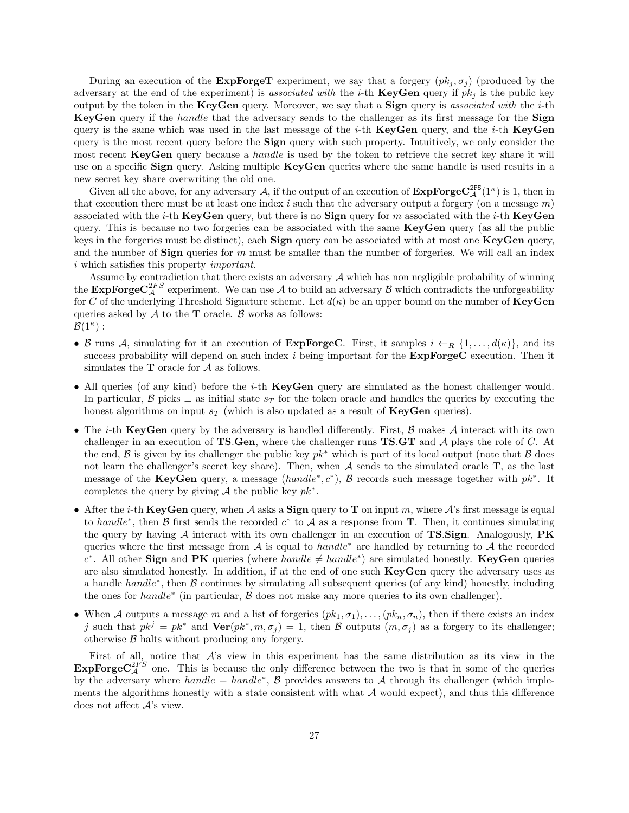During an execution of the **ExpForgeT** experiment, we say that a forgery  $(pk_i, \sigma_i)$  (produced by the adversary at the end of the experiment) is associated with the i-th **KeyGen** query if  $pk_i$  is the public key output by the token in the KeyGen query. Moreover, we say that a **Sign** query is associated with the *i*-th KeyGen query if the *handle* that the adversary sends to the challenger as its first message for the Sign query is the same which was used in the last message of the *i*-th KeyGen query, and the *i*-th KeyGen query is the most recent query before the **Sign** query with such property. Intuitively, we only consider the most recent KeyGen query because a *handle* is used by the token to retrieve the secret key share it will use on a specific Sign query. Asking multiple KeyGen queries where the same handle is used results in a new secret key share overwriting the old one.

Given all the above, for any adversary A, if the output of an execution of  $\text{ExpForge } C^{\text{2FS}}_{\mathcal{A}}(1^{\kappa})$  is 1, then in that execution there must be at least one index i such that the adversary output a forgery (on a message  $m$ ) associated with the *i*-th KeyGen query, but there is no Sign query for m associated with the *i*-th KeyGen query. This is because no two forgeries can be associated with the same **KeyGen** query (as all the public keys in the forgeries must be distinct), each  $\bf Sign$  query can be associated with at most one  $\bf KeyGen$  query, and the number of  $\operatorname{Sign}$  queries for m must be smaller than the number of forgeries. We will call an index i which satisfies this property important.

Assume by contradiction that there exists an adversary  $A$  which has non negligible probability of winning the  $\text{ExpForge } C_A^{2FS}$  experiment. We can use A to build an adversary B which contradicts the unforgeability for C of the underlying Threshold Signature scheme. Let  $d(\kappa)$  be an upper bound on the number of  $\rm KeyGen$ queries asked by  $A$  to the **T** oracle.  $B$  works as follows:  $\mathcal{B}(1^{\kappa})$ :

- B runs A, simulating for it an execution of **ExpForgeC**. First, it samples  $i \leftarrow_R \{1, \ldots, d(\kappa)\}\)$ , and its success probability will depend on such index  $i$  being important for the  $\mathbf{ExpForgeC}$  execution. Then it simulates the  $\mathbf T$  oracle for  $\mathcal A$  as follows.
- All queries (of any kind) before the *i*-th **KeyGen** query are simulated as the honest challenger would. In particular, B picks  $\perp$  as initial state  $s_T$  for the token oracle and handles the queries by executing the honest algorithms on input  $s_T$  (which is also updated as a result of **KeyGen** queries).
- The *i*-th KeyGen query by the adversary is handled differently. First,  $\beta$  makes  $\mathcal A$  interact with its own challenger in an execution of **TS.Gen**, where the challenger runs **TS.GT** and  $\mathcal A$  plays the role of C. At the end, B is given by its challenger the public key  $pk^*$  which is part of its local output (note that B does not learn the challenger's secret key share). Then, when  $A$  sends to the simulated oracle  $T$ , as the last message of the KeyGen query, a message (handle<sup>\*</sup>, c<sup>\*</sup>), B records such message together with  $pk^*$ . It completes the query by giving  $A$  the public key  $pk^*$ .
- After the *i*-th KeyGen query, when A asks a Sign query to T on input m, where  $\mathcal{A}$ 's first message is equal to handle<sup>\*</sup>, then B first sends the recorded  $c^*$  to A as a response from **T**. Then, it continues simulating the query by having  $A$  interact with its own challenger in an execution of **TS.Sign.** Analogously, **PK** queries where the first message from A is equal to handle<sup>∗</sup> are handled by returning to A the recorded  $c^*$ . All other **Sign** and PK queries (where *handle*  $\neq$  *handle*<sup>\*</sup>) are simulated honestly. KeyGen queries are also simulated honestly. In addition, if at the end of one such **KeyGen** query the adversary uses as a handle  $handle^*$ , then  $\mathcal B$  continues by simulating all subsequent queries (of any kind) honestly, including the ones for  $handle^*$  (in particular,  $\beta$  does not make any more queries to its own challenger).
- When A outputs a message m and a list of forgeries  $(pk_1, \sigma_1), \ldots, (pk_n, \sigma_n)$ , then if there exists an index j such that  $pk^j = pk^*$  and  $\text{Ver}(pk^*, m, \sigma_j) = 1$ , then B outputs  $(m, \sigma_j)$  as a forgery to its challenger; otherwise B halts without producing any forgery.

First of all, notice that  $\mathcal{A}$ 's view in this experiment has the same distribution as its view in the **ExpForgeC**<sup>2FS</sup> one. This is because the only difference between the two is that in some of the queries by the adversary where  $handle = handle^*$ ,  $\mathcal{B}$  provides answers to  $\mathcal{A}$  through its challenger (which implements the algorithms honestly with a state consistent with what  $A$  would expect), and thus this difference does not affect  $A$ 's view.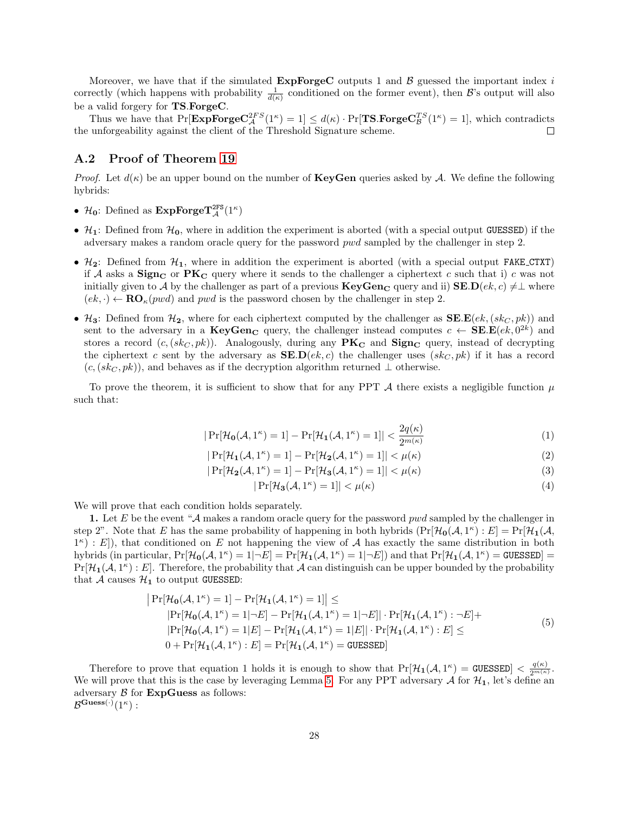Moreover, we have that if the simulated  $\bf{ExpForgeC}$  outputs 1 and B guessed the important index i correctly (which happens with probability  $\frac{1}{d(\kappa)}$  conditioned on the former event), then B's output will also be a valid forgery for TS.ForgeC.

Thus we have that  $Pr[\textbf{ExpForce}_{\mathcal{A}}^{2FS}(1^{\kappa})=1] \leq d(\kappa) \cdot Pr[\textbf{TS}.\textbf{ForgeC}_{\mathcal{B}}^{TS}(1^{\kappa})=1]$ , which contradicts the unforgeability against the client of the Threshold Signature scheme.  $\Box$ 

### A.2 Proof of Theorem [19](#page-17-1)

*Proof.* Let  $d(\kappa)$  be an upper bound on the number of **KeyGen** queries asked by A. We define the following hybrids:

- $\mathcal{H}_0$ : Defined as  $\mathbf{ExpForgeT}_{\mathcal{A}}^{\mathsf{2FS}}(1^{\kappa})$
- $\mathcal{H}_1$ : Defined from  $\mathcal{H}_0$ , where in addition the experiment is aborted (with a special output GUESSED) if the adversary makes a random oracle query for the password pwd sampled by the challenger in step 2.
- $\mathcal{H}_2$ : Defined from  $\mathcal{H}_1$ , where in addition the experiment is aborted (with a special output FAKE CTXT) if A asks a  $\text{Sign}_{\text{C}}$  or  $\text{PK}_{\text{C}}$  query where it sends to the challenger a ciphertext c such that i) c was not initially given to A by the challenger as part of a previous  $\textbf{KeyGen}_{\textbf{C}}$  query and ii)  $\textbf{SE.D}(ek, c) \neq \perp$  where  $(ek, \cdot) \leftarrow \mathbf{RO}_{\kappa}(pwd)$  and pwd is the password chosen by the challenger in step 2.
- $\mathcal{H}_3$ : Defined from  $\mathcal{H}_2$ , where for each ciphertext computed by the challenger as **SE.E**(ek, (skc, pk)) and sent to the adversary in a  $\text{KeyGen}_{\text{C}}$  query, the challenger instead computes  $c \leftarrow \text{SE.E}(ek, 0^{2k})$  and stores a record  $(c, (sk_C, pk))$ . Analogously, during any  $PK_C$  and  $Sign_C$  query, instead of decrypting the ciphertext c sent by the adversary as  $\mathbf{SE}.\mathbf{D}(ek, c)$  the challenger uses  $(sk_C, pk)$  if it has a record  $(c, (sk_C, pk))$ , and behaves as if the decryption algorithm returned  $\perp$  otherwise.

To prove the theorem, it is sufficient to show that for any PPT  $\mathcal A$  there exists a negligible function  $\mu$ such that:

$$
|\Pr[\mathcal{H}_0(\mathcal{A}, 1^\kappa) = 1] - \Pr[\mathcal{H}_1(\mathcal{A}, 1^\kappa) = 1]| < \frac{2q(\kappa)}{2^{m(\kappa)}}\tag{1}
$$

$$
|\Pr[\mathcal{H}_1(\mathcal{A}, 1^{\kappa}) = 1] - \Pr[\mathcal{H}_2(\mathcal{A}, 1^{\kappa}) = 1]| < \mu(\kappa)
$$
\n(2)

$$
|\Pr[\mathcal{H}_2(\mathcal{A}, 1^{\kappa}) = 1] - \Pr[\mathcal{H}_3(\mathcal{A}, 1^{\kappa}) = 1]| < \mu(\kappa)
$$
\n(3)

$$
|\Pr[\mathcal{H}_3(\mathcal{A}, 1^\kappa) = 1]| < \mu(\kappa) \tag{4}
$$

We will prove that each condition holds separately.

1. Let E be the event " $\mathcal A$  makes a random oracle query for the password pwd sampled by the challenger in step 2". Note that E has the same probability of happening in both hybrids  $(\Pr[\mathcal{H}_0(\mathcal{A}, 1^\kappa):E] = \Pr[\mathcal{H}_1(\mathcal{A}, E)]$  $1^{\kappa}$ ) : E|), that conditioned on E not happening the view of A has exactly the same distribution in both hybrids (in particular,  $Pr[\mathcal{H}_0(\mathcal{A}, 1^{\kappa}) = 1 | \neg E] = Pr[\mathcal{H}_1(\mathcal{A}, 1^{\kappa}) = 1 | \neg E]$ ) and that  $Pr[\mathcal{H}_1(\mathcal{A}, 1^{\kappa}) = \text{GUESSED}] =$  $Pr[\mathcal{H}_{1}(\mathcal{A}, 1^{\kappa}) : E]$ . Therefore, the probability that A can distinguish can be upper bounded by the probability that A causes  $\mathcal{H}_1$  to output GUESSED:

$$
|\Pr[\mathcal{H}_{0}(\mathcal{A}, 1^{\kappa}) = 1] - \Pr[\mathcal{H}_{1}(\mathcal{A}, 1^{\kappa}) = 1]| \le
$$
  
\n
$$
|\Pr[\mathcal{H}_{0}(\mathcal{A}, 1^{\kappa}) = 1] - E] - \Pr[\mathcal{H}_{1}(\mathcal{A}, 1^{\kappa}) = 1| - E]| \cdot \Pr[\mathcal{H}_{1}(\mathcal{A}, 1^{\kappa}) : -E] +
$$
  
\n
$$
|\Pr[\mathcal{H}_{0}(\mathcal{A}, 1^{\kappa}) = 1|E] - \Pr[\mathcal{H}_{1}(\mathcal{A}, 1^{\kappa}) = 1|E]| \cdot \Pr[\mathcal{H}_{1}(\mathcal{A}, 1^{\kappa}) : E] \le
$$
  
\n
$$
0 + \Pr[\mathcal{H}_{1}(\mathcal{A}, 1^{\kappa}) : E] = \Pr[\mathcal{H}_{1}(\mathcal{A}, 1^{\kappa}) = \text{GUESSED}]
$$
  
\n(5)

Therefore to prove that equation 1 holds it is enough to show that  $Pr[\mathcal{H}_{1}(\mathcal{A}, 1^{\kappa}) = \text{GUESED}] < \frac{q(\kappa)}{2^{m(\kappa)}}$  $rac{q(\kappa)}{2^{m(\kappa)}}$ . We will prove that this is the case by leveraging Lemma [5.](#page-8-1) For any PPT adversary  $\mathcal A$  for  $\mathcal H_1$ , let's define an adversary  $\beta$  for **ExpGuess** as follows:  $\mathcal{B}^{\mathbf{Guss}(\cdot)}(1^{\kappa})$  :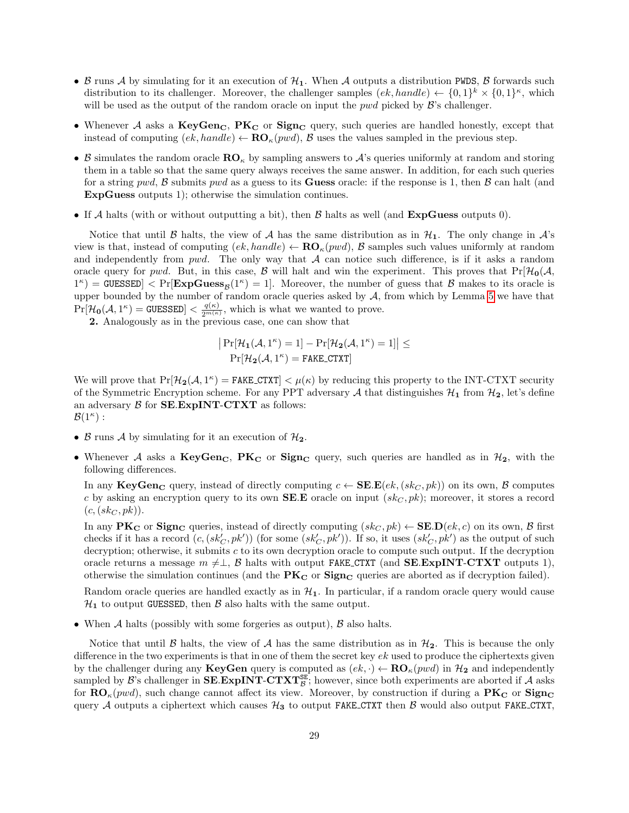- B runs A by simulating for it an execution of  $\mathcal{H}_1$ . When A outputs a distribution PWDS, B forwards such distribution to its challenger. Moreover, the challenger samples  $(ek, handle) \leftarrow \{0,1\}^k \times \{0,1\}^k$ , which will be used as the output of the random oracle on input the *pwd* picked by  $\mathcal{B}$ 's challenger.
- Whenever A asks a  $KeyGen_C$ ,  $PK_C$  or  $Sign_C$  query, such queries are handled honestly, except that instead of computing  $(ek, handle) \leftarrow \mathbf{RO}_{\kappa}(pwd), \mathcal{B}$  uses the values sampled in the previous step.
- B simulates the random oracle  $\mathbf{RO}_{\kappa}$  by sampling answers to  $\mathcal{A}$ 's queries uniformly at random and storing them in a table so that the same query always receives the same answer. In addition, for each such queries for a string pwd, B submits pwd as a guess to its **Guess** oracle: if the response is 1, then B can halt (and ExpGuess outputs 1); otherwise the simulation continues.
- If A halts (with or without outputting a bit), then  $\beta$  halts as well (and **ExpGuess** outputs 0).

Notice that until B halts, the view of A has the same distribution as in  $\mathcal{H}_1$ . The only change in  $\mathcal{A}$ 's view is that, instead of computing  $(ek, handle) \leftarrow \mathbf{RO}_{\kappa}(pwd), \mathcal{B}$  samples such values uniformly at random and independently from pwd. The only way that  $A$  can notice such difference, is if it asks a random oracle query for pwd. But, in this case, B will halt and win the experiment. This proves that  $Pr[\mathcal{H}_0(\mathcal{A},$  $1^{\kappa}$  = GUESSED] < Pr[ExpGuess<sub>B</sub>(1<sup>k</sup>) = 1]. Moreover, the number of guess that B makes to its oracle is upper bounded by the number of random oracle queries asked by  $A$ , from which by Lemma [5](#page-8-1) we have that  $\Pr[\mathcal{H}_{\mathbf{0}}(\mathcal{A}, 1^{\kappa})=\mathtt{GUESSED}] < \frac{q(\kappa)}{2^{m(\kappa)}}$  $\frac{q(\kappa)}{2^{m(\kappa)}}$ , which is what we wanted to prove.

2. Analogously as in the previous case, one can show that

$$
\big|\Pr[\mathcal{H}_1(\mathcal{A},1^\kappa)=1]-\Pr[\mathcal{H}_2(\mathcal{A},1^\kappa)=1]\big|\leq\\ \Pr[\mathcal{H}_2(\mathcal{A},1^\kappa)=\texttt{FAKE_CTT}]
$$

We will prove that  $Pr[\mathcal{H}_2(\mathcal{A}, 1^k) = FAKE_CTTST] < \mu(\kappa)$  by reducing this property to the INT-CTXT security of the Symmetric Encryption scheme. For any PPT adversary A that distinguishes  $\mathcal{H}_1$  from  $\mathcal{H}_2$ , let's define an adversary  $\beta$  for **SE. ExpINT-CTXT** as follows:  $\mathcal{B}(1^{\kappa})$ :

- B runs A by simulating for it an execution of  $\mathcal{H}_2$ .
- Whenever A asks a KeyGen<sub>C</sub>,  $PK_C$  or Sign<sub>C</sub> query, such queries are handled as in  $H_2$ , with the following differences.

In any KeyGen<sub>C</sub> query, instead of directly computing  $c \leftarrow \textbf{SE.E}(ek, (sk_C, pk))$  on its own, B computes c by asking an encryption query to its own **SE.E** oracle on input  $(kc, pk)$ ; moreover, it stores a record  $(c, (sk_C, pk)).$ 

In any  $\mathbf{PK_C}$  or  $\mathbf{Sign_C}$  queries, instead of directly computing  $(sk_C, pk) \leftarrow \mathbf{SE.D}(ek, c)$  on its own, B first checks if it has a record  $(c, (sk_C', pk'))$  (for some  $(sk_C', pk')$ ). If so, it uses  $(sk_C', pk')$  as the output of such decryption; otherwise, it submits  $c$  to its own decryption oracle to compute such output. If the decryption oracle returns a message  $m \neq \perp$ , B halts with output FAKE CTXT (and SE.ExpINT-CTXT outputs 1), otherwise the simulation continues (and the  $PK_C$  or  $Sign_C$  queries are aborted as if decryption failed).

Random oracle queries are handled exactly as in  $\mathcal{H}_1$ . In particular, if a random oracle query would cause  $\mathcal{H}_1$  to output GUESSED, then  $\beta$  also halts with the same output.

• When A halts (possibly with some forgeries as output),  $\beta$  also halts.

Notice that until B halts, the view of A has the same distribution as in  $\mathcal{H}_2$ . This is because the only difference in the two experiments is that in one of them the secret key  $ek$  used to produce the ciphertexts given by the challenger during any KeyGen query is computed as  $(e_k, \cdot) \leftarrow \mathbf{RO}_{\kappa}(pwd)$  in  $\mathcal{H}_2$  and independently sampled by  $\mathcal{B}$ 's challenger in **SE.ExpINT-CTXT**<sup>SE</sup>; however, since both experiments are aborted if  $\mathcal{A}$  asks for  $\mathbf{RO}_{\kappa}(pwd)$ , such change cannot affect its view. Moreover, by construction if during a  $\mathbf{PK_C}$  or  $\mathbf{Sign_C}$ query A outputs a ciphertext which causes  $\mathcal{H}_3$  to output FAKE CTXT then B would also output FAKE CTXT,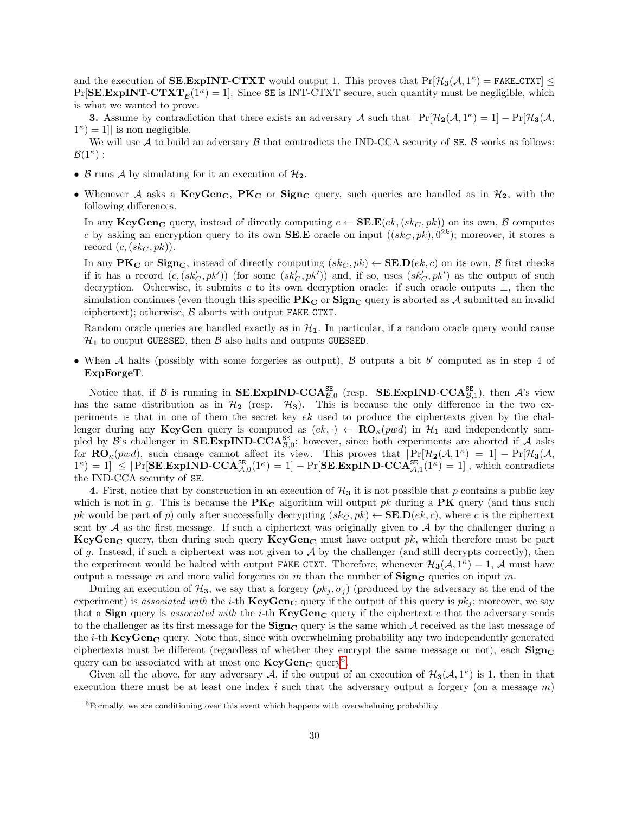and the execution of **SE. ExpINT-CTXT** would output 1. This proves that  $Pr[\mathcal{H}_3(\mathcal{A}, 1^{\kappa}) =$  **FAKE\_CTXT**  $\leq$  $Pr[\mathbf{SE}.\mathbf{ExpINT-CTXT}_\mathcal{B}(1^\kappa) = 1].$  Since SE is INT-CTXT secure, such quantity must be negligible, which is what we wanted to prove.

**3.** Assume by contradiction that there exists an adversary A such that  $|\Pr[\mathcal{H}_2(\mathcal{A}, 1^k) = 1] - \Pr[\mathcal{H}_3(\mathcal{A}, 1^k)]$  $1^{\kappa}$ ) = 1|| is non negligible.

We will use A to build an adversary  $\beta$  that contradicts the IND-CCA security of SE.  $\beta$  works as follows:  $\mathcal{B}(1^{\kappa})$ :

- B runs A by simulating for it an execution of  $\mathcal{H}_2$ .
- Whenever A asks a KeyGen<sub>C</sub>, PK<sub>C</sub> or Sign<sub>C</sub> query, such queries are handled as in  $\mathcal{H}_2$ , with the following differences.

In any KeyGen<sub>C</sub> query, instead of directly computing  $c \leftarrow \textbf{SE.E}(ek, (sk_C, pk))$  on its own, B computes c by asking an encryption query to its own **SE.E** oracle on input  $((sk_C, pk), 0^{2k})$ ; moreover, it stores a record  $(c, (sk_C, pk))$ .

In any  $\mathbf{PK_C}$  or  $\mathbf{Sign_C}$ , instead of directly computing  $(sk_C, pk) \leftarrow \mathbf{SE.D}(ek, c)$  on its own, B first checks if it has a record  $(c, (sk_C', pk'))$  (for some  $(sk_C', pk')$ ) and, if so, uses  $(sk_C', pk')$  as the output of such decryption. Otherwise, it submits c to its own decryption oracle: if such oracle outputs  $\perp$ , then the simulation continues (even though this specific  $PK_C$  or  $Sign_C$  query is aborted as A submitted an invalid ciphertext); otherwise,  $\beta$  aborts with output FAKE CTXT.

Random oracle queries are handled exactly as in  $H_1$ . In particular, if a random oracle query would cause  $\mathcal{H}_1$  to output GUESSED, then  $\beta$  also halts and outputs GUESSED.

• When A halts (possibly with some forgeries as output),  $\beta$  outputs a bit  $b'$  computed as in step 4 of ExpForgeT.

Notice that, if B is running in **SE.ExpIND-CCA**<sup>SE</sup><sub>B,0</sub> (resp. **SE.ExpIND-CCA**<sup>SE</sup><sub>B,1</sub>), then A's view has the same distribution as in  $\mathcal{H}_2$  (resp.  $\mathcal{H}_3$ ). This is because the only difference in the two experiments is that in one of them the secret key  $ek$  used to produce the ciphertexts given by the challenger during any KeyGen query is computed as  $(e_k, \cdot) \leftarrow \mathbf{RO}_{\kappa}(pwd)$  in  $\mathcal{H}_1$  and independently sampled by  $\mathcal{B}$ 's challenger in **SE.ExpIND-CCA**<sup>SE</sup><sub> $\beta$ </sub>, however, since both experiments are aborted if  $\mathcal{A}$  asks for  $\mathbf{RO}_{\kappa}(pwd)$ , such change cannot affect its view. This proves that  $|\Pr[\mathcal{H}_2(\mathcal{A}, 1^{\kappa}) = 1] - \Pr[\mathcal{H}_3(\mathcal{A}, 1^{\kappa})]$  $|1^{\kappa}| = 1$ ||  $\leq |P_{\text{I}}[\text{SE}.\text{ExpIND-CCA}_{\mathcal{A},0}^{\text{SE}}(1^{\kappa}) = 1] - P_{\text{I}}[\text{SE}.\text{ExpIND-CCA}_{\mathcal{A},1}^{\text{SE}}(1^{\kappa}) = 1]$ , which contradicts the IND-CCA security of SE.

4. First, notice that by construction in an execution of  $\mathcal{H}_3$  it is not possible that p contains a public key which is not in g. This is because the  $PK<sub>C</sub>$  algorithm will output pk during a PK query (and thus such pk would be part of p) only after successfully decrypting  $(s k_C, p k) \leftarrow \mathbf{SE} \cdot \mathbf{D}(ek, c)$ , where c is the ciphertext sent by  $A$  as the first message. If such a ciphertext was originally given to  $A$  by the challenger during a **KeyGen<sub>C</sub>** query, then during such query  $KeyGen<sub>C</sub>$  must have output pk, which therefore must be part of g. Instead, if such a ciphertext was not given to  $A$  by the challenger (and still decrypts correctly), then the experiment would be halted with output FAKE\_CTXT. Therefore, whenever  $\mathcal{H}_{3}(\mathcal{A}, 1^{\kappa}) = 1$ , A must have output a message m and more valid forgeries on m than the number of  $\operatorname{Sign}_{\mathbf{C}}$  queries on input m.

During an execution of  $\mathcal{H}_3$ , we say that a forgery  $(pk_i, \sigma_i)$  (produced by the adversary at the end of the experiment) is associated with the i-th  $KeyGen_C$  query if the output of this query is  $pk_i$ ; moreover, we say that a **Sign** query is associated with the *i*-th  $KeyGen<sub>C</sub>$  query if the ciphertext c that the adversary sends to the challenger as its first message for the  $\text{Sign}_{\text{C}}$  query is the same which A received as the last message of the *i*-th  $KeyGen_C$  query. Note that, since with overwhelming probability any two independently generated ciphertexts must be different (regardless of whether they encrypt the same message or not), each  $\text{Sign}_{\text{C}}$ query can be associated with at most one  $KeyGen_C$  query<sup>[6](#page-29-0)</sup>.

Given all the above, for any adversary A, if the output of an execution of  $\mathcal{H}_{3}(\mathcal{A}, 1^{\kappa})$  is 1, then in that execution there must be at least one index i such that the adversary output a forgery (on a message  $m$ )

<span id="page-29-0"></span> $6$ Formally, we are conditioning over this event which happens with overwhelming probability.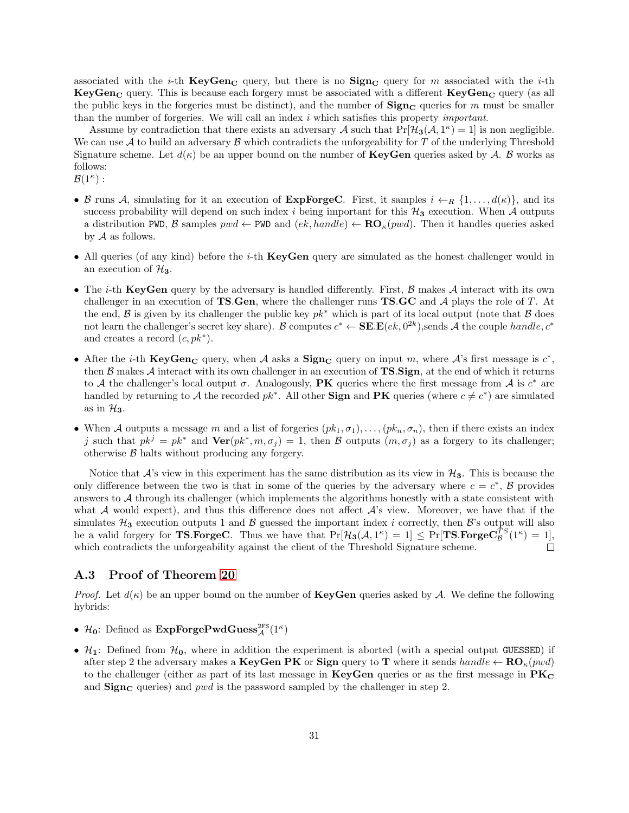associated with the *i*-th  $\text{KeyGen}_{\text{C}}$  query, but there is no  $\text{Sign}_{\text{C}}$  query for m associated with the *i*-th  $KeyGen<sub>C</sub>$  query. This is because each forgery must be associated with a different  $KeyGen<sub>C</sub>$  query (as all the public keys in the forgeries must be distinct), and the number of  $\operatorname{Sign}_{\mathbb{C}}$  queries for m must be smaller than the number of forgeries. We will call an index  $i$  which satisfies this property *important*.

Assume by contradiction that there exists an adversary A such that  $Pr[\mathcal{H}_{3}(\mathcal{A}, 1^{\kappa}) = 1]$  is non negligible. We can use A to build an adversary  $\beta$  which contradicts the unforgeability for T of the underlying Threshold Signature scheme. Let  $d(\kappa)$  be an upper bound on the number of **KeyGen** queries asked by A. B works as follows:

 $\mathcal{B}(1^{\kappa})$ :

- B runs A, simulating for it an execution of **ExpForgeC**. First, it samples  $i \leftarrow_R \{1, \ldots, d(\kappa)\}\)$ , and its success probability will depend on such index i being important for this  $\mathcal{H}_3$  execution. When  $\mathcal A$  outputs a distribution PWD, B samples  $pwd \leftarrow PWD$  and  $(ek, handle) \leftarrow \mathbf{RO}_{\kappa}(pwd)$ . Then it handles queries asked by  $A$  as follows.
- All queries (of any kind) before the *i*-th **KeyGen** query are simulated as the honest challenger would in an execution of  $\mathcal{H}_3$ .
- The *i*-th KeyGen query by the adversary is handled differently. First,  $\beta$  makes  $\mathcal A$  interact with its own challenger in an execution of **TS.Gen**, where the challenger runs **TS.GC** and  $A$  plays the role of  $T$ . At the end, B is given by its challenger the public key  $pk^*$  which is part of its local output (note that B does not learn the challenger's secret key share). B computes  $c^* \leftarrow \textbf{SE.E}(ek, 0^{2k})$ , sends A the couple handle,  $c^*$ and creates a record  $(c, pk^*)$ .
- After the *i*-th  $KeyGen_C$  query, when A asks a  $Sign_C$  query on input m, where A's first message is  $c^*$ , then  $\beta$  makes  $\mathcal A$  interact with its own challenger in an execution of **TS.Sign**, at the end of which it returns to A the challenger's local output  $\sigma$ . Analogously, PK queries where the first message from A is  $c^*$  are handled by returning to A the recorded  $pk^*$ . All other **Sign** and **PK** queries (where  $c \neq c^*$ ) are simulated as in  $\mathcal{H}_3$ .
- When A outputs a message m and a list of forgeries  $(pk_1, \sigma_1), \ldots, (pk_n, \sigma_n)$ , then if there exists an index j such that  $pk^j = pk^*$  and  $\text{Ver}(pk^*, m, \sigma_j) = 1$ , then B outputs  $(m, \sigma_j)$  as a forgery to its challenger; otherwise B halts without producing any forgery.

Notice that A's view in this experiment has the same distribution as its view in  $\mathcal{H}_3$ . This is because the only difference between the two is that in some of the queries by the adversary where  $c = c^*$ ,  $\beta$  provides answers to A through its challenger (which implements the algorithms honestly with a state consistent with what  $A$  would expect), and thus this difference does not affect  $A$ 's view. Moreover, we have that if the simulates  $H_3$  execution outputs 1 and B guessed the important index i correctly, then B's output will also be a valid forgery for **TS.ForgeC**. Thus we have that  $Pr[\mathcal{H}_3(\mathcal{A}, 1^{\kappa}) = 1] \leq Pr[\mathbf{TS}.\mathbf{ForgeC}_{\mathcal{B}}^{TS}(1^{\kappa}) = 1],$ which contradicts the unforgeability against the client of the Threshold Signature scheme.  $\Box$ 

### A.3 Proof of Theorem [20](#page-17-2)

*Proof.* Let  $d(\kappa)$  be an upper bound on the number of **KeyGen** queries asked by A. We define the following hybrids:

- $\mathcal{H}_0$ : Defined as  $\text{ExpForgePwdGuess}_{\mathcal{A}}^{\text{2FS}}(1^{\kappa})$
- $\mathcal{H}_1$ : Defined from  $\mathcal{H}_0$ , where in addition the experiment is aborted (with a special output GUESSED) if after step 2 the adversary makes a KeyGen PK or Sign query to T where it sends handle  $\leftarrow \text{RO}_{\kappa}(pwd)$ to the challenger (either as part of its last message in  $\text{KevGen}$  queries or as the first message in  $\text{PK}_C$ and  $\operatorname{Sign}_{\mathbf{C}}$  queries) and pwd is the password sampled by the challenger in step 2.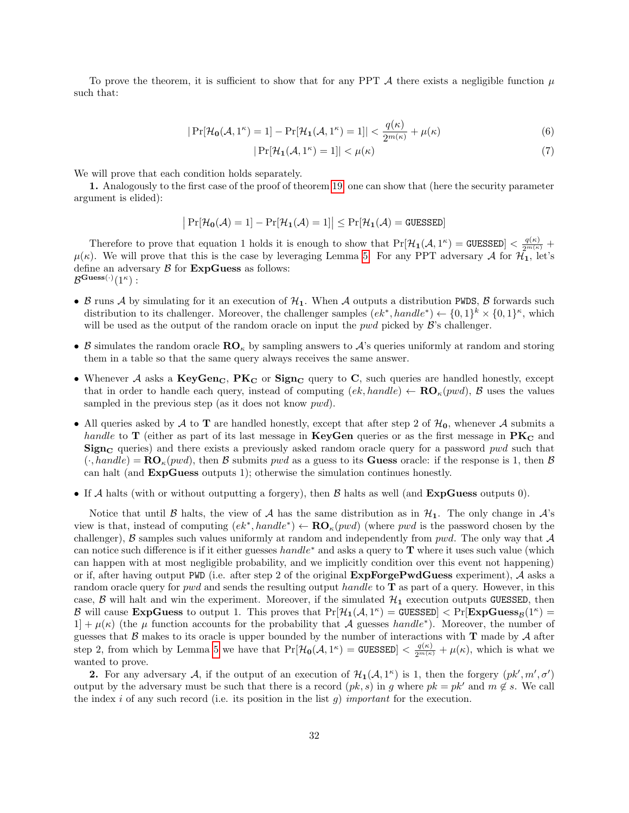To prove the theorem, it is sufficient to show that for any PPT  $\mathcal A$  there exists a negligible function  $\mu$ such that:

$$
|\Pr[\mathcal{H}_0(\mathcal{A}, 1^\kappa) = 1] - \Pr[\mathcal{H}_1(\mathcal{A}, 1^\kappa) = 1]| < \frac{q(\kappa)}{2^{m(\kappa)}} + \mu(\kappa) \tag{6}
$$

$$
|\Pr[\mathcal{H}_1(\mathcal{A}, 1^{\kappa}) = 1]| < \mu(\kappa)
$$
\n(7)

We will prove that each condition holds separately.

1. Analogously to the first case of the proof of theorem [19,](#page-17-1) one can show that (here the security parameter argument is elided):

$$
\big|\Pr[\mathcal{H}_0(\mathcal{A})=1]-\Pr[\mathcal{H}_1(\mathcal{A})=1]\big|\leq\Pr[\mathcal{H}_1(\mathcal{A})=\texttt{GUESSED}]
$$

Therefore to prove that equation 1 holds it is enough to show that  $Pr[\mathcal{H}_{1}(A, 1^{\kappa}) = \text{GUESSED}] < \frac{q(\kappa)}{2^{m(\kappa)}}$  +  $\mu(\kappa)$ . We will prove that this is the case by leveraging Lemma [5.](#page-8-1) For any PPT adversary A for  $\mathcal{H}_1$ , let's define an adversary  $\beta$  for **ExpGuess** as follows:  $\mathcal{B}^{\mathbf{Guss}(\cdot)}(1^{\kappa})$  :

- B runs A by simulating for it an execution of  $\mathcal{H}_1$ . When A outputs a distribution PWDS, B forwards such distribution to its challenger. Moreover, the challenger samples  $(ek^*, handle^*) \leftarrow \{0,1\}^k \times \{0,1\}^k$ , which will be used as the output of the random oracle on input the *pwd* picked by  $\mathcal{B}$ 's challenger.
- B simulates the random oracle  $\mathbf{RO}_{\kappa}$  by sampling answers to  $\mathcal{A}$ 's queries uniformly at random and storing them in a table so that the same query always receives the same answer.
- Whenever A asks a KeyGen<sub>C</sub>,  $PK_C$  or Sign<sub>C</sub> query to C, such queries are handled honestly, except that in order to handle each query, instead of computing  $(ek, handle) \leftarrow \mathbf{RO}_{\kappa}(pwd), \mathcal{B}$  uses the values sampled in the previous step (as it does not know  $\text{pwd}$ ).
- All queries asked by A to T are handled honestly, except that after step 2 of  $H_0$ , whenever A submits a handle to **T** (either as part of its last message in **KeyGen** queries or as the first message in  $PK<sub>C</sub>$  and  $\operatorname{Sign}_{\mathbb{C}}$  queries) and there exists a previously asked random oracle query for a password pwd such that  $(\cdot, handle) = \mathbf{RO}_{\kappa}(pwd),$  then B submits pwd as a guess to its Guess oracle: if the response is 1, then B can halt (and ExpGuess outputs 1); otherwise the simulation continues honestly.
- If A halts (with or without outputting a forgery), then B halts as well (and  $ExpGuess$  outputs 0).

Notice that until B halts, the view of A has the same distribution as in  $\mathcal{H}_1$ . The only change in  $\mathcal{A}$ 's view is that, instead of computing  $(ek^*, handle^*) \leftarrow \mathbf{RO}_{\kappa}(pwd)$  (where pwd is the password chosen by the challenger), B samples such values uniformly at random and independently from pwd. The only way that  $A$ can notice such difference is if it either guesses handle<sup>∗</sup> and asks a query to **T** where it uses such value (which can happen with at most negligible probability, and we implicitly condition over this event not happening) or if, after having output PWD (i.e. after step 2 of the original ExpForgePwdGuess experiment), A asks a random oracle query for pwd and sends the resulting output handle to  $\bf{T}$  as part of a query. However, in this case,  $\beta$  will halt and win the experiment. Moreover, if the simulated  $\mathcal{H}_1$  execution outputs GUESSED, then B will cause  $\text{ExpGuess}$  to output 1. This proves that  $\Pr[\mathcal{H}_1(\mathcal{A}, 1^{\kappa}) = \text{GUESSED}] < \Pr[\text{ExpGuess}_{\mathcal{B}}(1^{\kappa}) = \text{GUESSED}]$  $1 + \mu(\kappa)$  (the  $\mu$  function accounts for the probability that A guesses *handle<sup>\*</sup>*). Moreover, the number of guesses that  $\beta$  makes to its oracle is upper bounded by the number of interactions with T made by  $\mathcal A$  after step 2, from which by Lemma [5](#page-8-1) we have that  $Pr[\mathcal{H}_{0}(\mathcal{A}, 1^{\kappa}) = \text{GUESSED}] < \frac{q(\kappa)}{2^{m(\kappa)}} + \mu(\kappa)$ , which is what we wanted to prove.

**2.** For any adversary A, if the output of an execution of  $\mathcal{H}_{1}(\mathcal{A}, 1^{k})$  is 1, then the forgery  $(pk', m', \sigma')$ output by the adversary must be such that there is a record  $(pk, s)$  in g where  $pk = pk'$  and  $m \notin s$ . We call the index i of any such record (i.e. its position in the list q) important for the execution.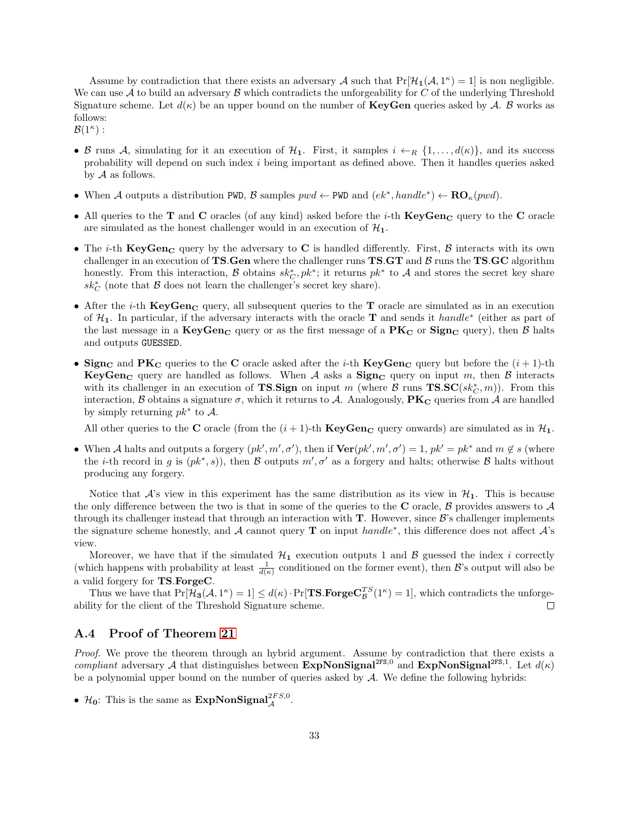Assume by contradiction that there exists an adversary A such that  $Pr[\mathcal{H}_{1}(A, 1^{\kappa}) = 1]$  is non negligible. We can use A to build an adversary  $\beta$  which contradicts the unforgeability for C of the underlying Threshold Signature scheme. Let  $d(\kappa)$  be an upper bound on the number of **KeyGen** queries asked by A. B works as follows:

 $\mathcal{B}(1^{\kappa})$ :

- B runs A, simulating for it an execution of  $\mathcal{H}_{1}$ . First, it samples  $i \leftarrow_R \{1, \ldots, d(\kappa)\}\)$ , and its success probability will depend on such index i being important as defined above. Then it handles queries asked by  $A$  as follows.
- When A outputs a distribution PWD, B samples  $pwd \leftarrow \text{PWD}$  and  $(ek^*, handle^*) \leftarrow \text{RO}_{\kappa}(pwd)$ .
- All queries to the **T** and **C** oracles (of any kind) asked before the *i*-th  $KeyGen<sub>C</sub>$  query to the **C** oracle are simulated as the honest challenger would in an execution of  $\mathcal{H}_1$ .
- The *i*-th KeyGen<sub>C</sub> query by the adversary to C is handled differently. First,  $\beta$  interacts with its own challenger in an execution of **TS.Gen** where the challenger runs  $\mathbf{TS}.GT$  and  $\beta$  runs the **TS.GC** algorithm honestly. From this interaction,  $\mathcal B$  obtains  $sk_C^*, p k^*$ ; it returns  $p k^*$  to  $\mathcal A$  and stores the secret key share  $sk_{\cal C}^*$  (note that  ${\cal B}$  does not learn the challenger's secret key share).
- After the *i*-th  $KeyGen<sub>C</sub>$  query, all subsequent queries to the T oracle are simulated as in an execution of  $H_1$ . In particular, if the adversary interacts with the oracle T and sends it handle<sup>\*</sup> (either as part of the last message in a  $KeyGen_C$  query or as the first message of a  $PK_C$  or  $Sign_C$  query), then B halts and outputs GUESSED.
- Sign<sub>C</sub> and PK<sub>C</sub> queries to the C oracle asked after the *i*-th KeyGen<sub>C</sub> query but before the  $(i + 1)$ -th **KeyGen<sub>C</sub>** query are handled as follows. When A asks a  $Sign_C$  query on input m, then B interacts with its challenger in an execution of **TS.Sign** on input m (where  $\mathcal{B}$  runs **TS.SC** $(s k_C^*, m)$ ). From this interaction, B obtains a signature  $\sigma$ , which it returns to A. Analogously,  $\mathbf{P} \mathbf{K}_{\mathbf{C}}$  queries from A are handled by simply returning  $pk^*$  to A.

All other queries to the C oracle (from the  $(i + 1)$ -th  $KeyGen_C$  query onwards) are simulated as in  $\mathcal{H}_1$ .

• When A halts and outputs a forgery  $(pk', m', \sigma')$ , then if  $\textbf{Ver}(pk', m', \sigma') = 1$ ,  $pk' = pk^*$  and  $m \notin s$  (where the *i*-th record in g is  $(pk^*, s)$ , then B outputs  $m', \sigma'$  as a forgery and halts; otherwise B halts without producing any forgery.

Notice that A's view in this experiment has the same distribution as its view in  $\mathcal{H}_1$ . This is because the only difference between the two is that in some of the queries to the C oracle,  $\beta$  provides answers to  $\mathcal A$ through its challenger instead that through an interaction with  $T$ . However, since  $\mathcal{B}'$ 's challenger implements the signature scheme honestly, and A cannot query **T** on input *handle<sup>\*</sup>*, this difference does not affect A's view.

Moreover, we have that if the simulated  $\mathcal{H}_1$  execution outputs 1 and  $\mathcal B$  guessed the index i correctly (which happens with probability at least  $\frac{1}{d(\kappa)}$  conditioned on the former event), then B's output will also be a valid forgery for TS.ForgeC.

Thus we have that  $Pr[\mathcal{H}_3(\mathcal{A}, 1^{\kappa}) = 1] \leq d(\kappa) \cdot Pr[\text{TS}.\text{ForgeC}_\mathcal{B}^{TS}(1^{\kappa}) = 1]$ , which contradicts the unforgeability for the client of the Threshold Signature scheme.  $\Box$ 

#### A.4 Proof of Theorem [21](#page-17-3)

Proof. We prove the theorem through an hybrid argument. Assume by contradiction that there exists a compliant adversary A that distinguishes between ExpNonSignal<sup>2FS,0</sup> and ExpNonSignal<sup>2FS,1</sup>. Let  $d(\kappa)$ be a polynomial upper bound on the number of queries asked by  $A$ . We define the following hybrids:

•  $\mathcal{H}_0$ : This is the same as **ExpNonSignal** $^{2FS,0}_{\mathcal{A}}$ .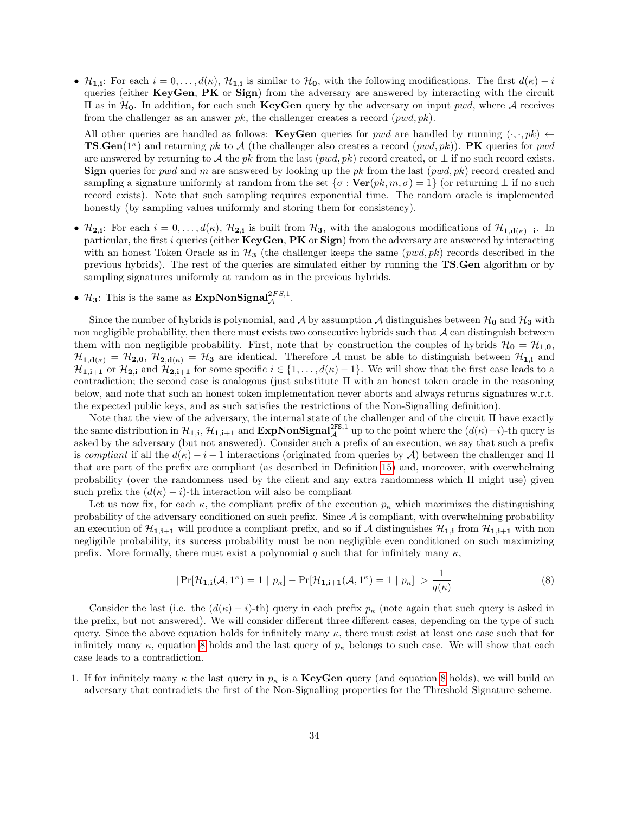•  $\mathcal{H}_{1,i}$ : For each  $i = 0, \ldots, d(\kappa)$ ,  $\mathcal{H}_{1,i}$  is similar to  $\mathcal{H}_{0}$ , with the following modifications. The first  $d(\kappa) - i$ queries (either KeyGen, PK or Sign) from the adversary are answered by interacting with the circuit  $\Pi$  as in  $\mathcal{H}_0$ . In addition, for each such **KeyGen** query by the adversary on input *pwd*, where *A* receives from the challenger as an answer  $pk$ , the challenger creates a record  $(pwd, pk)$ .

All other queries are handled as follows: KeyGen queries for pwd are handled by running  $(\cdot, \cdot, pk) \leftarrow$ **TS.Gen**(1<sup> $\kappa$ </sup>) and returning pk to A (the challenger also creates a record (pwd, pk)). **PK** queries for pwd are answered by returning to A the pk from the last  $(pwd, pk)$  record created, or  $\perp$  if no such record exists. **Sign** queries for *pwd* and m are answered by looking up the pk from the last  $(pwd, pk)$  record created and sampling a signature uniformly at random from the set { $\sigma$ :  $\textbf{Ver}(pk, m, \sigma) = 1$ } (or returning ⊥ if no such record exists). Note that such sampling requires exponential time. The random oracle is implemented honestly (by sampling values uniformly and storing them for consistency).

- $\mathcal{H}_{2,i}$ : For each  $i = 0, \ldots, d(\kappa)$ ,  $\mathcal{H}_{2,i}$  is built from  $\mathcal{H}_3$ , with the analogous modifications of  $\mathcal{H}_{1,d(\kappa)-i}$ . In particular, the first i queries (either  $KeyGen, PK$  or  $Sign$ ) from the adversary are answered by interacting with an honest Token Oracle as in  $\mathcal{H}_3$  (the challenger keeps the same (pwd, pk) records described in the previous hybrids). The rest of the queries are simulated either by running the TS.Gen algorithm or by sampling signatures uniformly at random as in the previous hybrids.
- $\mathcal{H}_3$ : This is the same as **ExpNonSignal** $^{2FS,1}_{\mathcal{A}}$ .

Since the number of hybrids is polynomial, and  $A$  by assumption  $A$  distinguishes between  $\mathcal{H}_0$  and  $\mathcal{H}_3$  with non negligible probability, then there must exists two consecutive hybrids such that  $\mathcal A$  can distinguish between them with non negligible probability. First, note that by construction the couples of hybrids  $\mathcal{H}_0 = \mathcal{H}_{1,0}$ ,  $\mathcal{H}_{1,d(\kappa)} = \mathcal{H}_{2,0}, \mathcal{H}_{2,d(\kappa)} = \mathcal{H}_{3}$  are identical. Therefore A must be able to distinguish between  $\mathcal{H}_{1,i}$  and  $\mathcal{H}_{1,i+1}$  or  $\mathcal{H}_{2,i}$  and  $\mathcal{H}_{2,i+1}$  for some specific  $i \in \{1,\ldots,d(\kappa)-1\}$ . We will show that the first case leads to a contradiction; the second case is analogous (just substitute Π with an honest token oracle in the reasoning below, and note that such an honest token implementation never aborts and always returns signatures w.r.t. the expected public keys, and as such satisfies the restrictions of the Non-Signalling definition).

Note that the view of the adversary, the internal state of the challenger and of the circuit Π have exactly the same distribution in  $\mathcal{H}_{1,i}$ ,  $\mathcal{H}_{1,i+1}$  and  $\text{ExpNonSignal}_{\mathcal{A}}^{2FS,1}$  up to the point where the  $(d(\kappa)-i)$ -th query is asked by the adversary (but not answered). Consider such a prefix of an execution, we say that such a prefix is compliant if all the  $d(\kappa) - i - 1$  interactions (originated from queries by A) between the challenger and  $\Pi$ that are part of the prefix are compliant (as described in Definition [15\)](#page-14-0) and, moreover, with overwhelming probability (over the randomness used by the client and any extra randomness which Π might use) given such prefix the  $(d(\kappa) - i)$ -th interaction will also be compliant

Let us now fix, for each  $\kappa$ , the compliant prefix of the execution  $p_{\kappa}$  which maximizes the distinguishing probability of the adversary conditioned on such prefix. Since  $A$  is compliant, with overwhelming probability an execution of  $\mathcal{H}_{1,i+1}$  will produce a compliant prefix, and so if A distinguishes  $\mathcal{H}_{1,i}$  from  $\mathcal{H}_{1,i+1}$  with non negligible probability, its success probability must be non negligible even conditioned on such maximizing prefix. More formally, there must exist a polynomial q such that for infinitely many  $\kappa$ ,

<span id="page-33-0"></span>
$$
|\Pr[\mathcal{H}_{1,i}(\mathcal{A}, 1^{\kappa}) = 1 | p_{\kappa}] - \Pr[\mathcal{H}_{1,i+1}(\mathcal{A}, 1^{\kappa}) = 1 | p_{\kappa}]| > \frac{1}{q(\kappa)}
$$
\n(8)

Consider the last (i.e. the  $(d(\kappa) - i)$ -th) query in each prefix  $p_{\kappa}$  (note again that such query is asked in the prefix, but not answered). We will consider different three different cases, depending on the type of such query. Since the above equation holds for infinitely many  $\kappa$ , there must exist at least one case such that for infinitely many  $\kappa$ , equation [8](#page-33-0) holds and the last query of  $p_{\kappa}$  belongs to such case. We will show that each case leads to a contradiction.

1. If for infinitely many  $\kappa$  the last query in  $p_{\kappa}$  is a **KeyGen** query (and equation [8](#page-33-0) holds), we will build an adversary that contradicts the first of the Non-Signalling properties for the Threshold Signature scheme.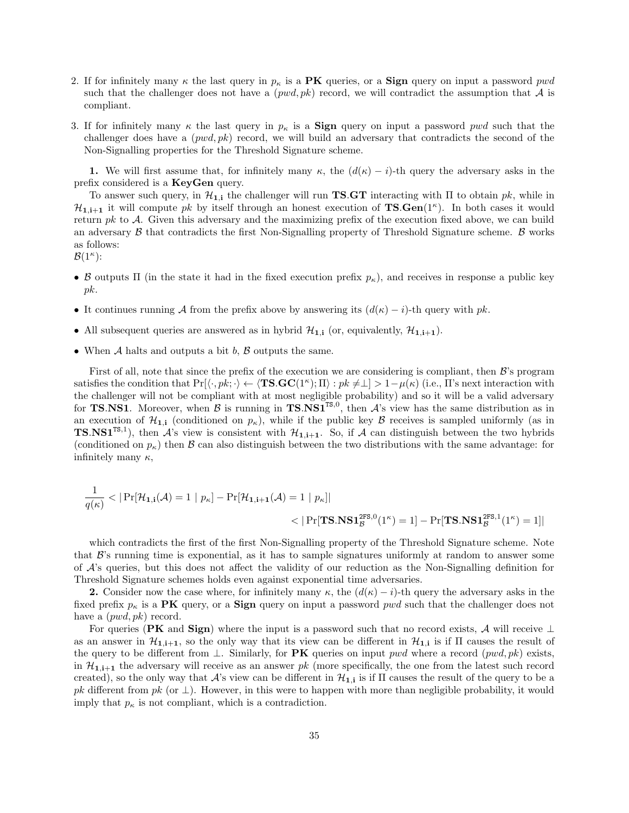- 2. If for infinitely many  $\kappa$  the last query in  $p_{\kappa}$  is a **PK** queries, or a **Sign** query on input a password pwd such that the challenger does not have a (pwd, pk) record, we will contradict the assumption that  $A$  is compliant.
- 3. If for infinitely many  $\kappa$  the last query in  $p_{\kappa}$  is a **Sign** query on input a password pwd such that the challenger does have a  $(pwd, pk)$  record, we will build an adversary that contradicts the second of the Non-Signalling properties for the Threshold Signature scheme.

1. We will first assume that, for infinitely many  $\kappa$ , the  $(d(\kappa) - i)$ -th query the adversary asks in the prefix considered is a KeyGen query.

To answer such query, in  $\mathcal{H}_{1,i}$  the challenger will run TS.GT interacting with  $\Pi$  to obtain pk, while in  $\mathcal{H}_{1,i+1}$  it will compute pk by itself through an honest execution of **TS.Gen**(1<sup>k</sup>). In both cases it would return  $pk$  to  $A$ . Given this adversary and the maximizing prefix of the execution fixed above, we can build an adversary  $\beta$  that contradicts the first Non-Signalling property of Threshold Signature scheme.  $\beta$  works as follows:

$$
\mathcal{B}(1^\kappa)\!\!:
$$

- B outputs  $\Pi$  (in the state it had in the fixed execution prefix  $p_k$ ), and receives in response a public key pk.
- It continues running A from the prefix above by answering its  $(d(\kappa) i)$ -th query with pk.
- All subsequent queries are answered as in hybrid  $\mathcal{H}_{1,i}$  (or, equivalently,  $\mathcal{H}_{1,i+1}$ ).
- When  $A$  halts and outputs a bit  $b$ ,  $B$  outputs the same.

First of all, note that since the prefix of the execution we are considering is compliant, then B's program satisfies the condition that  $Pr[\langle \cdot, pk; \cdot \rangle \leftarrow \langle \textbf{TS.GC}(1^{\kappa}); \Pi \rangle : pk \neq \bot] > 1-\mu(\kappa)$  (i.e.,  $\Pi$ 's next interaction with the challenger will not be compliant with at most negligible probability) and so it will be a valid adversary for **TS.NS1**. Moreover, when  $\beta$  is running in **TS.NS1<sup>TS,0</sup>**, then  $\mathcal{A}$ 's view has the same distribution as in an execution of  $\mathcal{H}_{1,i}$  (conditioned on  $p_{\kappa}$ ), while if the public key B receives is sampled uniformly (as in **TS.NS1<sup>TS,1</sup>**), then  $\mathcal{A}$ 's view is consistent with  $\mathcal{H}_{1,i+1}$ . So, if  $\mathcal{A}$  can distinguish between the two hybrids (conditioned on  $p_{\kappa}$ ) then  $\beta$  can also distinguish between the two distributions with the same advantage: for infinitely many  $\kappa$ ,

$$
\frac{1}{q(\kappa)} < |\Pr[\mathcal{H}_{1,i}(\mathcal{A}) = 1 | p_{\kappa}] - \Pr[\mathcal{H}_{1,i+1}(\mathcal{A}) = 1 | p_{\kappa}]|
$$
  

$$
< |\Pr[\mathbf{TS.}NS1_B^{\text{2FS},0}(1^{\kappa}) = 1] - \Pr[\mathbf{TS.}NS1_B^{\text{2FS},1}(1^{\kappa}) = 1]|
$$

which contradicts the first of the first Non-Signalling property of the Threshold Signature scheme. Note that  $\mathcal{B}$ 's running time is exponential, as it has to sample signatures uniformly at random to answer some of  $\mathcal{A}$ 's queries, but this does not affect the validity of our reduction as the Non-Signalling definition for Threshold Signature schemes holds even against exponential time adversaries.

2. Consider now the case where, for infinitely many  $\kappa$ , the  $(d(\kappa) - i)$ -th query the adversary asks in the fixed prefix  $p_{\kappa}$  is a PK query, or a Sign query on input a password pwd such that the challenger does not have a  $(pwd, pk)$  record.

For queries (PK and Sign) where the input is a password such that no record exists, A will receive  $\perp$ as an answer in  $\mathcal{H}_{1,i+1}$ , so the only way that its view can be different in  $\mathcal{H}_{1,i}$  is if  $\Pi$  causes the result of the query to be different from  $\perp$ . Similarly, for PK queries on input pwd where a record (pwd, pk) exists, in  $\mathcal{H}_{1,i+1}$  the adversary will receive as an answer pk (more specifically, the one from the latest such record created), so the only way that A's view can be different in  $\mathcal{H}_{1,i}$  is if  $\Pi$  causes the result of the query to be a pk different from pk (or  $\perp$ ). However, in this were to happen with more than negligible probability, it would imply that  $p_{\kappa}$  is not compliant, which is a contradiction.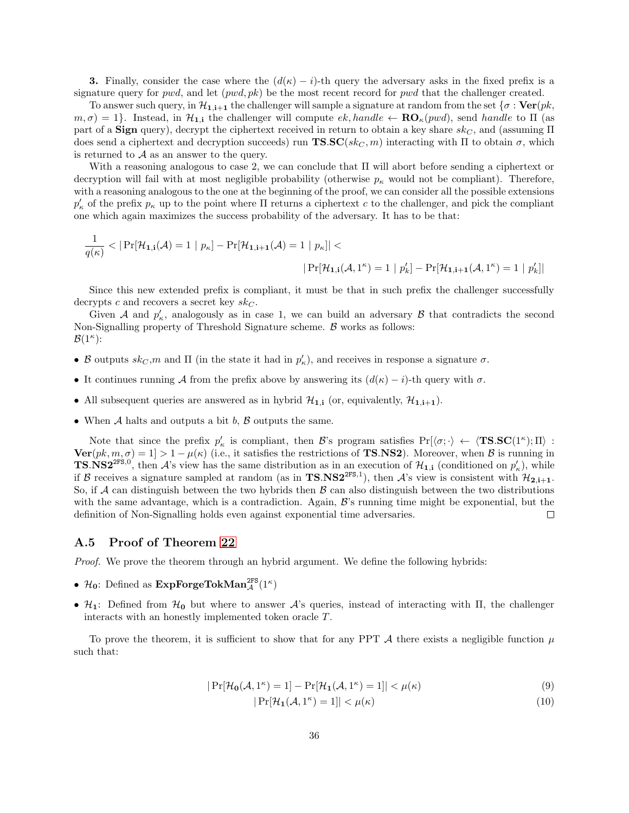**3.** Finally, consider the case where the  $(d(\kappa) - i)$ -th query the adversary asks in the fixed prefix is a signature query for pwd, and let  $(pwd, pk)$  be the most recent record for pwd that the challenger created.

To answer such query, in  $\mathcal{H}_{1,i+1}$  the challenger will sample a signature at random from the set  $\{\sigma : \textbf{Ver}(pk, \sigma)\}$  $m, \sigma$ ) = 1}. Instead, in  $\mathcal{H}_{1,i}$  the challenger will compute  $ek$ , handle  $\leftarrow \mathbf{RO}_{\kappa}(pwd)$ , send handle to  $\Pi$  (as part of a **Sign** query), decrypt the ciphertext received in return to obtain a key share  $sk_C$ , and (assuming  $\Pi$ does send a ciphertext and decryption succeeds) run  $\text{TS}.\text{SC}(sk_C, m)$  interacting with  $\Pi$  to obtain  $\sigma$ , which is returned to  $A$  as an answer to the query.

With a reasoning analogous to case 2, we can conclude that Π will abort before sending a ciphertext or decryption will fail with at most negligible probability (otherwise  $p_{\kappa}$  would not be compliant). Therefore, with a reasoning analogous to the one at the beginning of the proof, we can consider all the possible extensions  $p'_\kappa$  of the prefix  $p_\kappa$  up to the point where  $\Pi$  returns a ciphertext c to the challenger, and pick the compliant one which again maximizes the success probability of the adversary. It has to be that:

$$
\frac{1}{q(\kappa)} < |\Pr[\mathcal{H}_{1,i}(\mathcal{A}) = 1 | p_{\kappa}] - \Pr[\mathcal{H}_{1,i+1}(\mathcal{A}) = 1 | p_{\kappa}]| <
$$
  

$$
|\Pr[\mathcal{H}_{1,i}(\mathcal{A}, 1^{\kappa}) = 1 | p'_{\kappa}] - \Pr[\mathcal{H}_{1,i+1}(\mathcal{A}, 1^{\kappa}) = 1 | p'_{\kappa}]|
$$

Since this new extended prefix is compliant, it must be that in such prefix the challenger successfully decrypts c and recovers a secret key  $sk_C$ .

Given A and  $p'_\kappa$ , analogously as in case 1, we can build an adversary B that contradicts the second Non-Signalling property of Threshold Signature scheme. B works as follows:  $\mathcal{B}(1^{\kappa})$ :

- B outputs  $sk_C$ , m and  $\Pi$  (in the state it had in  $p'_\kappa$ ), and receives in response a signature  $\sigma$ .
- It continues running A from the prefix above by answering its  $(d(\kappa) i)$ -th query with  $\sigma$ .
- All subsequent queries are answered as in hybrid  $\mathcal{H}_{1,i}$  (or, equivalently,  $\mathcal{H}_{1,i+1}$ ).
- When  $A$  halts and outputs a bit  $b$ ,  $B$  outputs the same.

Note that since the prefix  $p'_\kappa$  is compliant, then B's program satisfies  $\Pr[\langle \sigma; \cdot \rangle \leftarrow \langle \textbf{TS}.\textbf{SC}(1^\kappa); \Pi \rangle :$  $\textbf{Ver}(pk, m, \sigma) = 1] > 1 - \mu(\kappa)$  (i.e., it satisfies the restrictions of **TS.NS2**). Moreover, when B is running in **TS.NS2<sup>2FS,0</sup>**, then A's view has the same distribution as in an execution of  $\mathcal{H}_{1,i}$  (conditioned on  $p'_{\kappa}$ ), while if B receives a signature sampled at random (as in **TS.NS2**<sup>2FS,1</sup>), then A's view is consistent with  $\mathcal{H}_{2,i+1}$ . So, if  $A$  can distinguish between the two hybrids then  $B$  can also distinguish between the two distributions with the same advantage, which is a contradiction. Again,  $\mathcal{B}$ 's running time might be exponential, but the definition of Non-Signalling holds even against exponential time adversaries.  $\Box$ 

#### A.5 Proof of Theorem [22](#page-18-2)

Proof. We prove the theorem through an hybrid argument. We define the following hybrids:

- $\mathcal{H}_0$ : Defined as  $\text{ExpForgeTokMan}_{\mathcal{A}}^{\text{2FS}}(1^{\kappa})$
- $\mathcal{H}_1$ : Defined from  $\mathcal{H}_0$  but where to answer A's queries, instead of interacting with  $\Pi$ , the challenger interacts with an honestly implemented token oracle T.

To prove the theorem, it is sufficient to show that for any PPT  $\mathcal A$  there exists a negligible function  $\mu$ such that:

$$
|\Pr[\mathcal{H}_0(\mathcal{A}, 1^{\kappa}) = 1] - \Pr[\mathcal{H}_1(\mathcal{A}, 1^{\kappa}) = 1]| < \mu(\kappa)
$$
\n(9)

 $|\Pr[\mathcal{H}_1(\mathcal{A}, 1^{\kappa}) = 1]| < \mu(\kappa)$  (10)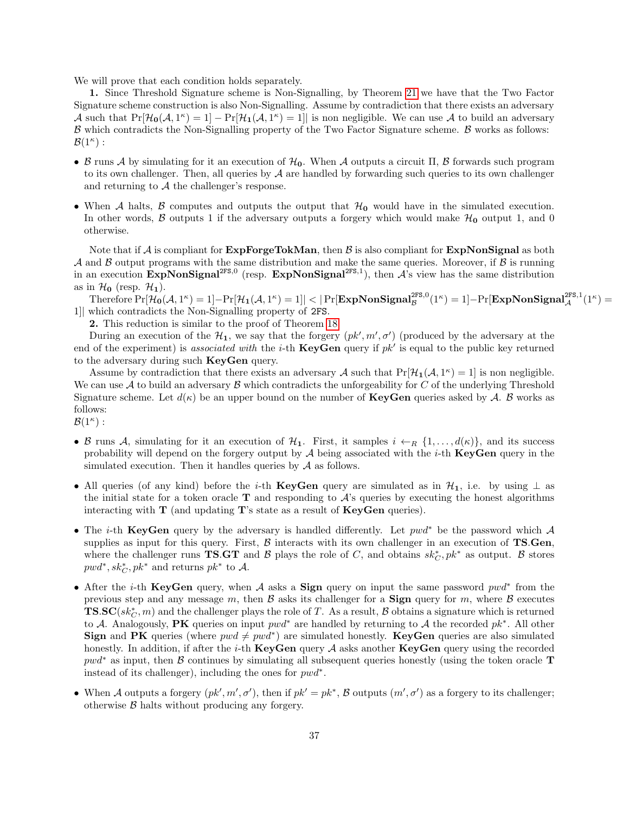We will prove that each condition holds separately.

1. Since Threshold Signature scheme is Non-Signalling, by Theorem [21](#page-17-3) we have that the Two Factor Signature scheme construction is also Non-Signalling. Assume by contradiction that there exists an adversary A such that  $Pr[\mathcal{H}_{0}(\mathcal{A}, 1^{\kappa})=1]-Pr[\mathcal{H}_{1}(\mathcal{A}, 1^{\kappa})=1]|$  is non negligible. We can use A to build an adversary  $\beta$  which contradicts the Non-Signalling property of the Two Factor Signature scheme.  $\beta$  works as follows:  $\mathcal{B}(1^{\kappa})$ :

- B runs A by simulating for it an execution of  $\mathcal{H}_0$ . When A outputs a circuit  $\Pi$ , B forwards such program to its own challenger. Then, all queries by  $A$  are handled by forwarding such queries to its own challenger and returning to  $A$  the challenger's response.
- When A halts, B computes and outputs the output that  $\mathcal{H}_0$  would have in the simulated execution. In other words, B outputs 1 if the adversary outputs a forgery which would make  $\mathcal{H}_0$  output 1, and 0 otherwise.

Note that if A is compliant for  $\text{ExpForgeTokMan}$ , then B is also compliant for  $\text{ExpNonSignal}$  as both A and B output programs with the same distribution and make the same queries. Moreover, if B is running in an execution  $\text{ExpNonSignal}^{2FS,0}$  (resp.  $\text{ExpNonSignal}^{2FS,1}$ ), then A's view has the same distribution as in  $\mathcal{H}_0$  (resp.  $\mathcal{H}_1$ ).

 $\text{Therefore }\Pr[\mathcal{H}_{\mathbf{0}}(\mathcal{A},1^{\kappa})=1]-\Pr[\mathcal{H}_{\mathbf{1}}(\mathcal{A},1^{\kappa})=1]|<|\Pr[\mathbf{ExpNonSignal}_{\mathcal{B}}^{\text{2FS,0}}(1^{\kappa})=1]-\Pr[\mathbf{ExpNonSignal}_{\mathcal{A}}^{\text{2FS,1}}(1^{\kappa})=1]|$ 1]| which contradicts the Non-Signalling property of 2FS.

2. This reduction is similar to the proof of Theorem [18.](#page-16-1)

During an execution of the  $H_1$ , we say that the forgery  $(pk', m', \sigma')$  (produced by the adversary at the end of the experiment) is associated with the *i*-th  $KeyGen$  query if  $pk'$  is equal to the public key returned to the adversary during such KeyGen query.

Assume by contradiction that there exists an adversary A such that  $Pr[\mathcal{H}_{1}(A, 1^{\kappa}) = 1]$  is non negligible. We can use A to build an adversary  $\beta$  which contradicts the unforgeability for C of the underlying Threshold Signature scheme. Let  $d(\kappa)$  be an upper bound on the number of **KeyGen** queries asked by A. B works as follows:

 $\mathcal{B}(1^{\kappa})$ :

- B runs A, simulating for it an execution of  $\mathcal{H}_1$ . First, it samples  $i \leftarrow_R \{1, \ldots, d(\kappa)\}\)$ , and its success probability will depend on the forgery output by  $A$  being associated with the *i*-th **KeyGen** query in the simulated execution. Then it handles queries by  $A$  as follows.
- All queries (of any kind) before the *i*-th KeyGen query are simulated as in  $\mathcal{H}_1$ , i.e. by using  $\perp$  as the initial state for a token oracle  $T$  and responding to  $A$ 's queries by executing the honest algorithms interacting with  $T$  (and updating  $T$ 's state as a result of **KeyGen** queries).
- The i-th KeyGen query by the adversary is handled differently. Let  $pwd^*$  be the password which A supplies as input for this query. First,  $\beta$  interacts with its own challenger in an execution of TS.Gen, where the challenger runs **TS.GT** and  $\beta$  plays the role of C, and obtains  $sk_C^*, pk^*$  as output.  $\beta$  stores  $\text{pwd}^*, \text{sk}_C^*, \text{pk}^*$  and returns  $\text{pk}^*$  to A.
- After the *i*-th KeyGen query, when A asks a Sign query on input the same password  $pwd^*$  from the previous step and any message m, then  $\beta$  asks its challenger for a **Sign** query for m, where  $\beta$  executes  $TSSC(sk_C^*, m)$  and the challenger plays the role of T. As a result, B obtains a signature which is returned to A. Analogously, PK queries on input  $pwd^*$  are handled by returning to A the recorded  $pk^*$ . All other Sign and PK queries (where  $pwd \neq pwd^*$ ) are simulated honestly. KeyGen queries are also simulated honestly. In addition, if after the *i*-th KeyGen query A asks another KeyGen query using the recorded pwd<sup>∗</sup> as input, then B continues by simulating all subsequent queries honestly (using the token oracle T instead of its challenger), including the ones for  $pwd^*$ .
- When A outputs a forgery  $(pk', m', \sigma')$ , then if  $pk' = pk^*$ , B outputs  $(m', \sigma')$  as a forgery to its challenger; otherwise  $\beta$  halts without producing any forgery.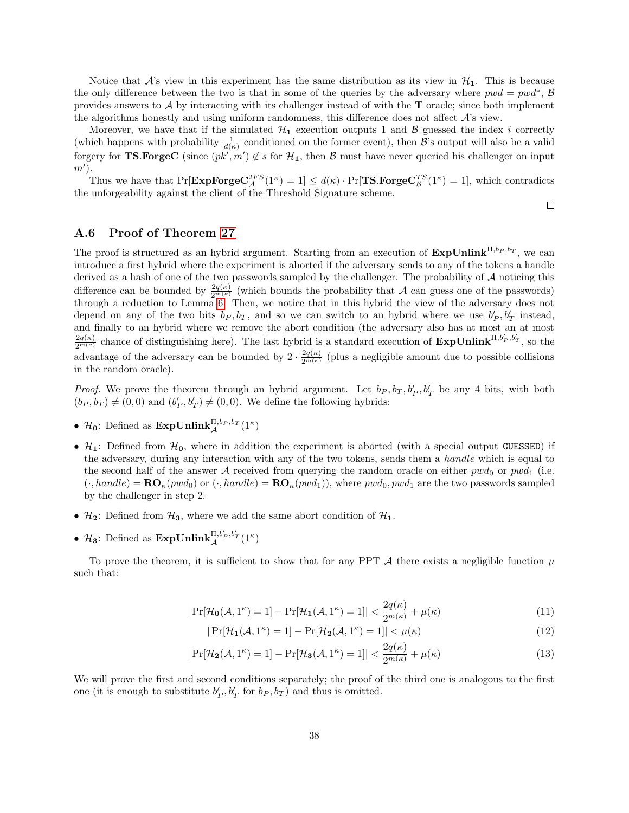Notice that A's view in this experiment has the same distribution as its view in  $\mathcal{H}_1$ . This is because the only difference between the two is that in some of the queries by the adversary where  $pwd = pwd^*$ ,  $\mathcal{B}$ provides answers to  $\mathcal A$  by interacting with its challenger instead of with the  $\mathbf T$  oracle; since both implement the algorithms honestly and using uniform randomness, this difference does not affect  $\mathcal{A}$ 's view.

Moreover, we have that if the simulated  $\mathcal{H}_1$  execution outputs 1 and B guessed the index i correctly (which happens with probability  $\frac{1}{d(\kappa)}$  conditioned on the former event), then B's output will also be a valid forgery for **TS.ForgeC** (since  $(pk', m') \notin s$  for  $\mathcal{H}_1$ , then B must have never queried his challenger on input  $m'$ ).

Thus we have that  $Pr[\textbf{ExpForce}_{\mathcal{A}}^{2FS}(1^{\kappa})=1] \leq d(\kappa) \cdot Pr[\textbf{TS}.\textbf{ForgeC}_{\mathcal{B}}^{TS}(1^{\kappa})=1]$ , which contradicts the unforgeability against the client of the Threshold Signature scheme.

 $\Box$ 

## A.6 Proof of Theorem [27](#page-24-4)

The proof is structured as an hybrid argument. Starting from an execution of  $\text{ExpUnlink}^{\Pi,b_P,b_T}$ , we can introduce a first hybrid where the experiment is aborted if the adversary sends to any of the tokens a handle derived as a hash of one of the two passwords sampled by the challenger. The probability of A noticing this difference can be bounded by  $\frac{2q(\kappa)}{2^{m(\kappa)}}$  (which bounds the probability that A can guess one of the passwords) through a reduction to Lemma [6.](#page-8-0) Then, we notice that in this hybrid the view of the adversary does not depend on any of the two bits  $b_P, b_T$ , and so we can switch to an hybrid where we use  $b_P', b_T'$  instead, and finally to an hybrid where we remove the abort condition (the adversary also has at most an at most  $\frac{2q(\kappa)}{2^{m(\kappa)}}$  chance of distinguishing here). The last hybrid is a standard execution of  $\textbf{ExpUnlink}^{\Pi,b'_P,b'_T}$ , so the advantage of the adversary can be bounded by  $2 \cdot \frac{2q(\kappa)}{2^{m(\kappa)}}$  (plus a negligible amount due to possible collisions in the random oracle).

*Proof.* We prove the theorem through an hybrid argument. Let  $b_P, b_T, b'_P, b'_T$  be any 4 bits, with both  $(b_P, b_T) \neq (0, 0)$  and  $(b'_P, b'_T) \neq (0, 0)$ . We define the following hybrids:

- $\mathcal{H}_0$ : Defined as  $\text{ExpUnlink}_{\mathcal{A}}^{\Pi,b_P,b_T}(1^{\kappa})$
- $\mathcal{H}_1$ : Defined from  $\mathcal{H}_0$ , where in addition the experiment is aborted (with a special output GUESSED) if the adversary, during any interaction with any of the two tokens, sends them a handle which is equal to the second half of the answer A received from querying the random oracle on either  $pwd_0$  or  $pwd_1$  (i.e.  $(\cdot, handle) = \mathbf{RO}_{\kappa}(pwd_0) \text{ or } (\cdot, handle) = \mathbf{RO}_{\kappa}(pwd_1)),$  where  $pwd_0, pwd_1$  are the two passwords sampled by the challenger in step 2.
- $\mathcal{H}_2$ : Defined from  $\mathcal{H}_3$ , where we add the same abort condition of  $\mathcal{H}_1$ .
- $\mathcal{H}_3$ : Defined as  $\text{ExpUnlink}_{\mathcal{A}}^{\Pi, b'_P, b'_T} (1^{\kappa})$

To prove the theorem, it is sufficient to show that for any PPT  $\mathcal A$  there exists a negligible function  $\mu$ such that:

$$
|\Pr[\mathcal{H}_0(\mathcal{A}, 1^\kappa) = 1] - \Pr[\mathcal{H}_1(\mathcal{A}, 1^\kappa) = 1]| < \frac{2q(\kappa)}{2^{m(\kappa)}} + \mu(\kappa) \tag{11}
$$

$$
|\Pr[\mathcal{H}_1(\mathcal{A}, 1^{\kappa}) = 1] - \Pr[\mathcal{H}_2(\mathcal{A}, 1^{\kappa}) = 1]| < \mu(\kappa) \tag{12}
$$

$$
|\Pr[\mathcal{H}_2(\mathcal{A}, 1^\kappa) = 1] - \Pr[\mathcal{H}_3(\mathcal{A}, 1^\kappa) = 1]| < \frac{2q(\kappa)}{2^{m(\kappa)}} + \mu(\kappa) \tag{13}
$$

We will prove the first and second conditions separately; the proof of the third one is analogous to the first one (it is enough to substitute  $b'_P$ ,  $b'_T$  for  $b_P$ ,  $b_T$ ) and thus is omitted.